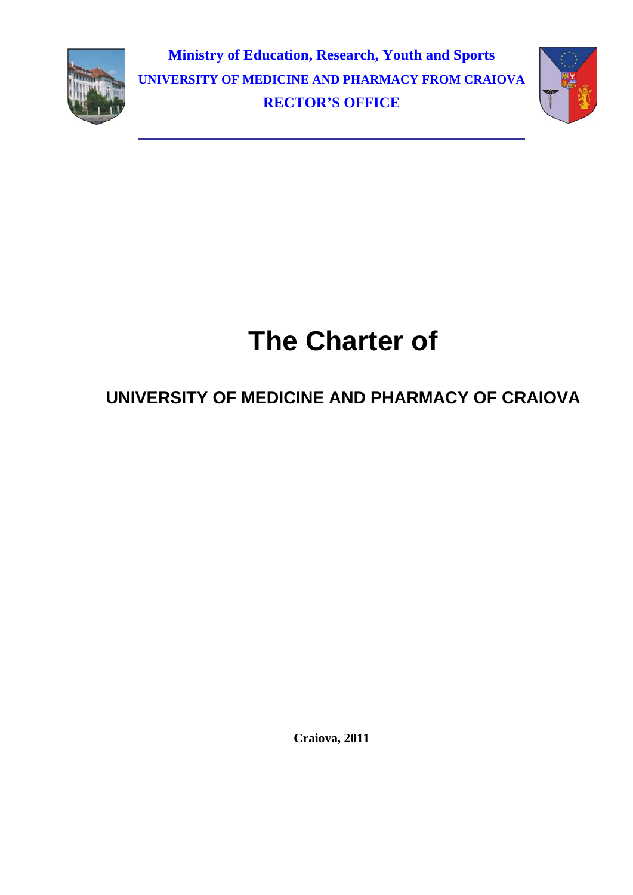

**Ministry of Education, Research, Youth and Sports UNIVERSITY OF MEDICINE AND PHARMACY FROM CRAIOVA RECTOR'S OFFICE** 



# **The Charter of**

## **UNIVERSITY OF MEDICINE AND PHARMACY OF CRAIOVA**

**Craiova, 2011**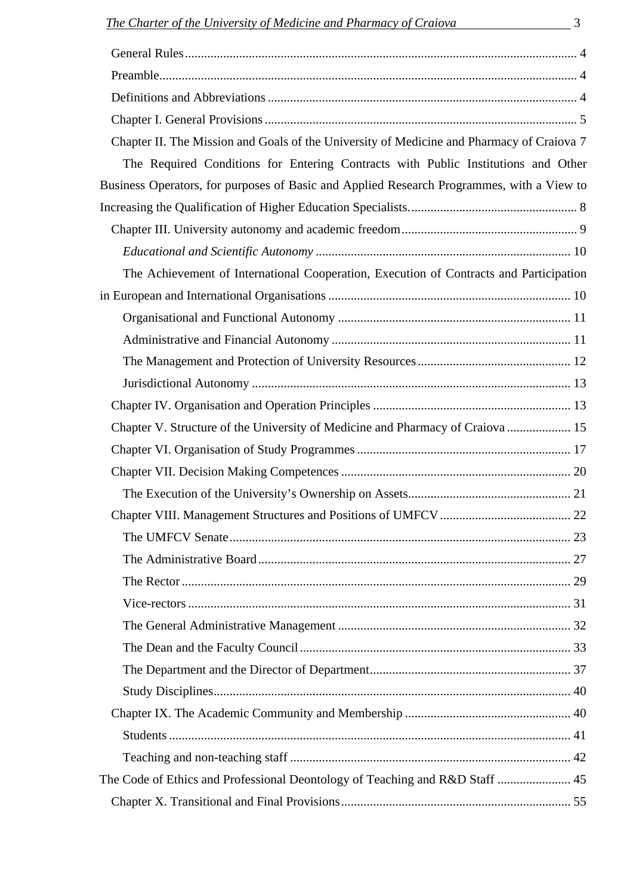| Chapter II. The Mission and Goals of the University of Medicine and Pharmacy of Craiova 7 |  |
|-------------------------------------------------------------------------------------------|--|
| The Required Conditions for Entering Contracts with Public Institutions and Other         |  |
| Business Operators, for purposes of Basic and Applied Research Programmes, with a View to |  |
|                                                                                           |  |
|                                                                                           |  |
|                                                                                           |  |
| The Achievement of International Cooperation, Execution of Contracts and Participation    |  |
|                                                                                           |  |
|                                                                                           |  |
|                                                                                           |  |
|                                                                                           |  |
|                                                                                           |  |
|                                                                                           |  |
| Chapter V. Structure of the University of Medicine and Pharmacy of Craiova  15            |  |
|                                                                                           |  |
|                                                                                           |  |
|                                                                                           |  |
| Chapter VIII. Management Structures and Positions of UMFCV<br>22                          |  |
|                                                                                           |  |
|                                                                                           |  |
|                                                                                           |  |
|                                                                                           |  |
|                                                                                           |  |
|                                                                                           |  |
|                                                                                           |  |
|                                                                                           |  |
|                                                                                           |  |
|                                                                                           |  |
|                                                                                           |  |
| The Code of Ethics and Professional Deontology of Teaching and R&D Staff  45              |  |
|                                                                                           |  |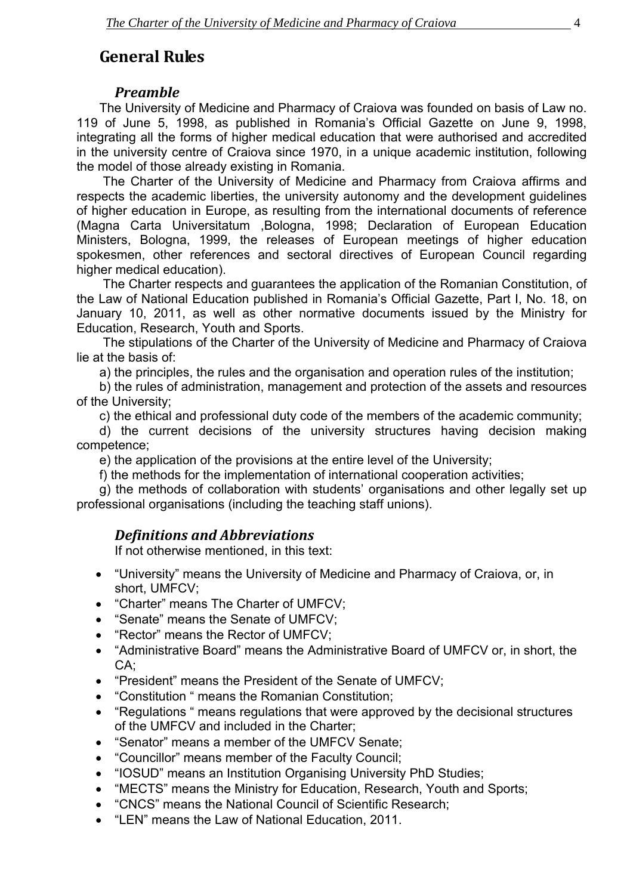## <span id="page-2-0"></span>**General Rules**

## *Preamble*

The University of Medicine and Pharmacy of Craiova was founded on basis of Law no. 119 of June 5, 1998, as published in Romania's Official Gazette on June 9, 1998, integrating all the forms of higher medical education that were authorised and accredited in the university centre of Craiova since 1970, in a unique academic institution, following the model of those already existing in Romania.

 The Charter of the University of Medicine and Pharmacy from Craiova affirms and respects the academic liberties, the university autonomy and the development guidelines of higher education in Europe, as resulting from the international documents of reference (Magna Carta Universitatum ,Bologna, 1998; Declaration of European Education Ministers, Bologna, 1999, the releases of European meetings of higher education spokesmen, other references and sectoral directives of European Council regarding higher medical education).

 The Charter respects and guarantees the application of the Romanian Constitution, of the Law of National Education published in Romania's Official Gazette, Part I, No. 18, on January 10, 2011, as well as other normative documents issued by the Ministry for Education, Research, Youth and Sports.

 The stipulations of the Charter of the University of Medicine and Pharmacy of Craiova lie at the basis of:

a) the principles, the rules and the organisation and operation rules of the institution;

b) the rules of administration, management and protection of the assets and resources of the University;

c) the ethical and professional duty code of the members of the academic community;

d) the current decisions of the university structures having decision making competence;

e) the application of the provisions at the entire level of the University;

f) the methods for the implementation of international cooperation activities;

g) the methods of collaboration with students' organisations and other legally set up professional organisations (including the teaching staff unions).

## *Definitions and Abbreviations*

If not otherwise mentioned, in this text:

- "University" means the University of Medicine and Pharmacy of Craiova, or, in short, UMFCV;
- "Charter" means The Charter of UMFCV;
- "Senate" means the Senate of UMFCV;
- "Rector" means the Rector of UMFCV;
- "Administrative Board" means the Administrative Board of UMFCV or, in short, the CA;
- "President" means the President of the Senate of UMFCV;
- "Constitution " means the Romanian Constitution;
- "Regulations " means regulations that were approved by the decisional structures of the UMFCV and included in the Charter;
- "Senator" means a member of the UMFCV Senate;
- "Councillor" means member of the Faculty Council;
- "IOSUD" means an Institution Organising University PhD Studies;
- "MECTS" means the Ministry for Education, Research, Youth and Sports;
- "CNCS" means the National Council of Scientific Research;
- "LEN" means the Law of National Education, 2011.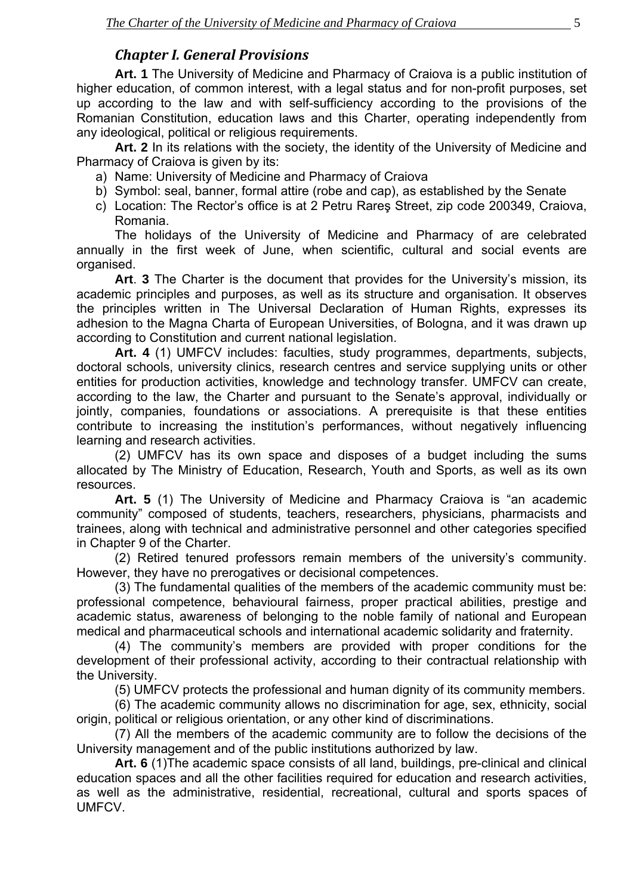## *Chapter I. General Provisions*

<span id="page-3-0"></span>**Art. 1** The University of Medicine and Pharmacy of Craiova is a public institution of higher education, of common interest, with a legal status and for non-profit purposes, set up according to the law and with self-sufficiency according to the provisions of the Romanian Constitution, education laws and this Charter, operating independently from any ideological, political or religious requirements.

**Art. 2** In its relations with the society, the identity of the University of Medicine and Pharmacy of Craiova is given by its:

- a) Name: University of Medicine and Pharmacy of Craiova
- b) Symbol: seal, banner, formal attire (robe and cap), as established by the Senate
- c) Location: The Rector's office is at 2 Petru Rareş Street, zip code 200349, Craiova, Romania.

The holidays of the University of Medicine and Pharmacy of are celebrated annually in the first week of June, when scientific, cultural and social events are organised.

**Art**. **3** The Charter is the document that provides for the University's mission, its academic principles and purposes, as well as its structure and organisation. It observes the principles written in The Universal Declaration of Human Rights, expresses its adhesion to the Magna Charta of European Universities, of Bologna, and it was drawn up according to Constitution and current national legislation.

**Art. 4** (1) UMFCV includes: faculties, study programmes, departments, subjects, doctoral schools, university clinics, research centres and service supplying units or other entities for production activities, knowledge and technology transfer. UMFCV can create, according to the law, the Charter and pursuant to the Senate's approval, individually or jointly, companies, foundations or associations. A prerequisite is that these entities contribute to increasing the institution's performances, without negatively influencing learning and research activities.

 (2) UMFCV has its own space and disposes of a budget including the sums allocated by The Ministry of Education, Research, Youth and Sports, as well as its own resources.

**Art. 5** (1) The University of Medicine and Pharmacy Craiova is "an academic community" composed of students, teachers, researchers, physicians, pharmacists and trainees, along with technical and administrative personnel and other categories specified in Chapter 9 of the Charter.

(2) Retired tenured professors remain members of the university's community. However, they have no prerogatives or decisional competences.

(3) The fundamental qualities of the members of the academic community must be: professional competence, behavioural fairness, proper practical abilities, prestige and academic status, awareness of belonging to the noble family of national and European medical and pharmaceutical schools and international academic solidarity and fraternity.

(4) The community's members are provided with proper conditions for the development of their professional activity, according to their contractual relationship with the University.

(5) UMFCV protects the professional and human dignity of its community members.

(6) The academic community allows no discrimination for age, sex, ethnicity, social origin, political or religious orientation, or any other kind of discriminations.

(7) All the members of the academic community are to follow the decisions of the University management and of the public institutions authorized by law.

**Art. 6** (1)The academic space consists of all land, buildings, pre-clinical and clinical education spaces and all the other facilities required for education and research activities, as well as the administrative, residential, recreational, cultural and sports spaces of UMFCV.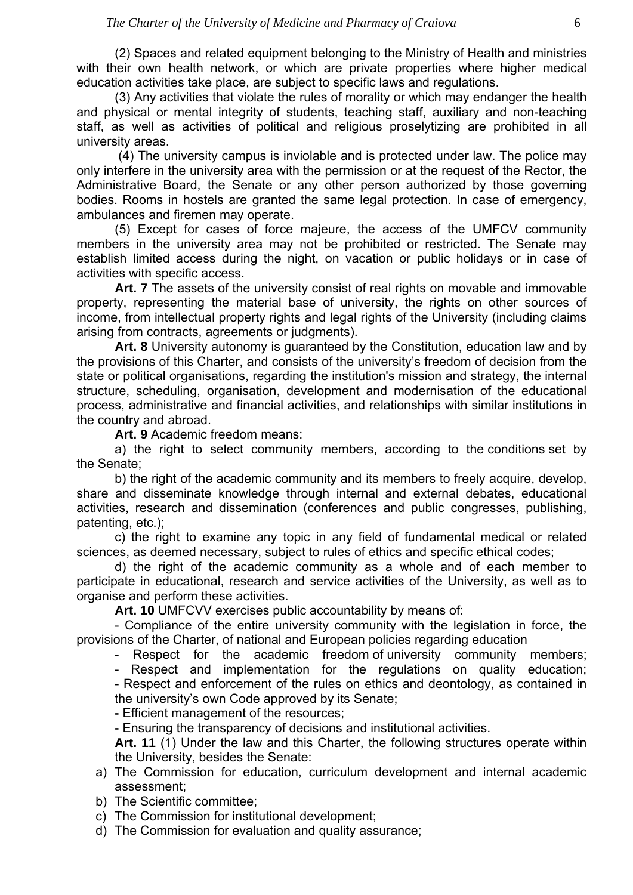(2) Spaces and related equipment belonging to the Ministry of Health and ministries with their own health network, or which are private properties where higher medical education activities take place, are subject to specific laws and regulations.

(3) Any activities that violate the rules of morality or which may endanger the health and physical or mental integrity of students, teaching staff, auxiliary and non-teaching staff, as well as activities of political and religious proselytizing are prohibited in all university areas.

 (4) The university campus is inviolable and is protected under law. The police may only interfere in the university area with the permission or at the request of the Rector, the Administrative Board, the Senate or any other person authorized by those governing bodies. Rooms in hostels are granted the same legal protection. In case of emergency, ambulances and firemen may operate.

(5) Except for cases of force majeure, the access of the UMFCV community members in the university area may not be prohibited or restricted. The Senate may establish limited access during the night, on vacation or public holidays or in case of activities with specific access.

**Art. 7** The assets of the university consist of real rights on movable and immovable property, representing the material base of university, the rights on other sources of income, from intellectual property rights and legal rights of the University (including claims arising from contracts, agreements or judgments).

**Art. 8** University autonomy is guaranteed by the Constitution, education law and by the provisions of this Charter, and consists of the university's freedom of decision from the state or political organisations, regarding the institution's mission and strategy, the internal structure, scheduling, organisation, development and modernisation of the educational process, administrative and financial activities, and relationships with similar institutions in the country and abroad.

**Art. 9** Academic freedom means:

a) the right to select community members, according to the conditions set by the Senate;

b) the right of the academic community and its members to freely acquire, develop, share and disseminate knowledge through internal and external debates, educational activities, research and dissemination (conferences and public congresses, publishing, patenting, etc.);

c) the right to examine any topic in any field of fundamental medical or related sciences, as deemed necessary, subject to rules of ethics and specific ethical codes;

d) the right of the academic community as a whole and of each member to participate in educational, research and service activities of the University, as well as to organise and perform these activities.

**Art. 10** UMFCVV exercises public accountability by means of:

 - Compliance of the entire university community with the legislation in force, the provisions of the Charter, of national and European policies regarding education

- Respect for the academic freedom of university community members;

- Respect and implementation for the regulations on quality education;

 - Respect and enforcement of the rules on ethics and deontology, as contained in the university's own Code approved by its Senate;

 **-** Efficient management of the resources;

 **-** Ensuring the transparency of decisions and institutional activities.

**Art. 11** (1) Under the law and this Charter, the following structures operate within the University, besides the Senate:

- a) The Commission for education, curriculum development and internal academic assessment;
- b) The Scientific committee;

c) The Commission for institutional development;

d) The Commission for evaluation and quality assurance;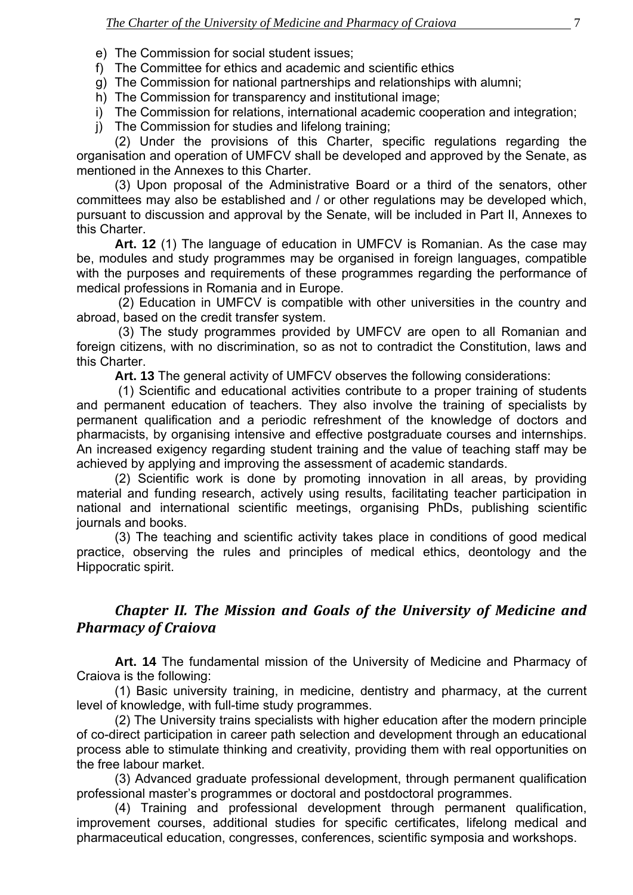<span id="page-5-0"></span>e) The Commission for social student issues;

- f) The Committee for ethics and academic and scientific ethics
- g) The Commission for national partnerships and relationships with alumni;
- h) The Commission for transparency and institutional image;
- i) The Commission for relations, international academic cooperation and integration;
- j) The Commission for studies and lifelong training;

(2) Under the provisions of this Charter, specific regulations regarding the organisation and operation of UMFCV shall be developed and approved by the Senate, as mentioned in the Annexes to this Charter.

(3) Upon proposal of the Administrative Board or a third of the senators, other committees may also be established and / or other regulations may be developed which, pursuant to discussion and approval by the Senate, will be included in Part II, Annexes to this Charter.

**Art. 12** (1) The language of education in UMFCV is Romanian. As the case may be, modules and study programmes may be organised in foreign languages, compatible with the purposes and requirements of these programmes regarding the performance of medical professions in Romania and in Europe.

 (2) Education in UMFCV is compatible with other universities in the country and abroad, based on the credit transfer system.

 (3) The study programmes provided by UMFCV are open to all Romanian and foreign citizens, with no discrimination, so as not to contradict the Constitution, laws and this Charter.

**Art. 13** The general activity of UMFCV observes the following considerations:

 (1) Scientific and educational activities contribute to a proper training of students and permanent education of teachers. They also involve the training of specialists by permanent qualification and a periodic refreshment of the knowledge of doctors and pharmacists, by organising intensive and effective postgraduate courses and internships. An increased exigency regarding student training and the value of teaching staff may be achieved by applying and improving the assessment of academic standards.

(2) Scientific work is done by promoting innovation in all areas, by providing material and funding research, actively using results, facilitating teacher participation in national and international scientific meetings, organising PhDs, publishing scientific journals and books.

(3) The teaching and scientific activity takes place in conditions of good medical practice, observing the rules and principles of medical ethics, deontology and the Hippocratic spirit.

## *Chapter II. The Mission and Goals of the University of Medicine and Pharmacy of Craiova*

**Art. 14** The fundamental mission of the University of Medicine and Pharmacy of Craiova is the following:

(1) Basic university training, in medicine, dentistry and pharmacy, at the current level of knowledge, with full-time study programmes.

(2) The University trains specialists with higher education after the modern principle of co-direct participation in career path selection and development through an educational process able to stimulate thinking and creativity, providing them with real opportunities on the free labour market.

(3) Advanced graduate professional development, through permanent qualification professional master's programmes or doctoral and postdoctoral programmes.

(4) Training and professional development through permanent qualification, improvement courses, additional studies for specific certificates, lifelong medical and pharmaceutical education, congresses, conferences, scientific symposia and workshops.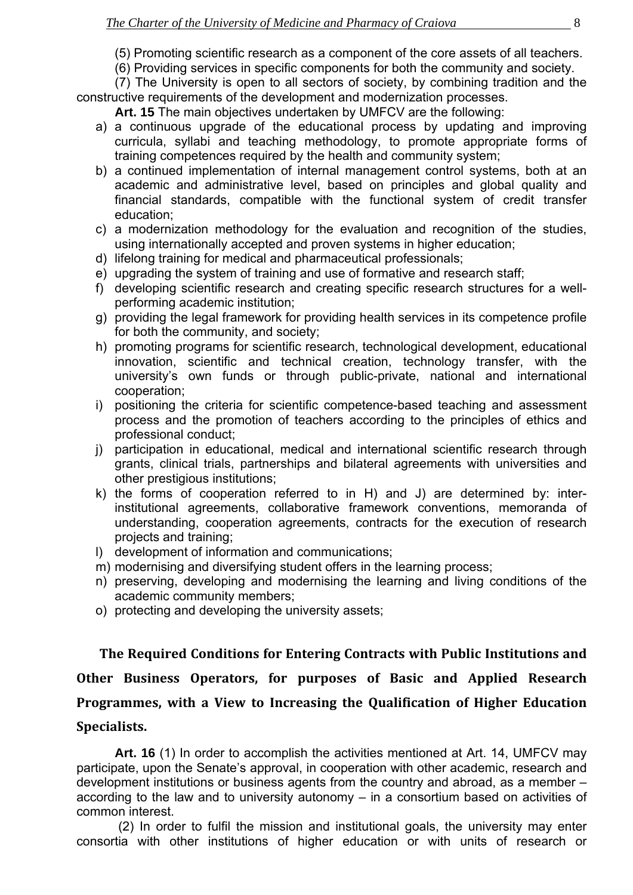(5) Promoting scientific research as a component of the core assets of all teachers.

(6) Providing services in specific components for both the community and society.

<span id="page-6-0"></span>(7) The University is open to all sectors of society, by combining tradition and the constructive requirements of the development and modernization processes.

**Art. 15** The main objectives undertaken by UMFCV are the following:

- a) a continuous upgrade of the educational process by updating and improving curricula, syllabi and teaching methodology, to promote appropriate forms of training competences required by the health and community system;
- b) a continued implementation of internal management control systems, both at an academic and administrative level, based on principles and global quality and financial standards, compatible with the functional system of credit transfer education;
- c) a modernization methodology for the evaluation and recognition of the studies, using internationally accepted and proven systems in higher education;
- d) lifelong training for medical and pharmaceutical professionals;
- e) upgrading the system of training and use of formative and research staff;
- f) developing scientific research and creating specific research structures for a wellperforming academic institution;
- g) providing the legal framework for providing health services in its competence profile for both the community, and society;
- h) promoting programs for scientific research, technological development, educational innovation, scientific and technical creation, technology transfer, with the university's own funds or through public-private, national and international cooperation;
- i) positioning the criteria for scientific competence-based teaching and assessment process and the promotion of teachers according to the principles of ethics and professional conduct;
- j) participation in educational, medical and international scientific research through grants, clinical trials, partnerships and bilateral agreements with universities and other prestigious institutions;
- k) the forms of cooperation referred to in H) and J) are determined by: interinstitutional agreements, collaborative framework conventions, memoranda of understanding, cooperation agreements, contracts for the execution of research projects and training;
- l) development of information and communications;
- m) modernising and diversifying student offers in the learning process;
- n) preserving, developing and modernising the learning and living conditions of the academic community members;
- o) protecting and developing the university assets;

**The Required Conditions for Entering Contracts with Public Institutions and Other Business Operators, for purposes of Basic and Applied Research Programmes, with a View to Increasing the Qualification of Higher Education Specialists.**

**Art. 16** (1) In order to accomplish the activities mentioned at Art. 14, UMFCV may participate, upon the Senate's approval, in cooperation with other academic, research and development institutions or business agents from the country and abroad, as a member – according to the law and to university autonomy – in a consortium based on activities of common interest.

 (2) In order to fulfil the mission and institutional goals, the university may enter consortia with other institutions of higher education or with units of research or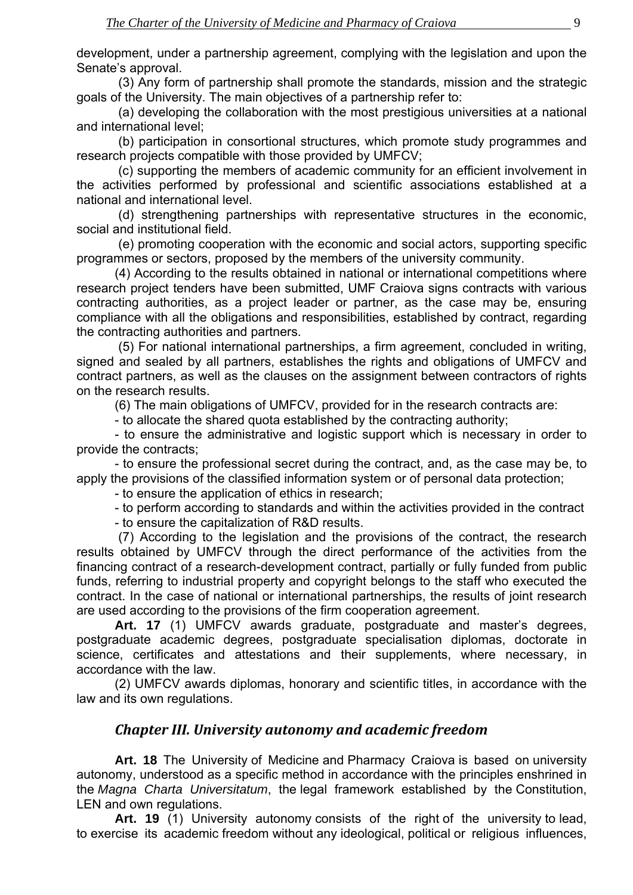<span id="page-7-0"></span>development, under a partnership agreement, complying with the legislation and upon the Senate's approval.

 (3) Any form of partnership shall promote the standards, mission and the strategic goals of the University. The main objectives of a partnership refer to:

 (a) developing the collaboration with the most prestigious universities at a national and international level;

 (b) participation in consortional structures, which promote study programmes and research projects compatible with those provided by UMFCV;

 (c) supporting the members of academic community for an efficient involvement in the activities performed by professional and scientific associations established at a national and international level.

 (d) strengthening partnerships with representative structures in the economic, social and institutional field.

 (e) promoting cooperation with the economic and social actors, supporting specific programmes or sectors, proposed by the members of the university community.

(4) According to the results obtained in national or international competitions where research project tenders have been submitted, UMF Craiova signs contracts with various contracting authorities, as a project leader or partner, as the case may be, ensuring compliance with all the obligations and responsibilities, established by contract, regarding the contracting authorities and partners.

 (5) For national international partnerships, a firm agreement, concluded in writing, signed and sealed by all partners, establishes the rights and obligations of UMFCV and contract partners, as well as the clauses on the assignment between contractors of rights on the research results.

(6) The main obligations of UMFCV, provided for in the research contracts are:

- to allocate the shared quota established by the contracting authority;

- to ensure the administrative and logistic support which is necessary in order to provide the contracts;

- to ensure the professional secret during the contract, and, as the case may be, to apply the provisions of the classified information system or of personal data protection;

- to ensure the application of ethics in research;

- to perform according to standards and within the activities provided in the contract

- to ensure the capitalization of R&D results.

(7) According to the legislation and the provisions of the contract, the research results obtained by UMFCV through the direct performance of the activities from the financing contract of a research-development contract, partially or fully funded from public funds, referring to industrial property and copyright belongs to the staff who executed the contract. In the case of national or international partnerships, the results of joint research are used according to the provisions of the firm cooperation agreement.

**Art. 17** (1) UMFCV awards graduate, postgraduate and master's degrees, postgraduate academic degrees, postgraduate specialisation diplomas, doctorate in science, certificates and attestations and their supplements, where necessary, in accordance with the law.

(2) UMFCV awards diplomas, honorary and scientific titles, in accordance with the law and its own regulations.

## *Chapter III. University autonomy and academic freedom*

**Art. 18** The University of Medicine and Pharmacy Craiova is based on university autonomy, understood as a specific method in accordance with the principles enshrined in the *Magna Charta Universitatum*, the legal framework established by the Constitution, LEN and own regulations.

**Art. 19** (1) University autonomy consists of the right of the university to lead, to exercise its academic freedom without any ideological, political or religious influences,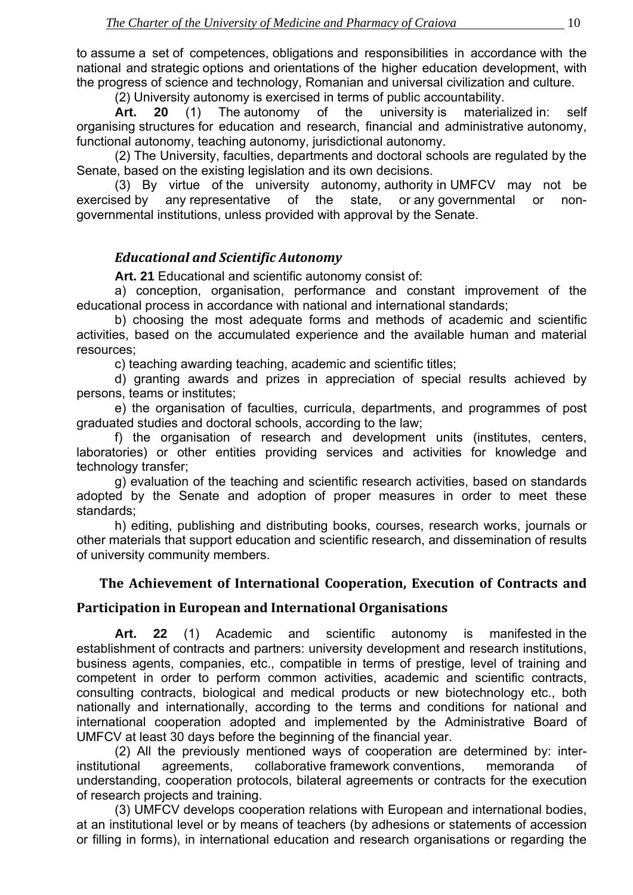<span id="page-8-0"></span>to assume a set of competences, obligations and responsibilities in accordance with the national and strategic options and orientations of the higher education development, with the progress of science and technology, Romanian and universal civilization and culture.

(2) University autonomy is exercised in terms of public accountability.

 **Art. 20** (1) The autonomy of the university is materialized in: self organising structures for education and research, financial and administrative autonomy, functional autonomy, teaching autonomy, jurisdictional autonomy.

 (2) The University, faculties, departments and doctoral schools are regulated by the Senate, based on the existing legislation and its own decisions.

 (3) By virtue of the university autonomy, authority in UMFCV may not be exercised by any representative of the state, or any governmental or nongovernmental institutions, unless provided with approval by the Senate.

## *Educational and Scientific Autonomy*

**Art. 21** Educational and scientific autonomy consist of:

a) conception, organisation, performance and constant improvement of the educational process in accordance with national and international standards;

b) choosing the most adequate forms and methods of academic and scientific activities, based on the accumulated experience and the available human and material resources;

c) teaching awarding teaching, academic and scientific titles;

d) granting awards and prizes in appreciation of special results achieved by persons, teams or institutes;

e) the organisation of faculties, curricula, departments, and programmes of post graduated studies and doctoral schools, according to the law;

f) the organisation of research and development units (institutes, centers, laboratories) or other entities providing services and activities for knowledge and technology transfer;

g) evaluation of the teaching and scientific research activities, based on standards adopted by the Senate and adoption of proper measures in order to meet these standards;

h) editing, publishing and distributing books, courses, research works, journals or other materials that support education and scientific research, and dissemination of results of university community members.

## **The Achievement of International Cooperation, Execution of Contracts and**

## **Participation in European and International Organisations**

**Art. 22** (1) Academic and scientific autonomy is manifested in the establishment of contracts and partners: university development and research institutions, business agents, companies, etc., compatible in terms of prestige, level of training and competent in order to perform common activities, academic and scientific contracts, consulting contracts, biological and medical products or new biotechnology etc., both nationally and internationally, according to the terms and conditions for national and international cooperation adopted and implemented by the Administrative Board of UMFCV at least 30 days before the beginning of the financial year.

(2) All the previously mentioned ways of cooperation are determined by: interinstitutional agreements, collaborative framework conventions, memoranda of understanding, cooperation protocols, bilateral agreements or contracts for the execution of research projects and training.

(3) UMFCV develops cooperation relations with European and international bodies, at an institutional level or by means of teachers (by adhesions or statements of accession or filling in forms), in international education and research organisations or regarding the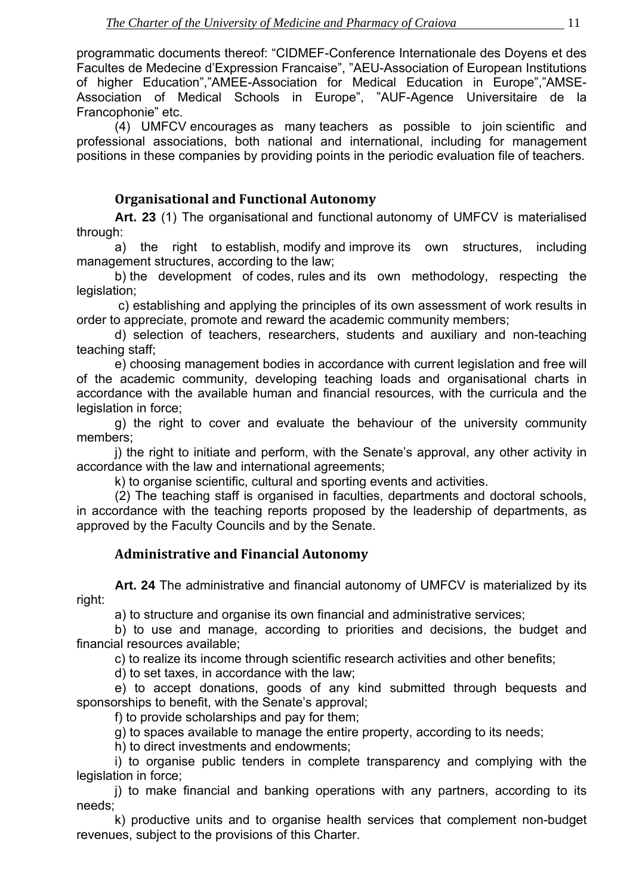<span id="page-9-0"></span>programmatic documents thereof: "CIDMEF-Conference Internationale des Doyens et des Facultes de Medecine d'Expression Francaise", "AEU-Association of European Institutions of higher Education","AMEE-Association for Medical Education in Europe","AMSE-Association of Medical Schools in Europe", "AUF-Agence Universitaire de la Francophonie" etc.

(4) UMFCV encourages as many teachers as possible to join scientific and professional associations, both national and international, including for management positions in these companies by providing points in the periodic evaluation file of teachers.

## **Organisational and Functional Autonomy**

**Art. 23** (1) The organisational and functional autonomy of UMFCV is materialised through:

a) the right to establish, modify and improve its own structures, including management structures, according to the law;

b) the development of codes, rules and its own methodology, respecting the legislation;

 c) establishing and applying the principles of its own assessment of work results in order to appreciate, promote and reward the academic community members;

d) selection of teachers, researchers, students and auxiliary and non-teaching teaching staff;

e) choosing management bodies in accordance with current legislation and free will of the academic community, developing teaching loads and organisational charts in accordance with the available human and financial resources, with the curricula and the legislation in force;

g) the right to cover and evaluate the behaviour of the university community members;

j) the right to initiate and perform, with the Senate's approval, any other activity in accordance with the law and international agreements;

k) to organise scientific, cultural and sporting events and activities.

(2) The teaching staff is organised in faculties, departments and doctoral schools, in accordance with the teaching reports proposed by the leadership of departments, as approved by the Faculty Councils and by the Senate.

## **Administrative and Financial Autonomy**

**Art. 24** The administrative and financial autonomy of UMFCV is materialized by its right:

a) to structure and organise its own financial and administrative services;

b) to use and manage, according to priorities and decisions, the budget and financial resources available;

c) to realize its income through scientific research activities and other benefits;

d) to set taxes, in accordance with the law;

e) to accept donations, goods of any kind submitted through bequests and sponsorships to benefit, with the Senate's approval;

f) to provide scholarships and pay for them;

g) to spaces available to manage the entire property, according to its needs;

h) to direct investments and endowments;

i) to organise public tenders in complete transparency and complying with the legislation in force;

j) to make financial and banking operations with any partners, according to its needs;

k) productive units and to organise health services that complement non-budget revenues, subject to the provisions of this Charter.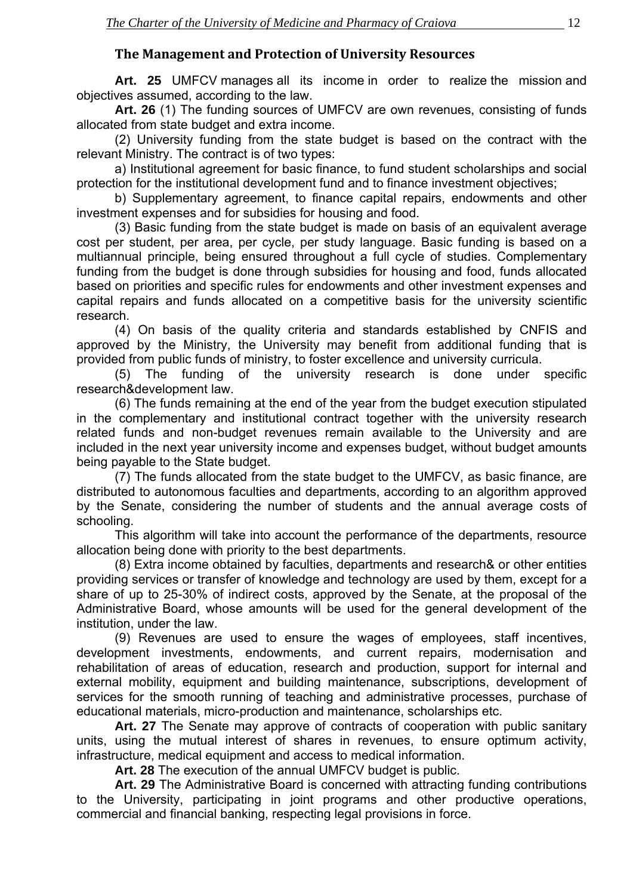## **The Management and Protection of University Resources**

<span id="page-10-0"></span>**Art. 25** UMFCV manages all its income in order to realize the mission and objectives assumed, according to the law.

**Art. 26** (1) The funding sources of UMFCV are own revenues, consisting of funds allocated from state budget and extra income.

(2) University funding from the state budget is based on the contract with the relevant Ministry. The contract is of two types:

a) Institutional agreement for basic finance, to fund student scholarships and social protection for the institutional development fund and to finance investment objectives;

b) Supplementary agreement, to finance capital repairs, endowments and other investment expenses and for subsidies for housing and food.

(3) Basic funding from the state budget is made on basis of an equivalent average cost per student, per area, per cycle, per study language. Basic funding is based on a multiannual principle, being ensured throughout a full cycle of studies. Complementary funding from the budget is done through subsidies for housing and food, funds allocated based on priorities and specific rules for endowments and other investment expenses and capital repairs and funds allocated on a competitive basis for the university scientific research.

(4) On basis of the quality criteria and standards established by CNFIS and approved by the Ministry, the University may benefit from additional funding that is provided from public funds of ministry, to foster excellence and university curricula.

(5) The funding of the university research is done under specific research&development law.

(6) The funds remaining at the end of the year from the budget execution stipulated in the complementary and institutional contract together with the university research related funds and non-budget revenues remain available to the University and are included in the next year university income and expenses budget, without budget amounts being payable to the State budget.

(7) The funds allocated from the state budget to the UMFCV, as basic finance, are distributed to autonomous faculties and departments, according to an algorithm approved by the Senate, considering the number of students and the annual average costs of schooling.

This algorithm will take into account the performance of the departments, resource allocation being done with priority to the best departments.

(8) Extra income obtained by faculties, departments and research& or other entities providing services or transfer of knowledge and technology are used by them, except for a share of up to 25-30% of indirect costs, approved by the Senate, at the proposal of the Administrative Board, whose amounts will be used for the general development of the institution, under the law.

(9) Revenues are used to ensure the wages of employees, staff incentives, development investments, endowments, and current repairs, modernisation and rehabilitation of areas of education, research and production, support for internal and external mobility, equipment and building maintenance, subscriptions, development of services for the smooth running of teaching and administrative processes, purchase of educational materials, micro-production and maintenance, scholarships etc.

 **Art. 27** The Senate may approve of contracts of cooperation with public sanitary units, using the mutual interest of shares in revenues, to ensure optimum activity, infrastructure, medical equipment and access to medical information.

**Art. 28** The execution of the annual UMFCV budget is public.

**Art. 29** The Administrative Board is concerned with attracting funding contributions to the University, participating in joint programs and other productive operations, commercial and financial banking, respecting legal provisions in force.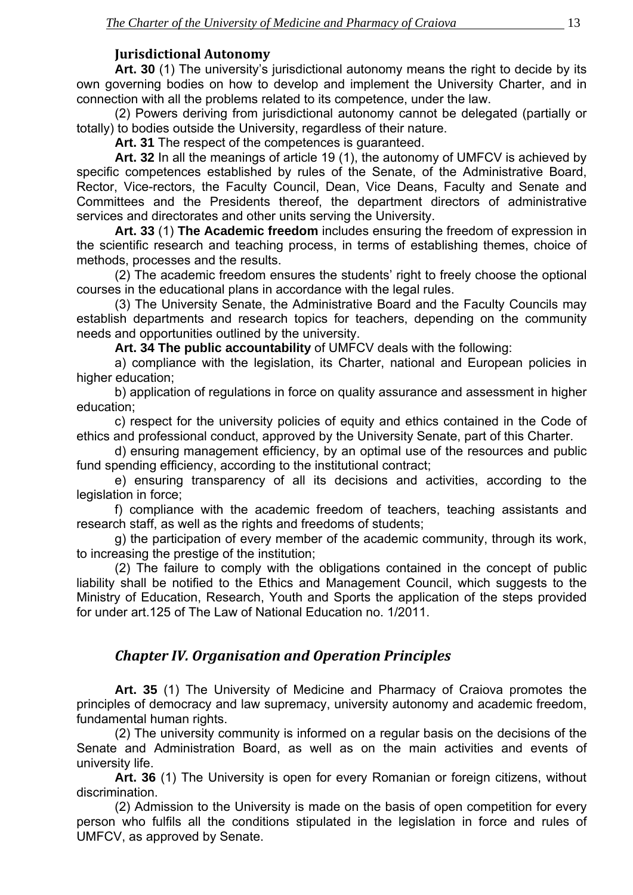## **Jurisdictional Autonomy**

<span id="page-11-0"></span>Art. 30 (1) The university's jurisdictional autonomy means the right to decide by its own governing bodies on how to develop and implement the University Charter, and in connection with all the problems related to its competence, under the law.

(2) Powers deriving from jurisdictional autonomy cannot be delegated (partially or totally) to bodies outside the University, regardless of their nature.

**Art. 31** The respect of the competences is guaranteed.

**Art. 32** In all the meanings of article 19 (1), the autonomy of UMFCV is achieved by specific competences established by rules of the Senate, of the Administrative Board, Rector, Vice-rectors, the Faculty Council, Dean, Vice Deans, Faculty and Senate and Committees and the Presidents thereof, the department directors of administrative services and directorates and other units serving the University.

 **Art. 33** (1) **The Academic freedom** includes ensuring the freedom of expression in the scientific research and teaching process, in terms of establishing themes, choice of methods, processes and the results.

 (2) The academic freedom ensures the students' right to freely choose the optional courses in the educational plans in accordance with the legal rules.

 (3) The University Senate, the Administrative Board and the Faculty Councils may establish departments and research topics for teachers, depending on the community needs and opportunities outlined by the university.

 **Art. 34 The public accountability** of UMFCV deals with the following:

 a) compliance with the legislation, its Charter, national and European policies in higher education;

 b) application of regulations in force on quality assurance and assessment in higher education;

 c) respect for the university policies of equity and ethics contained in the Code of ethics and professional conduct, approved by the University Senate, part of this Charter.

 d) ensuring management efficiency, by an optimal use of the resources and public fund spending efficiency, according to the institutional contract;

 e) ensuring transparency of all its decisions and activities, according to the legislation in force;

 f) compliance with the academic freedom of teachers, teaching assistants and research staff, as well as the rights and freedoms of students;

 g) the participation of every member of the academic community, through its work, to increasing the prestige of the institution;

 (2) The failure to comply with the obligations contained in the concept of public liability shall be notified to the Ethics and Management Council, which suggests to the Ministry of Education, Research, Youth and Sports the application of the steps provided for under art.125 of The Law of National Education no. 1/2011.

## *Chapter IV. Organisation and Operation Principles*

**Art. 35** (1) The University of Medicine and Pharmacy of Craiova promotes the principles of democracy and law supremacy, university autonomy and academic freedom, fundamental human rights.

(2) The university community is informed on a regular basis on the decisions of the Senate and Administration Board, as well as on the main activities and events of university life.

**Art. 36** (1) The University is open for every Romanian or foreign citizens, without discrimination.

(2) Admission to the University is made on the basis of open competition for every person who fulfils all the conditions stipulated in the legislation in force and rules of UMFCV, as approved by Senate.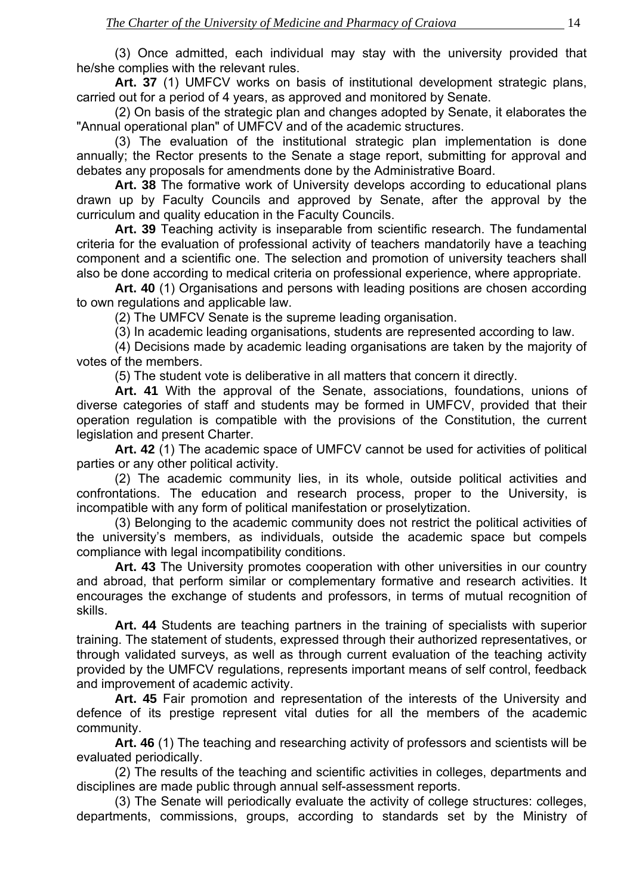(3) Once admitted, each individual may stay with the university provided that he/she complies with the relevant rules.

**Art. 37** (1) UMFCV works on basis of institutional development strategic plans, carried out for a period of 4 years, as approved and monitored by Senate.

(2) On basis of the strategic plan and changes adopted by Senate, it elaborates the "Annual operational plan" of UMFCV and of the academic structures.

(3) The evaluation of the institutional strategic plan implementation is done annually; the Rector presents to the Senate a stage report, submitting for approval and debates any proposals for amendments done by the Administrative Board.

**Art. 38** The formative work of University develops according to educational plans drawn up by Faculty Councils and approved by Senate, after the approval by the curriculum and quality education in the Faculty Councils.

**Art. 39** Teaching activity is inseparable from scientific research. The fundamental criteria for the evaluation of professional activity of teachers mandatorily have a teaching component and a scientific one. The selection and promotion of university teachers shall also be done according to medical criteria on professional experience, where appropriate.

**Art. 40** (1) Organisations and persons with leading positions are chosen according to own regulations and applicable law.

(2) The UMFCV Senate is the supreme leading organisation.

(3) In academic leading organisations, students are represented according to law.

(4) Decisions made by academic leading organisations are taken by the majority of votes of the members.

(5) The student vote is deliberative in all matters that concern it directly.

**Art. 41** With the approval of the Senate, associations, foundations, unions of diverse categories of staff and students may be formed in UMFCV, provided that their operation regulation is compatible with the provisions of the Constitution, the current legislation and present Charter.

**Art. 42** (1) The academic space of UMFCV cannot be used for activities of political parties or any other political activity.

(2) The academic community lies, in its whole, outside political activities and confrontations. The education and research process, proper to the University, is incompatible with any form of political manifestation or proselytization.

(3) Belonging to the academic community does not restrict the political activities of the university's members, as individuals, outside the academic space but compels compliance with legal incompatibility conditions.

**Art. 43** The University promotes cooperation with other universities in our country and abroad, that perform similar or complementary formative and research activities. It encourages the exchange of students and professors, in terms of mutual recognition of skills.

**Art. 44** Students are teaching partners in the training of specialists with superior training. The statement of students, expressed through their authorized representatives, or through validated surveys, as well as through current evaluation of the teaching activity provided by the UMFCV regulations, represents important means of self control, feedback and improvement of academic activity.

**Art. 45** Fair promotion and representation of the interests of the University and defence of its prestige represent vital duties for all the members of the academic community.

**Art. 46** (1) The teaching and researching activity of professors and scientists will be evaluated periodically.

(2) The results of the teaching and scientific activities in colleges, departments and disciplines are made public through annual self-assessment reports.

(3) The Senate will periodically evaluate the activity of college structures: colleges, departments, commissions, groups, according to standards set by the Ministry of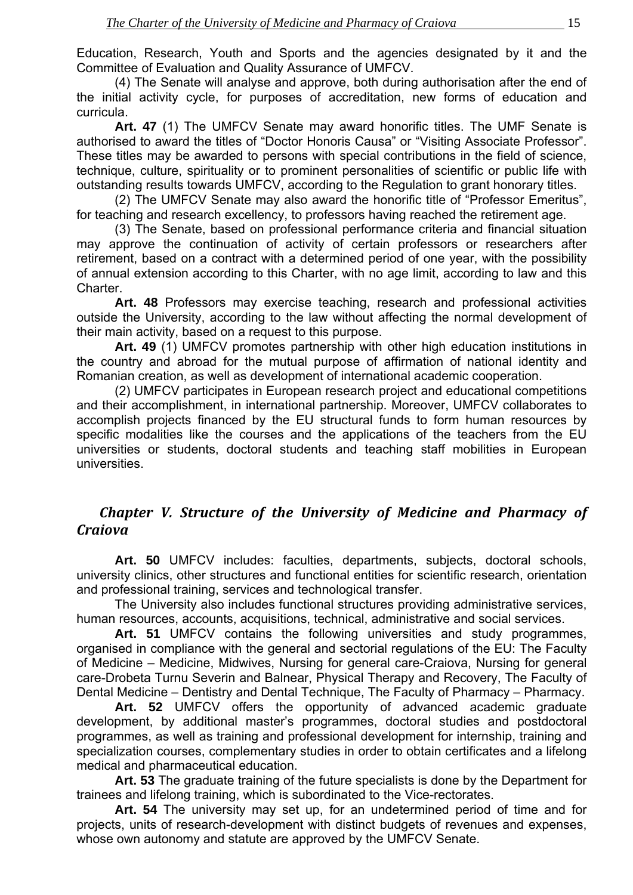<span id="page-13-0"></span>Education, Research, Youth and Sports and the agencies designated by it and the Committee of Evaluation and Quality Assurance of UMFCV.

(4) The Senate will analyse and approve, both during authorisation after the end of the initial activity cycle, for purposes of accreditation, new forms of education and curricula.

**Art. 47** (1) The UMFCV Senate may award honorific titles. The UMF Senate is authorised to award the titles of "Doctor Honoris Causa" or "Visiting Associate Professor". These titles may be awarded to persons with special contributions in the field of science, technique, culture, spirituality or to prominent personalities of scientific or public life with outstanding results towards UMFCV, according to the Regulation to grant honorary titles.

(2) The UMFCV Senate may also award the honorific title of "Professor Emeritus", for teaching and research excellency, to professors having reached the retirement age.

(3) The Senate, based on professional performance criteria and financial situation may approve the continuation of activity of certain professors or researchers after retirement, based on a contract with a determined period of one year, with the possibility of annual extension according to this Charter, with no age limit, according to law and this Charter.

**Art. 48** Professors may exercise teaching, research and professional activities outside the University, according to the law without affecting the normal development of their main activity, based on a request to this purpose.

**Art. 49** (1) UMFCV promotes partnership with other high education institutions in the country and abroad for the mutual purpose of affirmation of national identity and Romanian creation, as well as development of international academic cooperation.

(2) UMFCV participates in European research project and educational competitions and their accomplishment, in international partnership. Moreover, UMFCV collaborates to accomplish projects financed by the EU structural funds to form human resources by specific modalities like the courses and the applications of the teachers from the EU universities or students, doctoral students and teaching staff mobilities in European universities.

## *Chapter V. Structure of the University of Medicine and Pharmacy of Craiova*

**Art. 50** UMFCV includes: faculties, departments, subjects, doctoral schools, university clinics, other structures and functional entities for scientific research, orientation and professional training, services and technological transfer.

The University also includes functional structures providing administrative services, human resources, accounts, acquisitions, technical, administrative and social services.

 **Art. 51** UMFCV contains the following universities and study programmes, organised in compliance with the general and sectorial regulations of the EU: The Faculty of Medicine – Medicine, Midwives, Nursing for general care-Craiova, Nursing for general care-Drobeta Turnu Severin and Balnear, Physical Therapy and Recovery, The Faculty of Dental Medicine – Dentistry and Dental Technique, The Faculty of Pharmacy – Pharmacy.

**Art. 52** UMFCV offers the opportunity of advanced academic graduate development, by additional master's programmes, doctoral studies and postdoctoral programmes, as well as training and professional development for internship, training and specialization courses, complementary studies in order to obtain certificates and a lifelong medical and pharmaceutical education.

**Art. 53** The graduate training of the future specialists is done by the Department for trainees and lifelong training, which is subordinated to the Vice-rectorates.

**Art. 54** The university may set up, for an undetermined period of time and for projects, units of research-development with distinct budgets of revenues and expenses, whose own autonomy and statute are approved by the UMFCV Senate.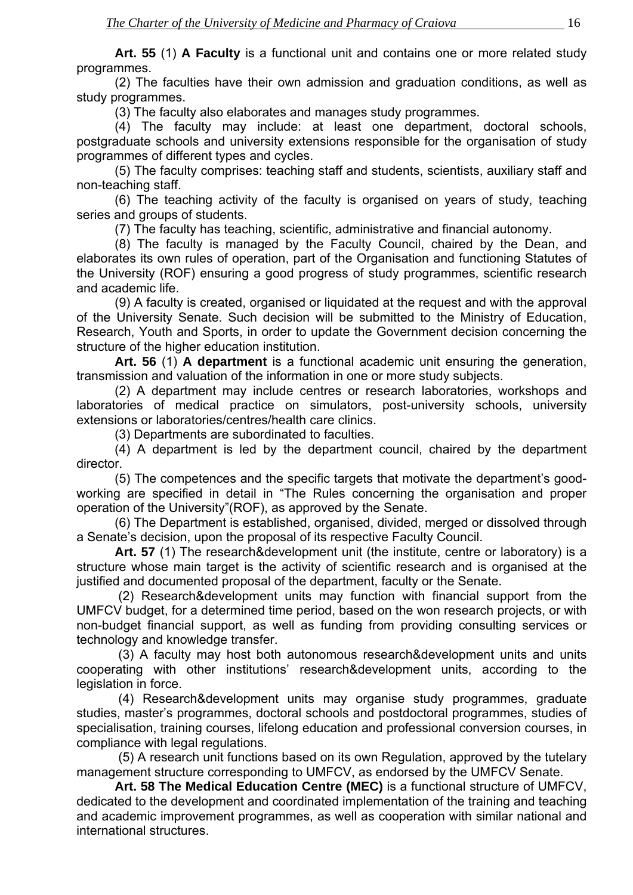**Art. 55** (1) **A Faculty** is a functional unit and contains one or more related study programmes.

(2) The faculties have their own admission and graduation conditions, as well as study programmes.

(3) The faculty also elaborates and manages study programmes.

(4) The faculty may include: at least one department, doctoral schools, postgraduate schools and university extensions responsible for the organisation of study programmes of different types and cycles.

(5) The faculty comprises: teaching staff and students, scientists, auxiliary staff and non-teaching staff.

(6) The teaching activity of the faculty is organised on years of study, teaching series and groups of students.

(7) The faculty has teaching, scientific, administrative and financial autonomy.

(8) The faculty is managed by the Faculty Council, chaired by the Dean, and elaborates its own rules of operation, part of the Organisation and functioning Statutes of the University (ROF) ensuring a good progress of study programmes, scientific research and academic life.

(9) A faculty is created, organised or liquidated at the request and with the approval of the University Senate. Such decision will be submitted to the Ministry of Education, Research, Youth and Sports, in order to update the Government decision concerning the structure of the higher education institution.

 **Art. 56** (1) **A department** is a functional academic unit ensuring the generation, transmission and valuation of the information in one or more study subjects.

 (2) A department may include centres or research laboratories, workshops and laboratories of medical practice on simulators, post-university schools, university extensions or laboratories/centres/health care clinics.

(3) Departments are subordinated to faculties.

 (4) A department is led by the department council, chaired by the department director.

 (5) The competences and the specific targets that motivate the department's goodworking are specified in detail in "The Rules concerning the organisation and proper operation of the University"(ROF), as approved by the Senate.

 (6) The Department is established, organised, divided, merged or dissolved through a Senate's decision, upon the proposal of its respective Faculty Council.

**Art. 57** (1) The research&development unit (the institute, centre or laboratory) is a structure whose main target is the activity of scientific research and is organised at the justified and documented proposal of the department, faculty or the Senate.

 (2) Research&development units may function with financial support from the UMFCV budget, for a determined time period, based on the won research projects, or with non-budget financial support, as well as funding from providing consulting services or technology and knowledge transfer.

 (3) A faculty may host both autonomous research&development units and units cooperating with other institutions' research&development units, according to the legislation in force.

 (4) Research&development units may organise study programmes, graduate studies, master's programmes, doctoral schools and postdoctoral programmes, studies of specialisation, training courses, lifelong education and professional conversion courses, in compliance with legal regulations.

 (5) A research unit functions based on its own Regulation, approved by the tutelary management structure corresponding to UMFCV, as endorsed by the UMFCV Senate.

**Art. 58 The Medical Education Centre (MEC)** is a functional structure of UMFCV, dedicated to the development and coordinated implementation of the training and teaching and academic improvement programmes, as well as cooperation with similar national and international structures.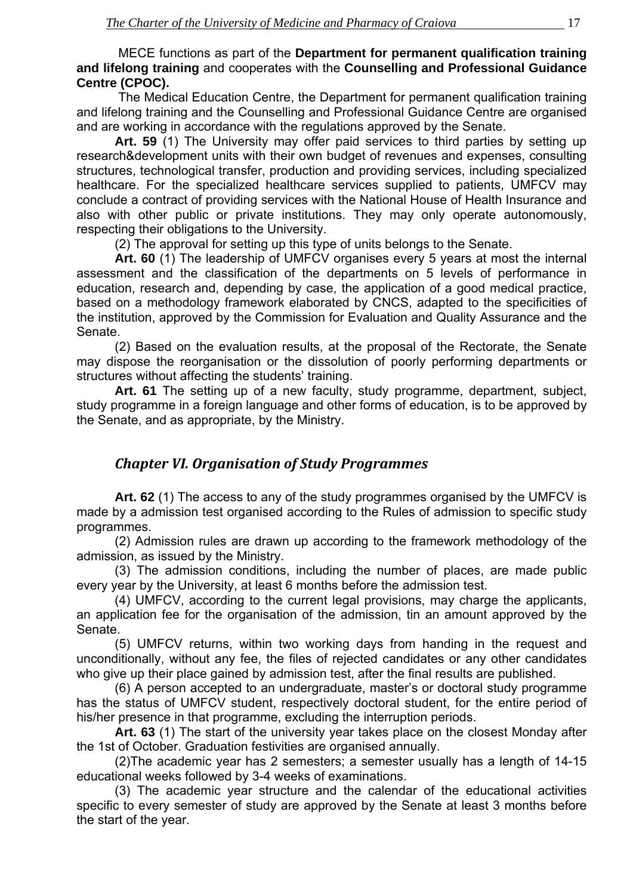<span id="page-15-0"></span> MECE functions as part of the **Department for permanent qualification training and lifelong training** and cooperates with the **Counselling and Professional Guidance Centre (CPOC).** 

 The Medical Education Centre, the Department for permanent qualification training and lifelong training and the Counselling and Professional Guidance Centre are organised and are working in accordance with the regulations approved by the Senate.

**Art. 59** (1) The University may offer paid services to third parties by setting up research&development units with their own budget of revenues and expenses, consulting structures, technological transfer, production and providing services, including specialized healthcare. For the specialized healthcare services supplied to patients, UMFCV may conclude a contract of providing services with the National House of Health Insurance and also with other public or private institutions. They may only operate autonomously, respecting their obligations to the University.

(2) The approval for setting up this type of units belongs to the Senate.

**Art. 60** (1) The leadership of UMFCV organises every 5 years at most the internal assessment and the classification of the departments on 5 levels of performance in education, research and, depending by case, the application of a good medical practice, based on a methodology framework elaborated by CNCS, adapted to the specificities of the institution, approved by the Commission for Evaluation and Quality Assurance and the Senate.

(2) Based on the evaluation results, at the proposal of the Rectorate, the Senate may dispose the reorganisation or the dissolution of poorly performing departments or structures without affecting the students' training.

**Art. 61** The setting up of a new faculty, study programme, department, subject, study programme in a foreign language and other forms of education, is to be approved by the Senate, and as appropriate, by the Ministry.

## *Chapter VI. Organisation of Study Programmes*

 **Art. 62** (1) The access to any of the study programmes organised by the UMFCV is made by a admission test organised according to the Rules of admission to specific study programmes.

 (2) Admission rules are drawn up according to the framework methodology of the admission, as issued by the Ministry.

 (3) The admission conditions, including the number of places, are made public every year by the University, at least 6 months before the admission test.

 (4) UMFCV, according to the current legal provisions, may charge the applicants, an application fee for the organisation of the admission, tin an amount approved by the Senate.

 (5) UMFCV returns, within two working days from handing in the request and unconditionally, without any fee, the files of rejected candidates or any other candidates who give up their place gained by admission test, after the final results are published.

 (6) A person accepted to an undergraduate, master's or doctoral study programme has the status of UMFCV student, respectively doctoral student, for the entire period of his/her presence in that programme, excluding the interruption periods.

**Art. 63** (1) The start of the university year takes place on the closest Monday after the 1st of October. Graduation festivities are organised annually.

(2)The academic year has 2 semesters; a semester usually has a length of 14-15 educational weeks followed by 3-4 weeks of examinations.

(3) The academic year structure and the calendar of the educational activities specific to every semester of study are approved by the Senate at least 3 months before the start of the year.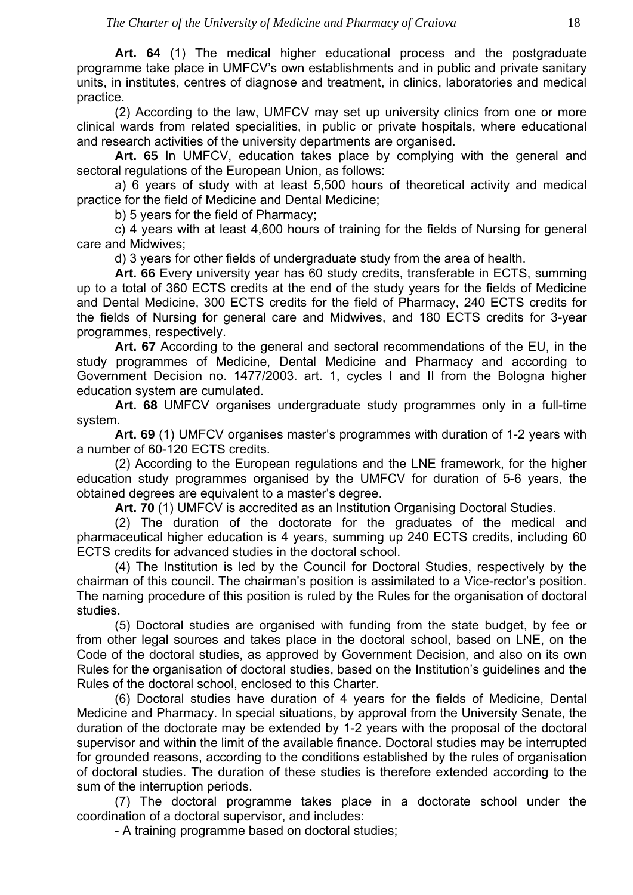**Art. 64** (1) The medical higher educational process and the postgraduate programme take place in UMFCV's own establishments and in public and private sanitary units, in institutes, centres of diagnose and treatment, in clinics, laboratories and medical practice.

 (2) According to the law, UMFCV may set up university clinics from one or more clinical wards from related specialities, in public or private hospitals, where educational and research activities of the university departments are organised.

**Art. 65** In UMFCV, education takes place by complying with the general and sectoral regulations of the European Union, as follows:

 a) 6 years of study with at least 5,500 hours of theoretical activity and medical practice for the field of Medicine and Dental Medicine;

b) 5 years for the field of Pharmacy;

 c) 4 years with at least 4,600 hours of training for the fields of Nursing for general care and Midwives;

d) 3 years for other fields of undergraduate study from the area of health.

 **Art. 66** Every university year has 60 study credits, transferable in ECTS, summing up to a total of 360 ECTS credits at the end of the study years for the fields of Medicine and Dental Medicine, 300 ECTS credits for the field of Pharmacy, 240 ECTS credits for the fields of Nursing for general care and Midwives, and 180 ECTS credits for 3-year programmes, respectively.

**Art. 67** According to the general and sectoral recommendations of the EU, in the study programmes of Medicine, Dental Medicine and Pharmacy and according to Government Decision no. 1477/2003. art. 1, cycles I and II from the Bologna higher education system are cumulated.

**Art. 68** UMFCV organises undergraduate study programmes only in a full-time system.

**Art. 69** (1) UMFCV organises master's programmes with duration of 1-2 years with a number of 60-120 ECTS credits.

 (2) According to the European regulations and the LNE framework, for the higher education study programmes organised by the UMFCV for duration of 5-6 years, the obtained degrees are equivalent to a master's degree.

**Art. 70** (1) UMFCV is accredited as an Institution Organising Doctoral Studies.

 (2) The duration of the doctorate for the graduates of the medical and pharmaceutical higher education is 4 years, summing up 240 ECTS credits, including 60 ECTS credits for advanced studies in the doctoral school.

 (4) The Institution is led by the Council for Doctoral Studies, respectively by the chairman of this council. The chairman's position is assimilated to a Vice-rector's position. The naming procedure of this position is ruled by the Rules for the organisation of doctoral studies.

 (5) Doctoral studies are organised with funding from the state budget, by fee or from other legal sources and takes place in the doctoral school, based on LNE, on the Code of the doctoral studies, as approved by Government Decision, and also on its own Rules for the organisation of doctoral studies, based on the Institution's guidelines and the Rules of the doctoral school, enclosed to this Charter.

 (6) Doctoral studies have duration of 4 years for the fields of Medicine, Dental Medicine and Pharmacy. In special situations, by approval from the University Senate, the duration of the doctorate may be extended by 1-2 years with the proposal of the doctoral supervisor and within the limit of the available finance. Doctoral studies may be interrupted for grounded reasons, according to the conditions established by the rules of organisation of doctoral studies. The duration of these studies is therefore extended according to the sum of the interruption periods.

 (7) The doctoral programme takes place in a doctorate school under the coordination of a doctoral supervisor, and includes:

- A training programme based on doctoral studies;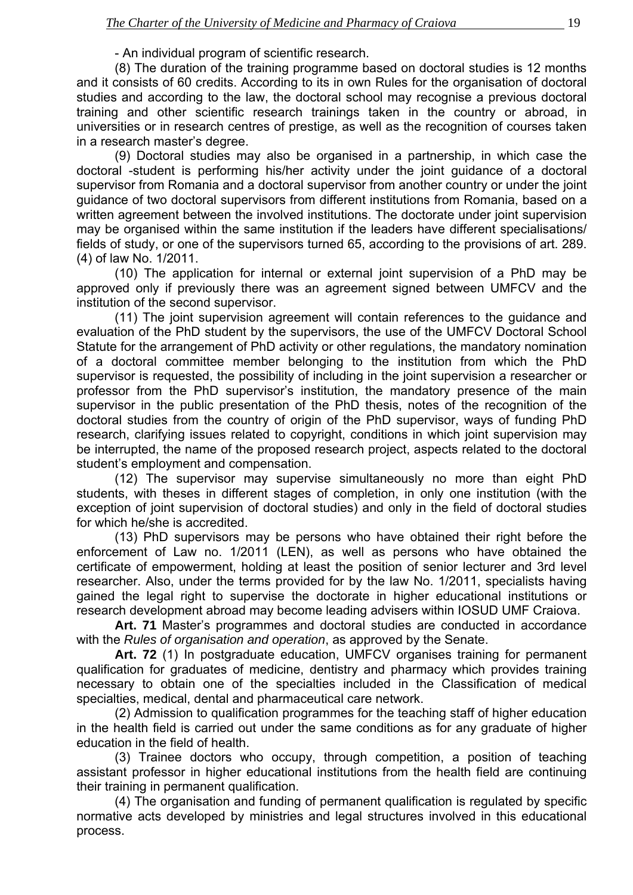#### - An individual program of scientific research.

 (8) The duration of the training programme based on doctoral studies is 12 months and it consists of 60 credits. According to its in own Rules for the organisation of doctoral studies and according to the law, the doctoral school may recognise a previous doctoral training and other scientific research trainings taken in the country or abroad, in universities or in research centres of prestige, as well as the recognition of courses taken in a research master's degree.

 (9) Doctoral studies may also be organised in a partnership, in which case the doctoral -student is performing his/her activity under the joint guidance of a doctoral supervisor from Romania and a doctoral supervisor from another country or under the joint guidance of two doctoral supervisors from different institutions from Romania, based on a written agreement between the involved institutions. The doctorate under joint supervision may be organised within the same institution if the leaders have different specialisations/ fields of study, or one of the supervisors turned 65, according to the provisions of art. 289. (4) of law No. 1/2011.

 (10) The application for internal or external joint supervision of a PhD may be approved only if previously there was an agreement signed between UMFCV and the institution of the second supervisor.

 (11) The joint supervision agreement will contain references to the guidance and evaluation of the PhD student by the supervisors, the use of the UMFCV Doctoral School Statute for the arrangement of PhD activity or other regulations, the mandatory nomination of a doctoral committee member belonging to the institution from which the PhD supervisor is requested, the possibility of including in the joint supervision a researcher or professor from the PhD supervisor's institution, the mandatory presence of the main supervisor in the public presentation of the PhD thesis, notes of the recognition of the doctoral studies from the country of origin of the PhD supervisor, ways of funding PhD research, clarifying issues related to copyright, conditions in which joint supervision may be interrupted, the name of the proposed research project, aspects related to the doctoral student's employment and compensation.

 (12) The supervisor may supervise simultaneously no more than eight PhD students, with theses in different stages of completion, in only one institution (with the exception of joint supervision of doctoral studies) and only in the field of doctoral studies for which he/she is accredited.

 (13) PhD supervisors may be persons who have obtained their right before the enforcement of Law no. 1/2011 (LEN), as well as persons who have obtained the certificate of empowerment, holding at least the position of senior lecturer and 3rd level researcher. Also, under the terms provided for by the law No. 1/2011, specialists having gained the legal right to supervise the doctorate in higher educational institutions or research development abroad may become leading advisers within IOSUD UMF Craiova.

**Art. 71** Master's programmes and doctoral studies are conducted in accordance with the *Rules of organisation and operation*, as approved by the Senate.

**Art. 72** (1) In postgraduate education, UMFCV organises training for permanent qualification for graduates of medicine, dentistry and pharmacy which provides training necessary to obtain one of the specialties included in the Classification of medical specialties, medical, dental and pharmaceutical care network.

 (2) Admission to qualification programmes for the teaching staff of higher education in the health field is carried out under the same conditions as for any graduate of higher education in the field of health.

 (3) Trainee doctors who occupy, through competition, a position of teaching assistant professor in higher educational institutions from the health field are continuing their training in permanent qualification.

 (4) The organisation and funding of permanent qualification is regulated by specific normative acts developed by ministries and legal structures involved in this educational process.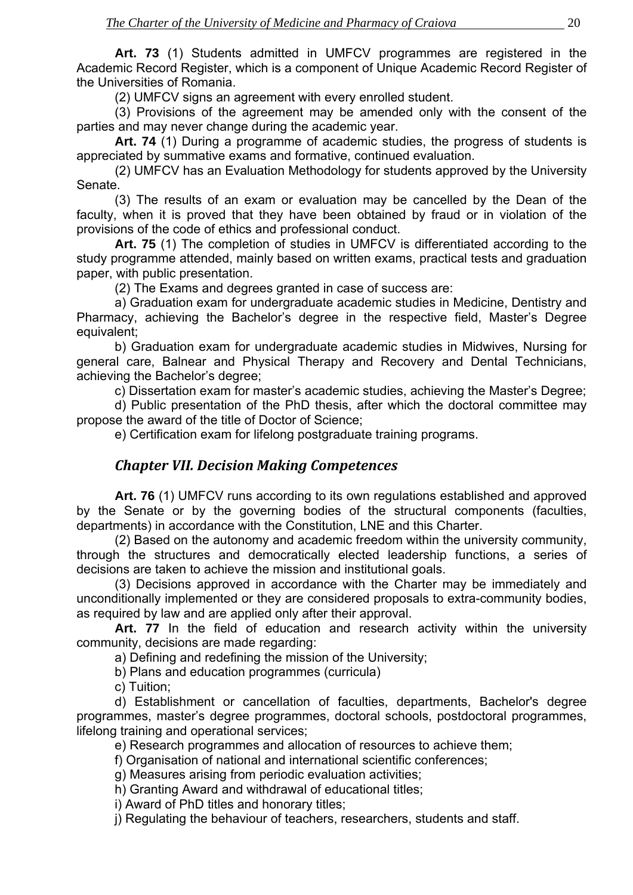<span id="page-18-0"></span>**Art. 73** (1) Students admitted in UMFCV programmes are registered in the Academic Record Register, which is a component of Unique Academic Record Register of the Universities of Romania.

(2) UMFCV signs an agreement with every enrolled student.

 (3) Provisions of the agreement may be amended only with the consent of the parties and may never change during the academic year.

**Art. 74** (1) During a programme of academic studies, the progress of students is appreciated by summative exams and formative, continued evaluation.

 (2) UMFCV has an Evaluation Methodology for students approved by the University Senate.

 (3) The results of an exam or evaluation may be cancelled by the Dean of the faculty, when it is proved that they have been obtained by fraud or in violation of the provisions of the code of ethics and professional conduct.

**Art. 75** (1) The completion of studies in UMFCV is differentiated according to the study programme attended, mainly based on written exams, practical tests and graduation paper, with public presentation.

(2) The Exams and degrees granted in case of success are:

 a) Graduation exam for undergraduate academic studies in Medicine, Dentistry and Pharmacy, achieving the Bachelor's degree in the respective field, Master's Degree equivalent;

 b) Graduation exam for undergraduate academic studies in Midwives, Nursing for general care, Balnear and Physical Therapy and Recovery and Dental Technicians, achieving the Bachelor's degree;

c) Dissertation exam for master's academic studies, achieving the Master's Degree;

 d) Public presentation of the PhD thesis, after which the doctoral committee may propose the award of the title of Doctor of Science;

e) Certification exam for lifelong postgraduate training programs.

## *Chapter VII. Decision Making Competences*

**Art. 76** (1) UMFCV runs according to its own regulations established and approved by the Senate or by the governing bodies of the structural components (faculties, departments) in accordance with the Constitution, LNE and this Charter.

(2) Based on the autonomy and academic freedom within the university community, through the structures and democratically elected leadership functions, a series of decisions are taken to achieve the mission and institutional goals.

(3) Decisions approved in accordance with the Charter may be immediately and unconditionally implemented or they are considered proposals to extra-community bodies, as required by law and are applied only after their approval.

**Art. 77** In the field of education and research activity within the university community, decisions are made regarding:

a) Defining and redefining the mission of the University;

b) Plans and education programmes (curricula)

c) Tuition;

d) Establishment or cancellation of faculties, departments, Bachelor's degree programmes, master's degree programmes, doctoral schools, postdoctoral programmes, lifelong training and operational services;

e) Research programmes and allocation of resources to achieve them;

f) Organisation of national and international scientific conferences;

g) Measures arising from periodic evaluation activities;

h) Granting Award and withdrawal of educational titles;

i) Award of PhD titles and honorary titles;

j) Regulating the behaviour of teachers, researchers, students and staff.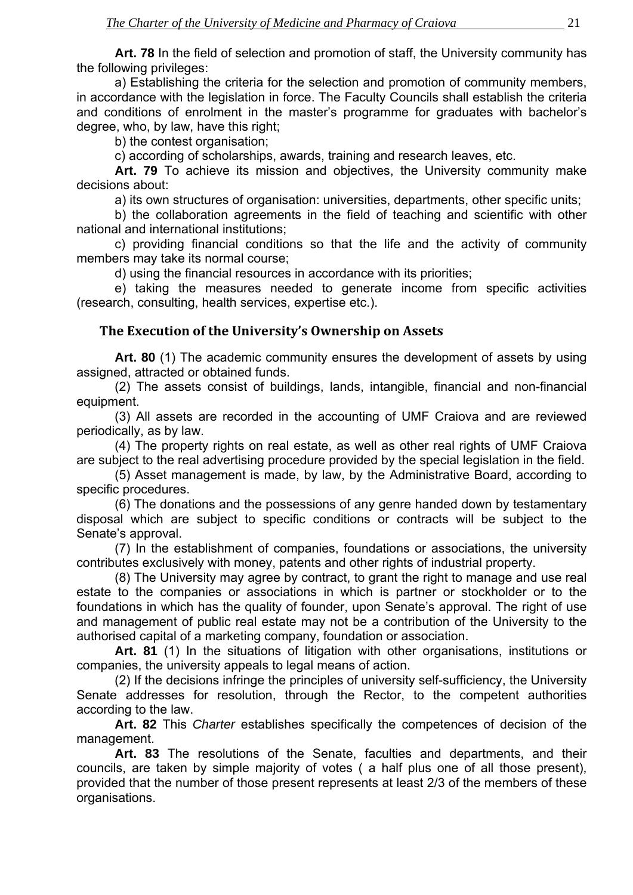<span id="page-19-0"></span>**Art. 78** In the field of selection and promotion of staff, the University community has the following privileges:

a) Establishing the criteria for the selection and promotion of community members, in accordance with the legislation in force. The Faculty Councils shall establish the criteria and conditions of enrolment in the master's programme for graduates with bachelor's degree, who, by law, have this right;

b) the contest organisation;

c) according of scholarships, awards, training and research leaves, etc.

**Art. 79** To achieve its mission and objectives, the University community make decisions about:

a) its own structures of organisation: universities, departments, other specific units;

b) the collaboration agreements in the field of teaching and scientific with other national and international institutions;

c) providing financial conditions so that the life and the activity of community members may take its normal course;

d) using the financial resources in accordance with its priorities;

e) taking the measures needed to generate income from specific activities (research, consulting, health services, expertise etc.).

#### **The Execution of the University's Ownership on Assets**

**Art. 80** (1) The academic community ensures the development of assets by using assigned, attracted or obtained funds.

(2) The assets consist of buildings, lands, intangible, financial and non-financial equipment.

(3) All assets are recorded in the accounting of UMF Craiova and are reviewed periodically, as by law.

(4) The property rights on real estate, as well as other real rights of UMF Craiova are subject to the real advertising procedure provided by the special legislation in the field.

(5) Asset management is made, by law, by the Administrative Board, according to specific procedures.

(6) The donations and the possessions of any genre handed down by testamentary disposal which are subject to specific conditions or contracts will be subject to the Senate's approval.

(7) In the establishment of companies, foundations or associations, the university contributes exclusively with money, patents and other rights of industrial property.

(8) The University may agree by contract, to grant the right to manage and use real estate to the companies or associations in which is partner or stockholder or to the foundations in which has the quality of founder, upon Senate's approval. The right of use and management of public real estate may not be a contribution of the University to the authorised capital of a marketing company, foundation or association.

Art. 81 (1) In the situations of litigation with other organisations, institutions or companies, the university appeals to legal means of action.

(2) If the decisions infringe the principles of university self-sufficiency, the University Senate addresses for resolution, through the Rector, to the competent authorities according to the law.

**Art. 82** This *Charter* establishes specifically the competences of decision of the management.

**Art. 83** The resolutions of the Senate, faculties and departments, and their councils, are taken by simple majority of votes ( a half plus one of all those present), provided that the number of those present represents at least 2/3 of the members of these organisations.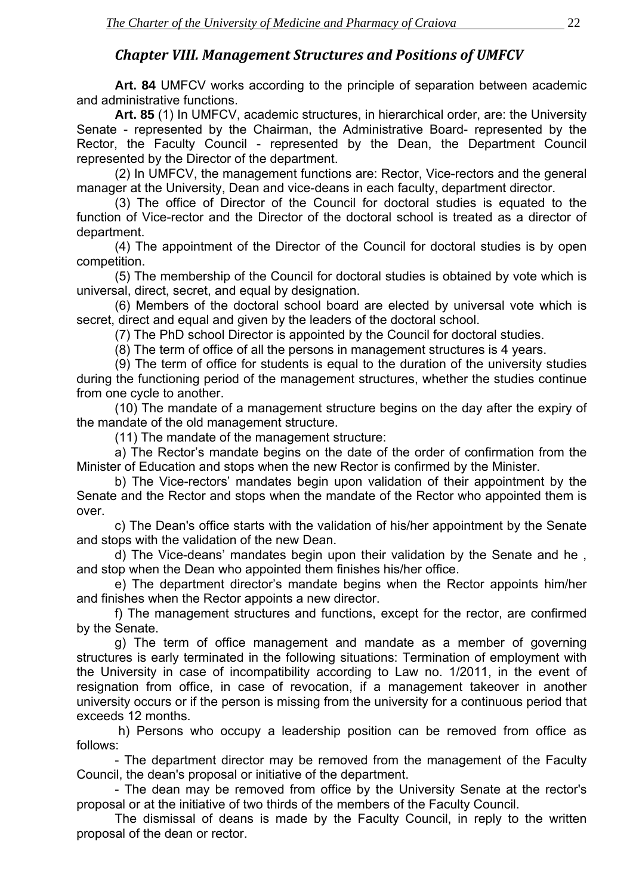## *Chapter VIII. Management Structures and Positions of UMFCV*

<span id="page-20-0"></span>**Art. 84** UMFCV works according to the principle of separation between academic and administrative functions.

**Art. 85** (1) In UMFCV, academic structures, in hierarchical order, are: the University Senate - represented by the Chairman, the Administrative Board- represented by the Rector, the Faculty Council - represented by the Dean, the Department Council represented by the Director of the department.

(2) In UMFCV, the management functions are: Rector, Vice-rectors and the general manager at the University, Dean and vice-deans in each faculty, department director.

(3) The office of Director of the Council for doctoral studies is equated to the function of Vice-rector and the Director of the doctoral school is treated as a director of department.

(4) The appointment of the Director of the Council for doctoral studies is by open competition.

(5) The membership of the Council for doctoral studies is obtained by vote which is universal, direct, secret, and equal by designation.

(6) Members of the doctoral school board are elected by universal vote which is secret, direct and equal and given by the leaders of the doctoral school.

(7) The PhD school Director is appointed by the Council for doctoral studies.

(8) The term of office of all the persons in management structures is 4 years.

(9) The term of office for students is equal to the duration of the university studies during the functioning period of the management structures, whether the studies continue from one cycle to another.

(10) The mandate of a management structure begins on the day after the expiry of the mandate of the old management structure.

(11) The mandate of the management structure:

a) The Rector's mandate begins on the date of the order of confirmation from the Minister of Education and stops when the new Rector is confirmed by the Minister.

b) The Vice-rectors' mandates begin upon validation of their appointment by the Senate and the Rector and stops when the mandate of the Rector who appointed them is over.

c) The Dean's office starts with the validation of his/her appointment by the Senate and stops with the validation of the new Dean.

d) The Vice-deans' mandates begin upon their validation by the Senate and he , and stop when the Dean who appointed them finishes his/her office.

e) The department director's mandate begins when the Rector appoints him/her and finishes when the Rector appoints a new director.

f) The management structures and functions, except for the rector, are confirmed by the Senate.

g) The term of office management and mandate as a member of governing structures is early terminated in the following situations: Termination of employment with the University in case of incompatibility according to Law no. 1/2011, in the event of resignation from office, in case of revocation, if a management takeover in another university occurs or if the person is missing from the university for a continuous period that exceeds 12 months.

 h) Persons who occupy a leadership position can be removed from office as follows:

- The department director may be removed from the management of the Faculty Council, the dean's proposal or initiative of the department.

- The dean may be removed from office by the University Senate at the rector's proposal or at the initiative of two thirds of the members of the Faculty Council.

The dismissal of deans is made by the Faculty Council, in reply to the written proposal of the dean or rector.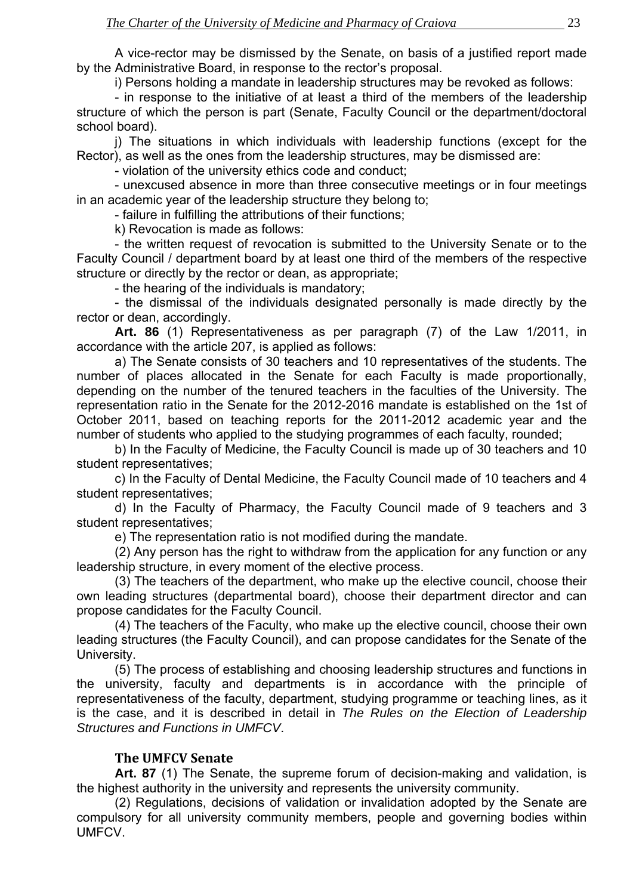<span id="page-21-0"></span>A vice-rector may be dismissed by the Senate, on basis of a justified report made by the Administrative Board, in response to the rector's proposal.

i) Persons holding a mandate in leadership structures may be revoked as follows:

- in response to the initiative of at least a third of the members of the leadership structure of which the person is part (Senate, Faculty Council or the department/doctoral school board).

j) The situations in which individuals with leadership functions (except for the Rector), as well as the ones from the leadership structures, may be dismissed are:

- violation of the university ethics code and conduct;

- unexcused absence in more than three consecutive meetings or in four meetings in an academic year of the leadership structure they belong to;

- failure in fulfilling the attributions of their functions;

k) Revocation is made as follows:

- the written request of revocation is submitted to the University Senate or to the Faculty Council / department board by at least one third of the members of the respective structure or directly by the rector or dean, as appropriate;

- the hearing of the individuals is mandatory;

- the dismissal of the individuals designated personally is made directly by the rector or dean, accordingly.

**Art. 86** (1) Representativeness as per paragraph (7) of the Law 1/2011, in accordance with the article 207, is applied as follows:

 a) The Senate consists of 30 teachers and 10 representatives of the students. The number of places allocated in the Senate for each Faculty is made proportionally, depending on the number of the tenured teachers in the faculties of the University. The representation ratio in the Senate for the 2012-2016 mandate is established on the 1st of October 2011, based on teaching reports for the 2011-2012 academic year and the number of students who applied to the studying programmes of each faculty, rounded;

 b) In the Faculty of Medicine, the Faculty Council is made up of 30 teachers and 10 student representatives;

 c) In the Faculty of Dental Medicine, the Faculty Council made of 10 teachers and 4 student representatives;

 d) In the Faculty of Pharmacy, the Faculty Council made of 9 teachers and 3 student representatives;

e) The representation ratio is not modified during the mandate.

 (2) Any person has the right to withdraw from the application for any function or any leadership structure, in every moment of the elective process.

 (3) The teachers of the department, who make up the elective council, choose their own leading structures (departmental board), choose their department director and can propose candidates for the Faculty Council.

 (4) The teachers of the Faculty, who make up the elective council, choose their own leading structures (the Faculty Council), and can propose candidates for the Senate of the University.

 (5) The process of establishing and choosing leadership structures and functions in the university, faculty and departments is in accordance with the principle of representativeness of the faculty, department, studying programme or teaching lines, as it is the case, and it is described in detail in *The Rules on the Election of Leadership Structures and Functions in UMFCV*.

#### **The UMFCV Senate**

**Art. 87** (1) The Senate, the supreme forum of decision-making and validation, is the highest authority in the university and represents the university community.

(2) Regulations, decisions of validation or invalidation adopted by the Senate are compulsory for all university community members, people and governing bodies within UMFCV.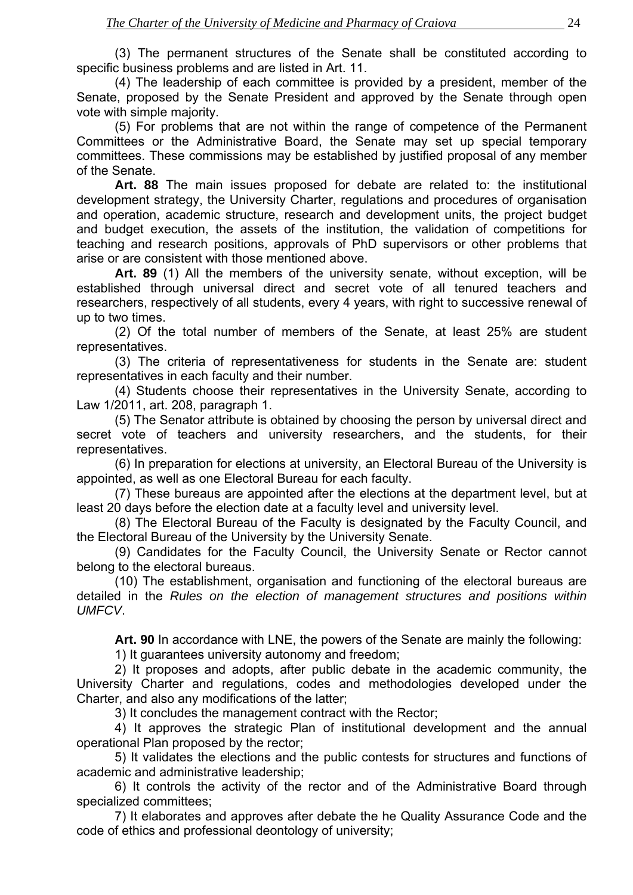(3) The permanent structures of the Senate shall be constituted according to specific business problems and are listed in Art. 11.

(4) The leadership of each committee is provided by a president, member of the Senate, proposed by the Senate President and approved by the Senate through open vote with simple majority.

(5) For problems that are not within the range of competence of the Permanent Committees or the Administrative Board, the Senate may set up special temporary committees. These commissions may be established by justified proposal of any member of the Senate.

**Art. 88** The main issues proposed for debate are related to: the institutional development strategy, the University Charter, regulations and procedures of organisation and operation, academic structure, research and development units, the project budget and budget execution, the assets of the institution, the validation of competitions for teaching and research positions, approvals of PhD supervisors or other problems that arise or are consistent with those mentioned above.

**Art. 89** (1) All the members of the university senate, without exception, will be established through universal direct and secret vote of all tenured teachers and researchers, respectively of all students, every 4 years, with right to successive renewal of up to two times.

(2) Of the total number of members of the Senate, at least 25% are student representatives.

(3) The criteria of representativeness for students in the Senate are: student representatives in each faculty and their number.

(4) Students choose their representatives in the University Senate, according to Law 1/2011, art. 208, paragraph 1.

(5) The Senator attribute is obtained by choosing the person by universal direct and secret vote of teachers and university researchers, and the students, for their representatives.

(6) In preparation for elections at university, an Electoral Bureau of the University is appointed, as well as one Electoral Bureau for each faculty.

(7) These bureaus are appointed after the elections at the department level, but at least 20 days before the election date at a faculty level and university level.

(8) The Electoral Bureau of the Faculty is designated by the Faculty Council, and the Electoral Bureau of the University by the University Senate.

(9) Candidates for the Faculty Council, the University Senate or Rector cannot belong to the electoral bureaus.

(10) The establishment, organisation and functioning of the electoral bureaus are detailed in the *Rules on the election of management structures and positions within UMFCV*.

**Art. 90** In accordance with LNE, the powers of the Senate are mainly the following:

1) It guarantees university autonomy and freedom;

2) It proposes and adopts, after public debate in the academic community, the University Charter and regulations, codes and methodologies developed under the Charter, and also any modifications of the latter;

3) It concludes the management contract with the Rector;

4) It approves the strategic Plan of institutional development and the annual operational Plan proposed by the rector;

5) It validates the elections and the public contests for structures and functions of academic and administrative leadership;

6) It controls the activity of the rector and of the Administrative Board through specialized committees;

7) It elaborates and approves after debate the he Quality Assurance Code and the code of ethics and professional deontology of university;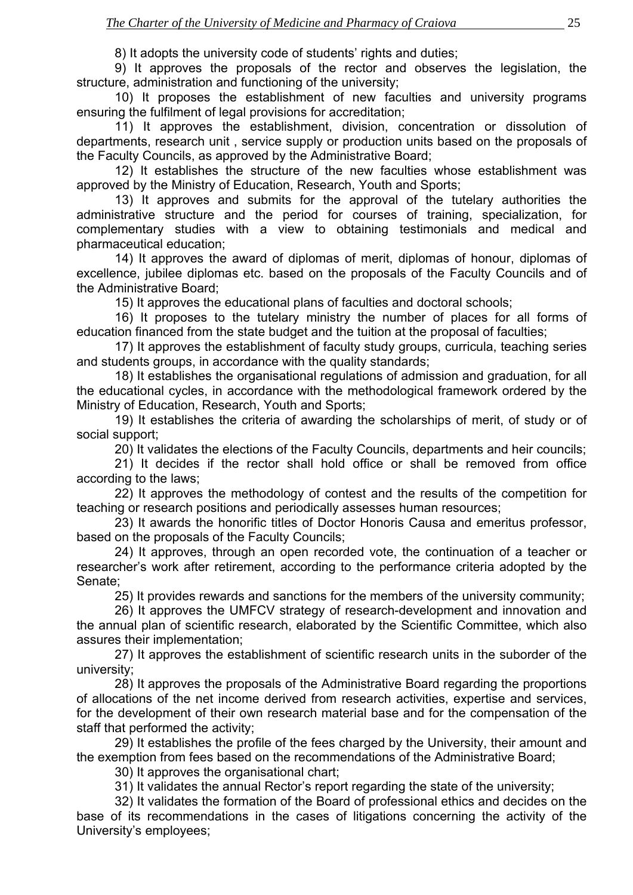8) It adopts the university code of students' rights and duties;

9) It approves the proposals of the rector and observes the legislation, the structure, administration and functioning of the university;

10) It proposes the establishment of new faculties and university programs ensuring the fulfilment of legal provisions for accreditation;

11) It approves the establishment, division, concentration or dissolution of departments, research unit , service supply or production units based on the proposals of the Faculty Councils, as approved by the Administrative Board;

12) It establishes the structure of the new faculties whose establishment was approved by the Ministry of Education, Research, Youth and Sports;

13) It approves and submits for the approval of the tutelary authorities the administrative structure and the period for courses of training, specialization, for complementary studies with a view to obtaining testimonials and medical and pharmaceutical education;

14) It approves the award of diplomas of merit, diplomas of honour, diplomas of excellence, jubilee diplomas etc. based on the proposals of the Faculty Councils and of the Administrative Board;

15) It approves the educational plans of faculties and doctoral schools;

16) It proposes to the tutelary ministry the number of places for all forms of education financed from the state budget and the tuition at the proposal of faculties;

17) It approves the establishment of faculty study groups, curricula, teaching series and students groups, in accordance with the quality standards;

18) It establishes the organisational regulations of admission and graduation, for all the educational cycles, in accordance with the methodological framework ordered by the Ministry of Education, Research, Youth and Sports;

19) It establishes the criteria of awarding the scholarships of merit, of study or of social support;

20) It validates the elections of the Faculty Councils, departments and heir councils;

21) It decides if the rector shall hold office or shall be removed from office according to the laws;

22) It approves the methodology of contest and the results of the competition for teaching or research positions and periodically assesses human resources;

23) It awards the honorific titles of Doctor Honoris Causa and emeritus professor, based on the proposals of the Faculty Councils;

24) It approves, through an open recorded vote, the continuation of a teacher or researcher's work after retirement, according to the performance criteria adopted by the Senate;

25) It provides rewards and sanctions for the members of the university community;

26) It approves the UMFCV strategy of research-development and innovation and the annual plan of scientific research, elaborated by the Scientific Committee, which also assures their implementation;

27) It approves the establishment of scientific research units in the suborder of the university;

28) It approves the proposals of the Administrative Board regarding the proportions of allocations of the net income derived from research activities, expertise and services, for the development of their own research material base and for the compensation of the staff that performed the activity;

29) It establishes the profile of the fees charged by the University, their amount and the exemption from fees based on the recommendations of the Administrative Board;

30) It approves the organisational chart;

31) It validates the annual Rector's report regarding the state of the university;

32) It validates the formation of the Board of professional ethics and decides on the base of its recommendations in the cases of litigations concerning the activity of the University's employees;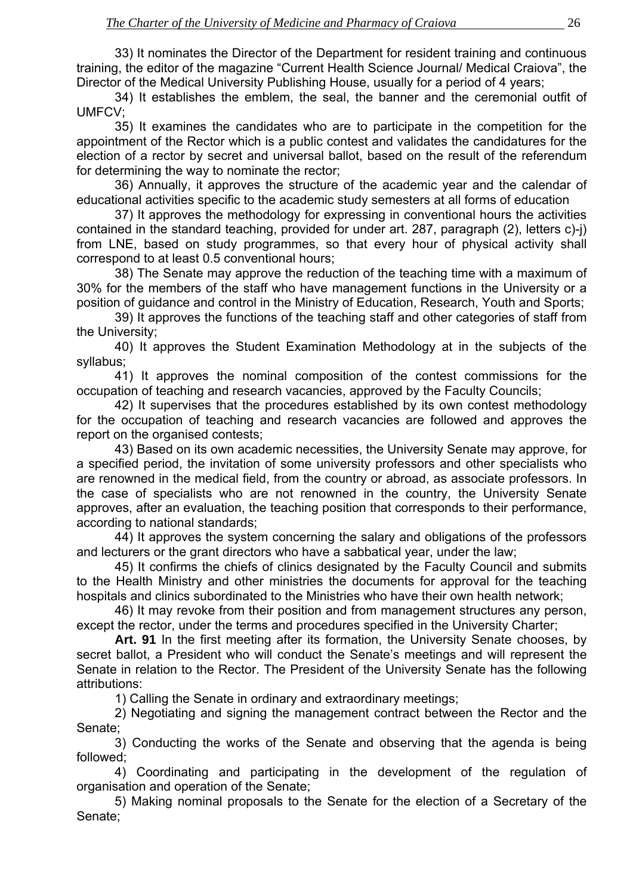33) It nominates the Director of the Department for resident training and continuous training, the editor of the magazine "Current Health Science Journal/ Medical Craiova", the Director of the Medical University Publishing House, usually for a period of 4 years;

34) It establishes the emblem, the seal, the banner and the ceremonial outfit of UMFCV;

35) It examines the candidates who are to participate in the competition for the appointment of the Rector which is a public contest and validates the candidatures for the election of a rector by secret and universal ballot, based on the result of the referendum for determining the way to nominate the rector;

36) Annually, it approves the structure of the academic year and the calendar of educational activities specific to the academic study semesters at all forms of education

37) It approves the methodology for expressing in conventional hours the activities contained in the standard teaching, provided for under art. 287, paragraph (2), letters c)-j) from LNE, based on study programmes, so that every hour of physical activity shall correspond to at least 0.5 conventional hours;

38) The Senate may approve the reduction of the teaching time with a maximum of 30% for the members of the staff who have management functions in the University or a position of guidance and control in the Ministry of Education, Research, Youth and Sports;

 39) It approves the functions of the teaching staff and other categories of staff from the University;

40) It approves the Student Examination Methodology at in the subjects of the syllabus;

41) It approves the nominal composition of the contest commissions for the occupation of teaching and research vacancies, approved by the Faculty Councils;

42) It supervises that the procedures established by its own contest methodology for the occupation of teaching and research vacancies are followed and approves the report on the organised contests;

43) Based on its own academic necessities, the University Senate may approve, for a specified period, the invitation of some university professors and other specialists who are renowned in the medical field, from the country or abroad, as associate professors. In the case of specialists who are not renowned in the country, the University Senate approves, after an evaluation, the teaching position that corresponds to their performance, according to national standards;

44) It approves the system concerning the salary and obligations of the professors and lecturers or the grant directors who have a sabbatical year, under the law;

45) It confirms the chiefs of clinics designated by the Faculty Council and submits to the Health Ministry and other ministries the documents for approval for the teaching hospitals and clinics subordinated to the Ministries who have their own health network;

46) It may revoke from their position and from management structures any person, except the rector, under the terms and procedures specified in the University Charter;

**Art. 91** In the first meeting after its formation, the University Senate chooses, by secret ballot, a President who will conduct the Senate's meetings and will represent the Senate in relation to the Rector. The President of the University Senate has the following attributions:

1) Calling the Senate in ordinary and extraordinary meetings;

2) Negotiating and signing the management contract between the Rector and the Senate;

3) Conducting the works of the Senate and observing that the agenda is being followed;

4) Coordinating and participating in the development of the regulation of organisation and operation of the Senate;

5) Making nominal proposals to the Senate for the election of a Secretary of the Senate;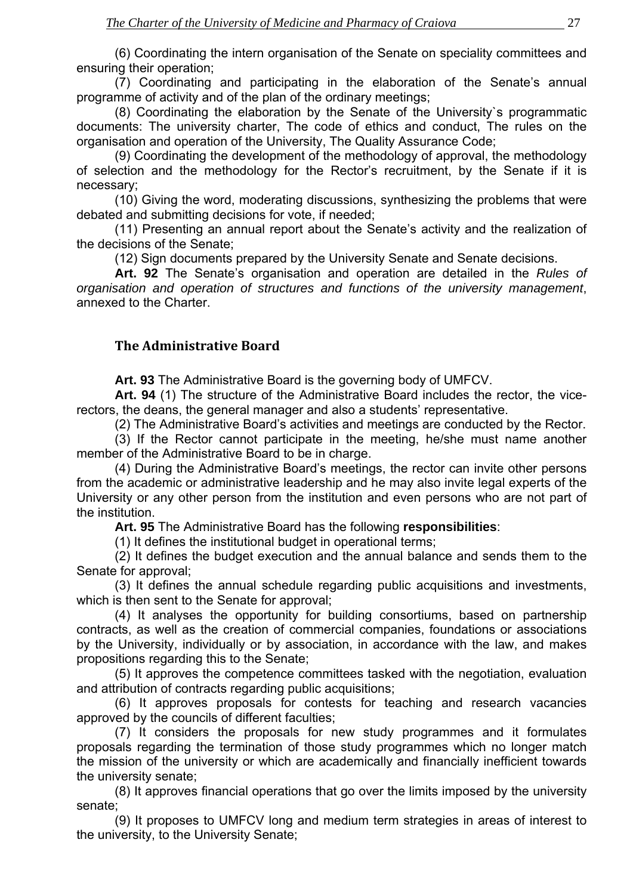<span id="page-25-0"></span>(6) Coordinating the intern organisation of the Senate on speciality committees and ensuring their operation;

(7) Coordinating and participating in the elaboration of the Senate's annual programme of activity and of the plan of the ordinary meetings;

(8) Coordinating the elaboration by the Senate of the University`s programmatic documents: The university charter, The code of ethics and conduct, The rules on the organisation and operation of the University, The Quality Assurance Code;

(9) Coordinating the development of the methodology of approval, the methodology of selection and the methodology for the Rector's recruitment, by the Senate if it is necessary;

(10) Giving the word, moderating discussions, synthesizing the problems that were debated and submitting decisions for vote, if needed;

(11) Presenting an annual report about the Senate's activity and the realization of the decisions of the Senate;

(12) Sign documents prepared by the University Senate and Senate decisions.

**Art. 92** The Senate's organisation and operation are detailed in the *Rules of organisation and operation of structures and functions of the university management*, annexed to the Charter.

## **The Administrative Board**

**Art. 93** The Administrative Board is the governing body of UMFCV.

**Art. 94** (1) The structure of the Administrative Board includes the rector, the vicerectors, the deans, the general manager and also a students' representative.

(2) The Administrative Board's activities and meetings are conducted by the Rector.

(3) If the Rector cannot participate in the meeting, he/she must name another member of the Administrative Board to be in charge.

(4) During the Administrative Board's meetings, the rector can invite other persons from the academic or administrative leadership and he may also invite legal experts of the University or any other person from the institution and even persons who are not part of the institution.

**Art. 95** The Administrative Board has the following **responsibilities**:

(1) It defines the institutional budget in operational terms;

(2) It defines the budget execution and the annual balance and sends them to the Senate for approval;

(3) It defines the annual schedule regarding public acquisitions and investments, which is then sent to the Senate for approval;

(4) It analyses the opportunity for building consortiums, based on partnership contracts, as well as the creation of commercial companies, foundations or associations by the University, individually or by association, in accordance with the law, and makes propositions regarding this to the Senate;

(5) It approves the competence committees tasked with the negotiation, evaluation and attribution of contracts regarding public acquisitions;

(6) It approves proposals for contests for teaching and research vacancies approved by the councils of different faculties;

(7) It considers the proposals for new study programmes and it formulates proposals regarding the termination of those study programmes which no longer match the mission of the university or which are academically and financially inefficient towards the university senate;

(8) It approves financial operations that go over the limits imposed by the university senate;

(9) It proposes to UMFCV long and medium term strategies in areas of interest to the university, to the University Senate;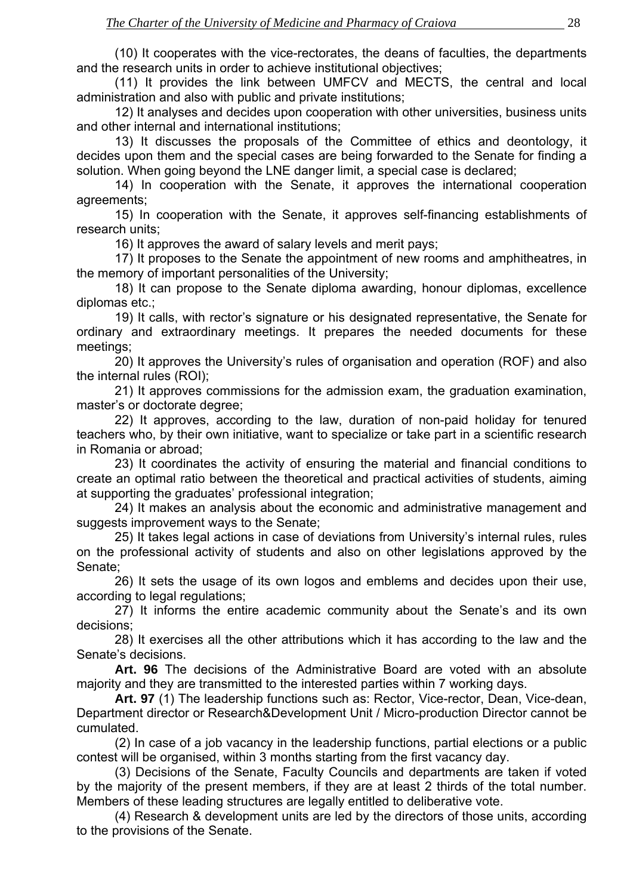(10) It cooperates with the vice-rectorates, the deans of faculties, the departments and the research units in order to achieve institutional objectives;

(11) It provides the link between UMFCV and MECTS, the central and local administration and also with public and private institutions;

12) It analyses and decides upon cooperation with other universities, business units and other internal and international institutions;

13) It discusses the proposals of the Committee of ethics and deontology, it decides upon them and the special cases are being forwarded to the Senate for finding a solution. When going beyond the LNE danger limit, a special case is declared;

14) In cooperation with the Senate, it approves the international cooperation agreements;

15) In cooperation with the Senate, it approves self-financing establishments of research units;

16) It approves the award of salary levels and merit pays;

17) It proposes to the Senate the appointment of new rooms and amphitheatres, in the memory of important personalities of the University;

18) It can propose to the Senate diploma awarding, honour diplomas, excellence diplomas etc.;

19) It calls, with rector's signature or his designated representative, the Senate for ordinary and extraordinary meetings. It prepares the needed documents for these meetings;

20) It approves the University's rules of organisation and operation (ROF) and also the internal rules (ROI);

21) It approves commissions for the admission exam, the graduation examination, master's or doctorate degree;

22) It approves, according to the law, duration of non-paid holiday for tenured teachers who, by their own initiative, want to specialize or take part in a scientific research in Romania or abroad;

23) It coordinates the activity of ensuring the material and financial conditions to create an optimal ratio between the theoretical and practical activities of students, aiming at supporting the graduates' professional integration;

24) It makes an analysis about the economic and administrative management and suggests improvement ways to the Senate;

25) It takes legal actions in case of deviations from University's internal rules, rules on the professional activity of students and also on other legislations approved by the Senate;

26) It sets the usage of its own logos and emblems and decides upon their use, according to legal regulations;

27) It informs the entire academic community about the Senate's and its own decisions;

28) It exercises all the other attributions which it has according to the law and the Senate's decisions.

**Art. 96** The decisions of the Administrative Board are voted with an absolute majority and they are transmitted to the interested parties within 7 working days.

 **Art. 97** (1) The leadership functions such as: Rector, Vice-rector, Dean, Vice-dean, Department director or Research&Development Unit / Micro-production Director cannot be cumulated.

 (2) In case of a job vacancy in the leadership functions, partial elections or a public contest will be organised, within 3 months starting from the first vacancy day.

 (3) Decisions of the Senate, Faculty Councils and departments are taken if voted by the majority of the present members, if they are at least 2 thirds of the total number. Members of these leading structures are legally entitled to deliberative vote.

 (4) Research & development units are led by the directors of those units, according to the provisions of the Senate.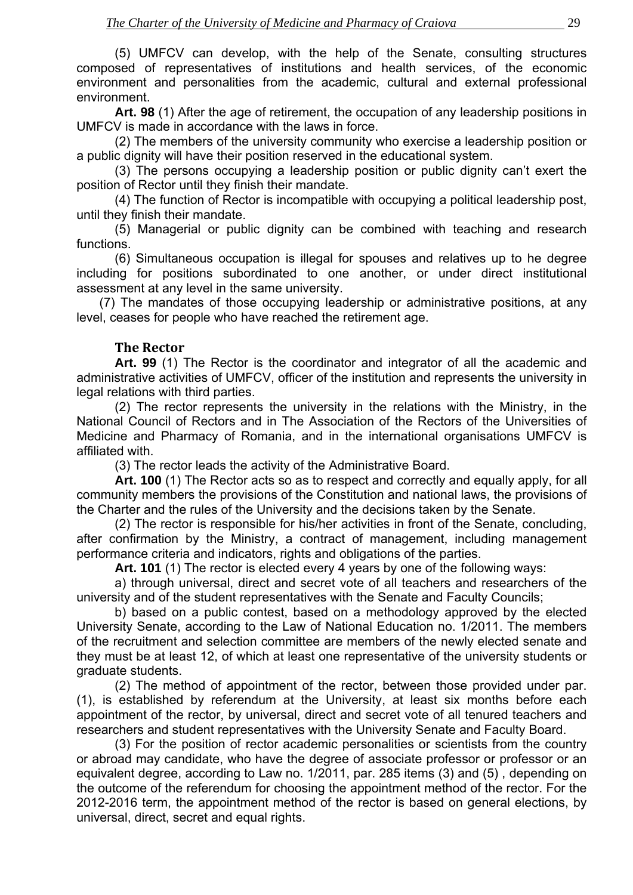<span id="page-27-0"></span> (5) UMFCV can develop, with the help of the Senate, consulting structures composed of representatives of institutions and health services, of the economic environment and personalities from the academic, cultural and external professional environment.

**Art. 98** (1) After the age of retirement, the occupation of any leadership positions in UMFCV is made in accordance with the laws in force.

 (2) The members of the university community who exercise a leadership position or a public dignity will have their position reserved in the educational system.

 (3) The persons occupying a leadership position or public dignity can't exert the position of Rector until they finish their mandate.

 (4) The function of Rector is incompatible with occupying a political leadership post, until they finish their mandate.

 (5) Managerial or public dignity can be combined with teaching and research functions.

 (6) Simultaneous occupation is illegal for spouses and relatives up to he degree including for positions subordinated to one another, or under direct institutional assessment at any level in the same university.

(7) The mandates of those occupying leadership or administrative positions, at any level, ceases for people who have reached the retirement age.

#### **The Rector**

 **Art. 99** (1) The Rector is the coordinator and integrator of all the academic and administrative activities of UMFCV, officer of the institution and represents the university in legal relations with third parties.

 (2) The rector represents the university in the relations with the Ministry, in the National Council of Rectors and in The Association of the Rectors of the Universities of Medicine and Pharmacy of Romania, and in the international organisations UMFCV is affiliated with.

(3) The rector leads the activity of the Administrative Board.

**Art. 100** (1) The Rector acts so as to respect and correctly and equally apply, for all community members the provisions of the Constitution and national laws, the provisions of the Charter and the rules of the University and the decisions taken by the Senate.

(2) The rector is responsible for his/her activities in front of the Senate, concluding, after confirmation by the Ministry, a contract of management, including management performance criteria and indicators, rights and obligations of the parties.

**Art. 101** (1) The rector is elected every 4 years by one of the following ways:

a) through universal, direct and secret vote of all teachers and researchers of the university and of the student representatives with the Senate and Faculty Councils;

b) based on a public contest, based on a methodology approved by the elected University Senate, according to the Law of National Education no. 1/2011. The members of the recruitment and selection committee are members of the newly elected senate and they must be at least 12, of which at least one representative of the university students or graduate students.

(2) The method of appointment of the rector, between those provided under par. (1), is established by referendum at the University, at least six months before each appointment of the rector, by universal, direct and secret vote of all tenured teachers and researchers and student representatives with the University Senate and Faculty Board.

(3) For the position of rector academic personalities or scientists from the country or abroad may candidate, who have the degree of associate professor or professor or an equivalent degree, according to Law no. 1/2011, par. 285 items (3) and (5) , depending on the outcome of the referendum for choosing the appointment method of the rector. For the 2012-2016 term, the appointment method of the rector is based on general elections, by universal, direct, secret and equal rights.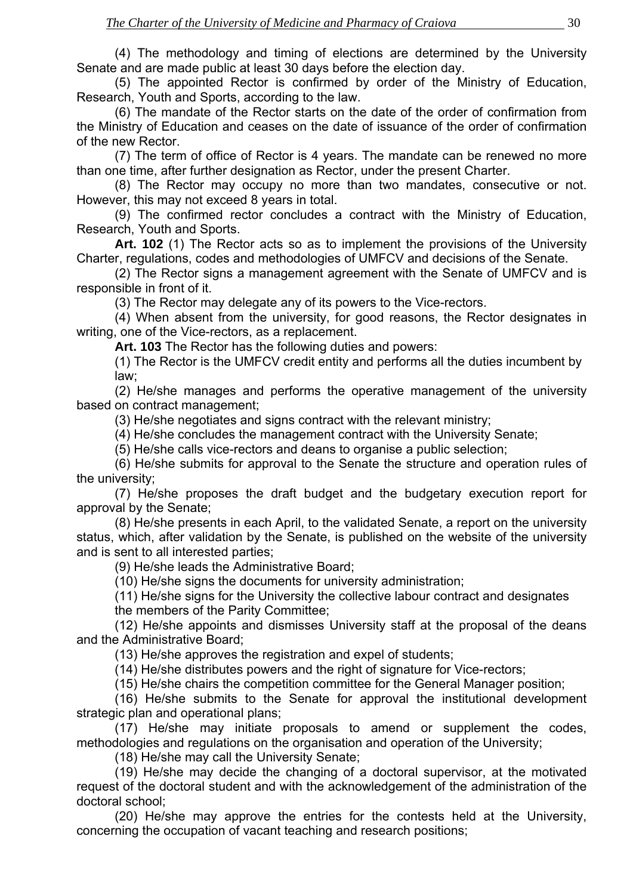(4) The methodology and timing of elections are determined by the University Senate and are made public at least 30 days before the election day.

(5) The appointed Rector is confirmed by order of the Ministry of Education, Research, Youth and Sports, according to the law.

(6) The mandate of the Rector starts on the date of the order of confirmation from the Ministry of Education and ceases on the date of issuance of the order of confirmation of the new Rector.

(7) The term of office of Rector is 4 years. The mandate can be renewed no more than one time, after further designation as Rector, under the present Charter.

(8) The Rector may occupy no more than two mandates, consecutive or not. However, this may not exceed 8 years in total.

(9) The confirmed rector concludes a contract with the Ministry of Education, Research, Youth and Sports.

**Art. 102** (1) The Rector acts so as to implement the provisions of the University Charter, regulations, codes and methodologies of UMFCV and decisions of the Senate.

(2) The Rector signs a management agreement with the Senate of UMFCV and is responsible in front of it.

(3) The Rector may delegate any of its powers to the Vice-rectors.

(4) When absent from the university, for good reasons, the Rector designates in writing, one of the Vice-rectors, as a replacement.

**Art. 103** The Rector has the following duties and powers:

(1) The Rector is the UMFCV credit entity and performs all the duties incumbent by law;

(2) He/she manages and performs the operative management of the university based on contract management;

(3) He/she negotiates and signs contract with the relevant ministry;

(4) He/she concludes the management contract with the University Senate;

(5) He/she calls vice-rectors and deans to organise a public selection;

(6) He/she submits for approval to the Senate the structure and operation rules of the university;

(7) He/she proposes the draft budget and the budgetary execution report for approval by the Senate;

(8) He/she presents in each April, to the validated Senate, a report on the university status, which, after validation by the Senate, is published on the website of the university and is sent to all interested parties;

(9) He/she leads the Administrative Board;

(10) He/she signs the documents for university administration;

(11) He/she signs for the University the collective labour contract and designates the members of the Parity Committee;

(12) He/she appoints and dismisses University staff at the proposal of the deans and the Administrative Board;

(13) He/she approves the registration and expel of students;

(14) He/she distributes powers and the right of signature for Vice-rectors;

(15) He/she chairs the competition committee for the General Manager position;

(16) He/she submits to the Senate for approval the institutional development strategic plan and operational plans;

(17) He/she may initiate proposals to amend or supplement the codes, methodologies and regulations on the organisation and operation of the University;

(18) He/she may call the University Senate;

(19) He/she may decide the changing of a doctoral supervisor, at the motivated request of the doctoral student and with the acknowledgement of the administration of the doctoral school;

(20) He/she may approve the entries for the contests held at the University, concerning the occupation of vacant teaching and research positions;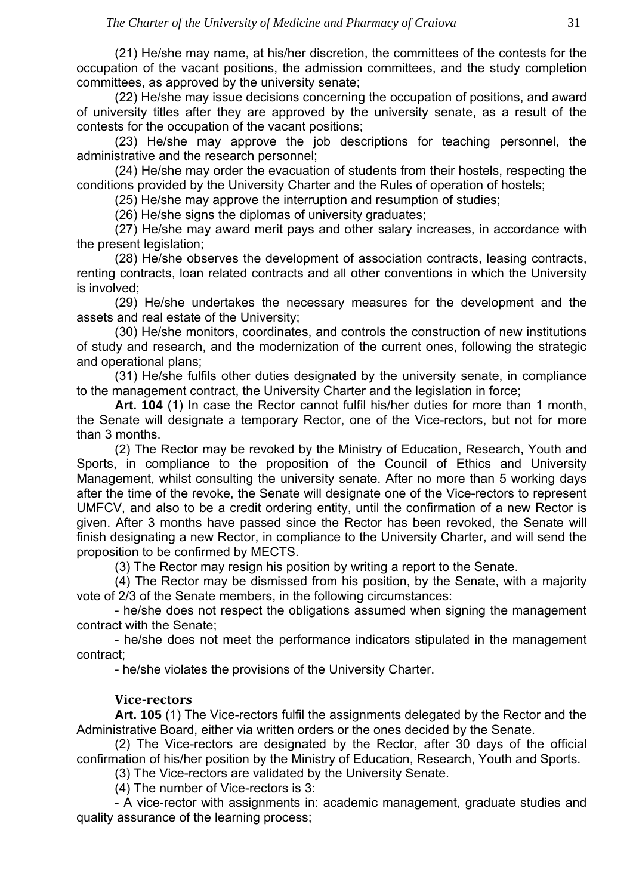<span id="page-29-0"></span>(21) He/she may name, at his/her discretion, the committees of the contests for the occupation of the vacant positions, the admission committees, and the study completion committees, as approved by the university senate;

(22) He/she may issue decisions concerning the occupation of positions, and award of university titles after they are approved by the university senate, as a result of the contests for the occupation of the vacant positions;

(23) He/she may approve the job descriptions for teaching personnel, the administrative and the research personnel;

(24) He/she may order the evacuation of students from their hostels, respecting the conditions provided by the University Charter and the Rules of operation of hostels;

(25) He/she may approve the interruption and resumption of studies;

(26) He/she signs the diplomas of university graduates;

(27) He/she may award merit pays and other salary increases, in accordance with the present legislation;

(28) He/she observes the development of association contracts, leasing contracts, renting contracts, loan related contracts and all other conventions in which the University is involved;

(29) He/she undertakes the necessary measures for the development and the assets and real estate of the University;

(30) He/she monitors, coordinates, and controls the construction of new institutions of study and research, and the modernization of the current ones, following the strategic and operational plans;

(31) He/she fulfils other duties designated by the university senate, in compliance to the management contract, the University Charter and the legislation in force;

**Art. 104** (1) In case the Rector cannot fulfil his/her duties for more than 1 month, the Senate will designate a temporary Rector, one of the Vice-rectors, but not for more than 3 months.

(2) The Rector may be revoked by the Ministry of Education, Research, Youth and Sports, in compliance to the proposition of the Council of Ethics and University Management, whilst consulting the university senate. After no more than 5 working days after the time of the revoke, the Senate will designate one of the Vice-rectors to represent UMFCV, and also to be a credit ordering entity, until the confirmation of a new Rector is given. After 3 months have passed since the Rector has been revoked, the Senate will finish designating a new Rector, in compliance to the University Charter, and will send the proposition to be confirmed by MECTS.

(3) The Rector may resign his position by writing a report to the Senate.

(4) The Rector may be dismissed from his position, by the Senate, with a majority vote of 2/3 of the Senate members, in the following circumstances:

- he/she does not respect the obligations assumed when signing the management contract with the Senate;

- he/she does not meet the performance indicators stipulated in the management contract;

- he/she violates the provisions of the University Charter.

#### **Vicerectors**

**Art. 105** (1) The Vice-rectors fulfil the assignments delegated by the Rector and the Administrative Board, either via written orders or the ones decided by the Senate.

(2) The Vice-rectors are designated by the Rector, after 30 days of the official confirmation of his/her position by the Ministry of Education, Research, Youth and Sports.

(3) The Vice-rectors are validated by the University Senate.

(4) The number of Vice-rectors is 3:

- A vice-rector with assignments in: academic management, graduate studies and quality assurance of the learning process;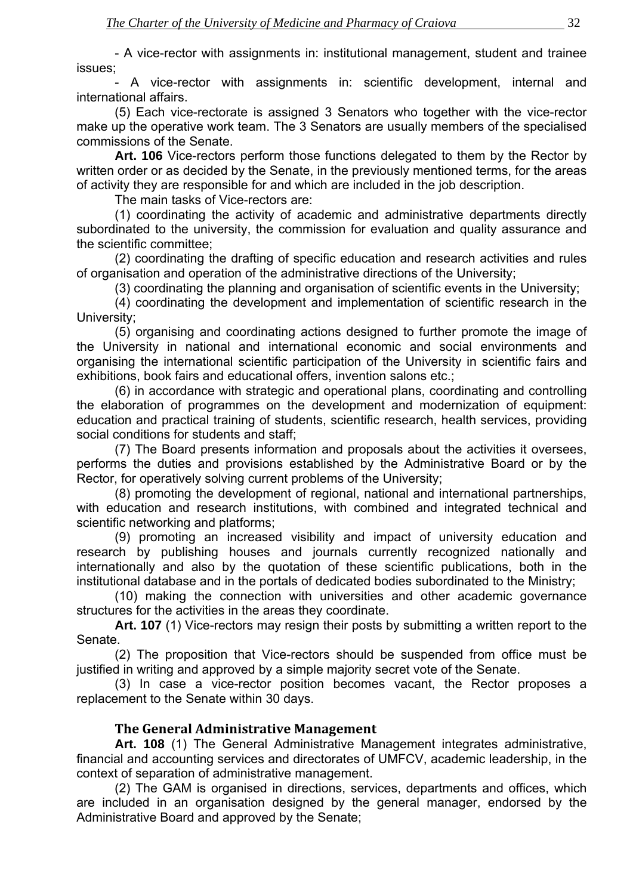<span id="page-30-0"></span>- A vice-rector with assignments in: institutional management, student and trainee issues;

- A vice-rector with assignments in: scientific development, internal and international affairs.

(5) Each vice-rectorate is assigned 3 Senators who together with the vice-rector make up the operative work team. The 3 Senators are usually members of the specialised commissions of the Senate.

**Art. 106** Vice-rectors perform those functions delegated to them by the Rector by written order or as decided by the Senate, in the previously mentioned terms, for the areas of activity they are responsible for and which are included in the job description.

The main tasks of Vice-rectors are:

(1) coordinating the activity of academic and administrative departments directly subordinated to the university, the commission for evaluation and quality assurance and the scientific committee;

(2) coordinating the drafting of specific education and research activities and rules of organisation and operation of the administrative directions of the University;

(3) coordinating the planning and organisation of scientific events in the University;

(4) coordinating the development and implementation of scientific research in the University;

(5) organising and coordinating actions designed to further promote the image of the University in national and international economic and social environments and organising the international scientific participation of the University in scientific fairs and exhibitions, book fairs and educational offers, invention salons etc.;

(6) in accordance with strategic and operational plans, coordinating and controlling the elaboration of programmes on the development and modernization of equipment: education and practical training of students, scientific research, health services, providing social conditions for students and staff;

(7) The Board presents information and proposals about the activities it oversees, performs the duties and provisions established by the Administrative Board or by the Rector, for operatively solving current problems of the University;

(8) promoting the development of regional, national and international partnerships, with education and research institutions, with combined and integrated technical and scientific networking and platforms;

(9) promoting an increased visibility and impact of university education and research by publishing houses and journals currently recognized nationally and internationally and also by the quotation of these scientific publications, both in the institutional database and in the portals of dedicated bodies subordinated to the Ministry;

(10) making the connection with universities and other academic governance structures for the activities in the areas they coordinate.

**Art. 107** (1) Vice-rectors may resign their posts by submitting a written report to the Senate.

(2) The proposition that Vice-rectors should be suspended from office must be justified in writing and approved by a simple majority secret vote of the Senate.

(3) In case a vice-rector position becomes vacant, the Rector proposes a replacement to the Senate within 30 days.

#### **The General Administrative Management**

**Art. 108** (1) The General Administrative Management integrates administrative, financial and accounting services and directorates of UMFCV, academic leadership, in the context of separation of administrative management.

(2) The GAM is organised in directions, services, departments and offices, which are included in an organisation designed by the general manager, endorsed by the Administrative Board and approved by the Senate;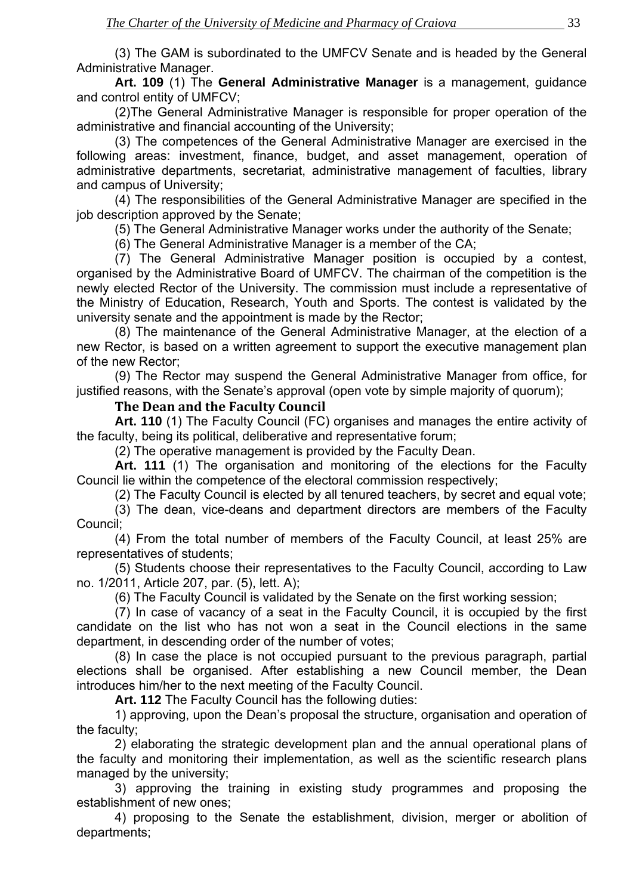<span id="page-31-0"></span>(3) The GAM is subordinated to the UMFCV Senate and is headed by the General Administrative Manager.

**Art. 109** (1) The **General Administrative Manager** is a management, guidance and control entity of UMFCV;

(2)The General Administrative Manager is responsible for proper operation of the administrative and financial accounting of the University;

(3) The competences of the General Administrative Manager are exercised in the following areas: investment, finance, budget, and asset management, operation of administrative departments, secretariat, administrative management of faculties, library and campus of University;

(4) The responsibilities of the General Administrative Manager are specified in the job description approved by the Senate;

(5) The General Administrative Manager works under the authority of the Senate;

(6) The General Administrative Manager is a member of the CA;

(7) The General Administrative Manager position is occupied by a contest, organised by the Administrative Board of UMFCV. The chairman of the competition is the newly elected Rector of the University. The commission must include a representative of the Ministry of Education, Research, Youth and Sports. The contest is validated by the university senate and the appointment is made by the Rector;

(8) The maintenance of the General Administrative Manager, at the election of a new Rector, is based on a written agreement to support the executive management plan of the new Rector;

(9) The Rector may suspend the General Administrative Manager from office, for justified reasons, with the Senate's approval (open vote by simple majority of quorum);

#### **The Dean and the Faculty Council**

**Art. 110** (1) The Faculty Council (FC) organises and manages the entire activity of the faculty, being its political, deliberative and representative forum;

(2) The operative management is provided by the Faculty Dean.

**Art. 111** (1) The organisation and monitoring of the elections for the Faculty Council lie within the competence of the electoral commission respectively;

(2) The Faculty Council is elected by all tenured teachers, by secret and equal vote;

(3) The dean, vice-deans and department directors are members of the Faculty Council;

(4) From the total number of members of the Faculty Council, at least 25% are representatives of students;

(5) Students choose their representatives to the Faculty Council, according to Law no. 1/2011, Article 207, par. (5), lett. A);

(6) The Faculty Council is validated by the Senate on the first working session;

(7) In case of vacancy of a seat in the Faculty Council, it is occupied by the first candidate on the list who has not won a seat in the Council elections in the same department, in descending order of the number of votes;

(8) In case the place is not occupied pursuant to the previous paragraph, partial elections shall be organised. After establishing a new Council member, the Dean introduces him/her to the next meeting of the Faculty Council.

**Art. 112** The Faculty Council has the following duties:

1) approving, upon the Dean's proposal the structure, organisation and operation of the faculty;

2) elaborating the strategic development plan and the annual operational plans of the faculty and monitoring their implementation, as well as the scientific research plans managed by the university;

3) approving the training in existing study programmes and proposing the establishment of new ones;

4) proposing to the Senate the establishment, division, merger or abolition of departments;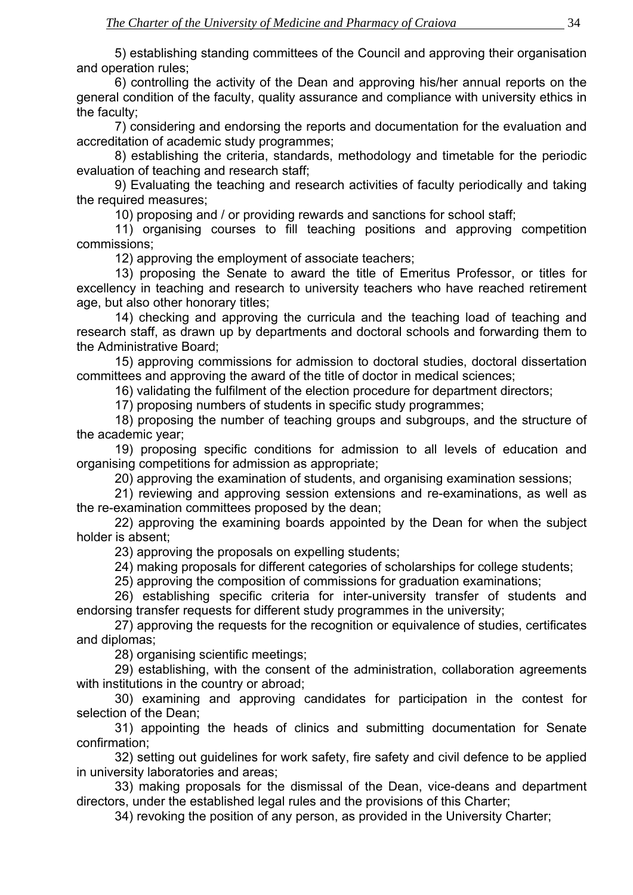5) establishing standing committees of the Council and approving their organisation and operation rules;

6) controlling the activity of the Dean and approving his/her annual reports on the general condition of the faculty, quality assurance and compliance with university ethics in the faculty;

7) considering and endorsing the reports and documentation for the evaluation and accreditation of academic study programmes;

8) establishing the criteria, standards, methodology and timetable for the periodic evaluation of teaching and research staff;

9) Evaluating the teaching and research activities of faculty periodically and taking the required measures;

10) proposing and / or providing rewards and sanctions for school staff;

11) organising courses to fill teaching positions and approving competition commissions;

12) approving the employment of associate teachers;

13) proposing the Senate to award the title of Emeritus Professor, or titles for excellency in teaching and research to university teachers who have reached retirement age, but also other honorary titles;

14) checking and approving the curricula and the teaching load of teaching and research staff, as drawn up by departments and doctoral schools and forwarding them to the Administrative Board;

15) approving commissions for admission to doctoral studies, doctoral dissertation committees and approving the award of the title of doctor in medical sciences;

16) validating the fulfilment of the election procedure for department directors;

17) proposing numbers of students in specific study programmes;

18) proposing the number of teaching groups and subgroups, and the structure of the academic year;

19) proposing specific conditions for admission to all levels of education and organising competitions for admission as appropriate;

20) approving the examination of students, and organising examination sessions;

21) reviewing and approving session extensions and re-examinations, as well as the re-examination committees proposed by the dean;

22) approving the examining boards appointed by the Dean for when the subject holder is absent;

23) approving the proposals on expelling students;

24) making proposals for different categories of scholarships for college students;

25) approving the composition of commissions for graduation examinations;

26) establishing specific criteria for inter-university transfer of students and endorsing transfer requests for different study programmes in the university;

27) approving the requests for the recognition or equivalence of studies, certificates and diplomas;

28) organising scientific meetings;

29) establishing, with the consent of the administration, collaboration agreements with institutions in the country or abroad;

30) examining and approving candidates for participation in the contest for selection of the Dean;

31) appointing the heads of clinics and submitting documentation for Senate confirmation;

32) setting out guidelines for work safety, fire safety and civil defence to be applied in university laboratories and areas;

33) making proposals for the dismissal of the Dean, vice-deans and department directors, under the established legal rules and the provisions of this Charter;

34) revoking the position of any person, as provided in the University Charter;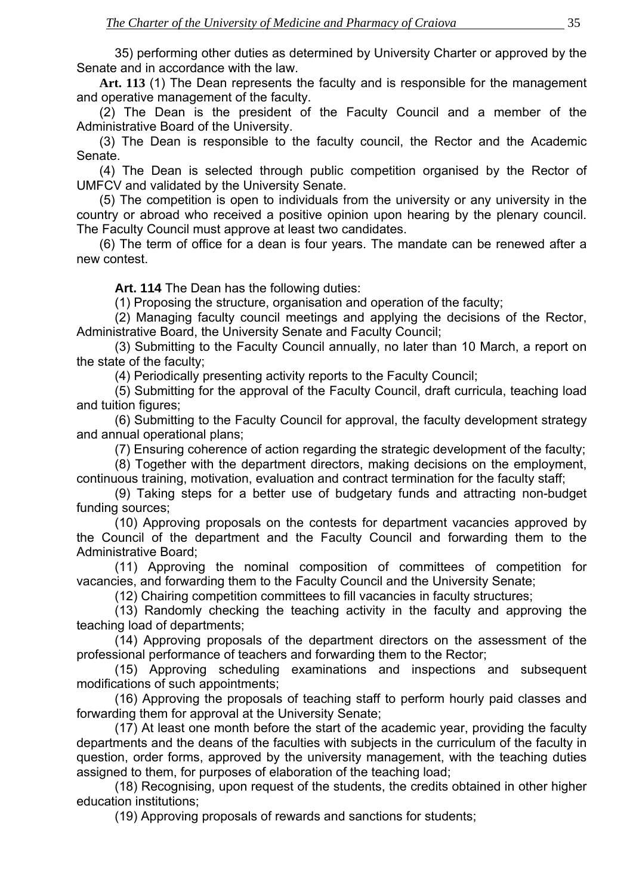35) performing other duties as determined by University Charter or approved by the Senate and in accordance with the law.

**Art. 113** (1) The Dean represents the faculty and is responsible for the management and operative management of the faculty.

(2) The Dean is the president of the Faculty Council and a member of the Administrative Board of the University.

(3) The Dean is responsible to the faculty council, the Rector and the Academic Senate.

(4) The Dean is selected through public competition organised by the Rector of UMFCV and validated by the University Senate.

(5) The competition is open to individuals from the university or any university in the country or abroad who received a positive opinion upon hearing by the plenary council. The Faculty Council must approve at least two candidates.

(6) The term of office for a dean is four years. The mandate can be renewed after a new contest.

**Art. 114** The Dean has the following duties:

(1) Proposing the structure, organisation and operation of the faculty;

 (2) Managing faculty council meetings and applying the decisions of the Rector, Administrative Board, the University Senate and Faculty Council;

 (3) Submitting to the Faculty Council annually, no later than 10 March, a report on the state of the faculty;

(4) Periodically presenting activity reports to the Faculty Council;

 (5) Submitting for the approval of the Faculty Council, draft curricula, teaching load and tuition figures;

 (6) Submitting to the Faculty Council for approval, the faculty development strategy and annual operational plans;

(7) Ensuring coherence of action regarding the strategic development of the faculty;

 (8) Together with the department directors, making decisions on the employment, continuous training, motivation, evaluation and contract termination for the faculty staff;

 (9) Taking steps for a better use of budgetary funds and attracting non-budget funding sources;

 (10) Approving proposals on the contests for department vacancies approved by the Council of the department and the Faculty Council and forwarding them to the Administrative Board;

 (11) Approving the nominal composition of committees of competition for vacancies, and forwarding them to the Faculty Council and the University Senate;

(12) Chairing competition committees to fill vacancies in faculty structures;

 (13) Randomly checking the teaching activity in the faculty and approving the teaching load of departments;

 (14) Approving proposals of the department directors on the assessment of the professional performance of teachers and forwarding them to the Rector;

 (15) Approving scheduling examinations and inspections and subsequent modifications of such appointments;

 (16) Approving the proposals of teaching staff to perform hourly paid classes and forwarding them for approval at the University Senate;

 (17) At least one month before the start of the academic year, providing the faculty departments and the deans of the faculties with subjects in the curriculum of the faculty in question, order forms, approved by the university management, with the teaching duties assigned to them, for purposes of elaboration of the teaching load;

 (18) Recognising, upon request of the students, the credits obtained in other higher education institutions;

(19) Approving proposals of rewards and sanctions for students;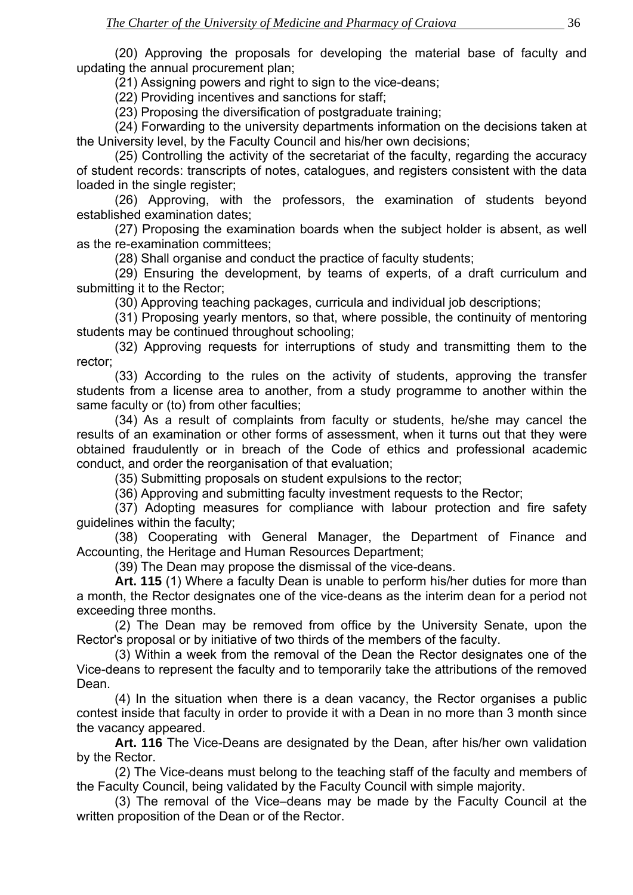(20) Approving the proposals for developing the material base of faculty and updating the annual procurement plan;

(21) Assigning powers and right to sign to the vice-deans;

(22) Providing incentives and sanctions for staff;

(23) Proposing the diversification of postgraduate training;

 (24) Forwarding to the university departments information on the decisions taken at the University level, by the Faculty Council and his/her own decisions;

 (25) Controlling the activity of the secretariat of the faculty, regarding the accuracy of student records: transcripts of notes, catalogues, and registers consistent with the data loaded in the single register;

 (26) Approving, with the professors, the examination of students beyond established examination dates;

 (27) Proposing the examination boards when the subject holder is absent, as well as the re-examination committees;

(28) Shall organise and conduct the practice of faculty students;

 (29) Ensuring the development, by teams of experts, of a draft curriculum and submitting it to the Rector;

(30) Approving teaching packages, curricula and individual job descriptions;

 (31) Proposing yearly mentors, so that, where possible, the continuity of mentoring students may be continued throughout schooling;

 (32) Approving requests for interruptions of study and transmitting them to the rector;

 (33) According to the rules on the activity of students, approving the transfer students from a license area to another, from a study programme to another within the same faculty or (to) from other faculties;

 (34) As a result of complaints from faculty or students, he/she may cancel the results of an examination or other forms of assessment, when it turns out that they were obtained fraudulently or in breach of the Code of ethics and professional academic conduct, and order the reorganisation of that evaluation;

(35) Submitting proposals on student expulsions to the rector;

(36) Approving and submitting faculty investment requests to the Rector;

 (37) Adopting measures for compliance with labour protection and fire safety guidelines within the faculty;

 (38) Cooperating with General Manager, the Department of Finance and Accounting, the Heritage and Human Resources Department;

(39) The Dean may propose the dismissal of the vice-deans.

**Art. 115** (1) Where a faculty Dean is unable to perform his/her duties for more than a month, the Rector designates one of the vice-deans as the interim dean for a period not exceeding three months.

(2) The Dean may be removed from office by the University Senate, upon the Rector's proposal or by initiative of two thirds of the members of the faculty.

(3) Within a week from the removal of the Dean the Rector designates one of the Vice-deans to represent the faculty and to temporarily take the attributions of the removed Dean.

(4) In the situation when there is a dean vacancy, the Rector organises a public contest inside that faculty in order to provide it with a Dean in no more than 3 month since the vacancy appeared.

**Art. 116** The Vice-Deans are designated by the Dean, after his/her own validation by the Rector.

(2) The Vice-deans must belong to the teaching staff of the faculty and members of the Faculty Council, being validated by the Faculty Council with simple majority.

(3) The removal of the Vice–deans may be made by the Faculty Council at the written proposition of the Dean or of the Rector.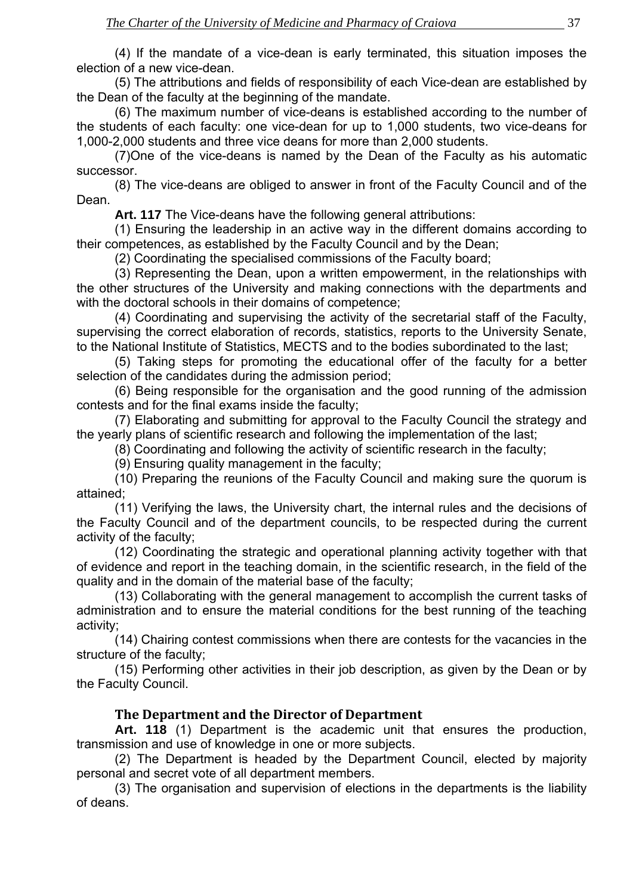<span id="page-35-0"></span>(4) If the mandate of a vice-dean is early terminated, this situation imposes the election of a new vice-dean.

(5) The attributions and fields of responsibility of each Vice-dean are established by the Dean of the faculty at the beginning of the mandate.

(6) The maximum number of vice-deans is established according to the number of the students of each faculty: one vice-dean for up to 1,000 students, two vice-deans for 1,000-2,000 students and three vice deans for more than 2,000 students.

(7)One of the vice-deans is named by the Dean of the Faculty as his automatic successor.

(8) The vice-deans are obliged to answer in front of the Faculty Council and of the Dean.

**Art. 117** The Vice-deans have the following general attributions:

(1) Ensuring the leadership in an active way in the different domains according to their competences, as established by the Faculty Council and by the Dean;

(2) Coordinating the specialised commissions of the Faculty board;

(3) Representing the Dean, upon a written empowerment, in the relationships with the other structures of the University and making connections with the departments and with the doctoral schools in their domains of competence;

(4) Coordinating and supervising the activity of the secretarial staff of the Faculty, supervising the correct elaboration of records, statistics, reports to the University Senate, to the National Institute of Statistics, MECTS and to the bodies subordinated to the last;

(5) Taking steps for promoting the educational offer of the faculty for a better selection of the candidates during the admission period;

(6) Being responsible for the organisation and the good running of the admission contests and for the final exams inside the faculty;

(7) Elaborating and submitting for approval to the Faculty Council the strategy and the yearly plans of scientific research and following the implementation of the last;

(8) Coordinating and following the activity of scientific research in the faculty;

(9) Ensuring quality management in the faculty;

(10) Preparing the reunions of the Faculty Council and making sure the quorum is attained;

(11) Verifying the laws, the University chart, the internal rules and the decisions of the Faculty Council and of the department councils, to be respected during the current activity of the faculty;

(12) Coordinating the strategic and operational planning activity together with that of evidence and report in the teaching domain, in the scientific research, in the field of the quality and in the domain of the material base of the faculty;

(13) Collaborating with the general management to accomplish the current tasks of administration and to ensure the material conditions for the best running of the teaching activity;

(14) Chairing contest commissions when there are contests for the vacancies in the structure of the faculty;

(15) Performing other activities in their job description, as given by the Dean or by the Faculty Council.

#### **The Department and the Director of Department**

**Art. 118** (1) Department is the academic unit that ensures the production, transmission and use of knowledge in one or more subjects.

 (2) The Department is headed by the Department Council, elected by majority personal and secret vote of all department members.

 (3) The organisation and supervision of elections in the departments is the liability of deans.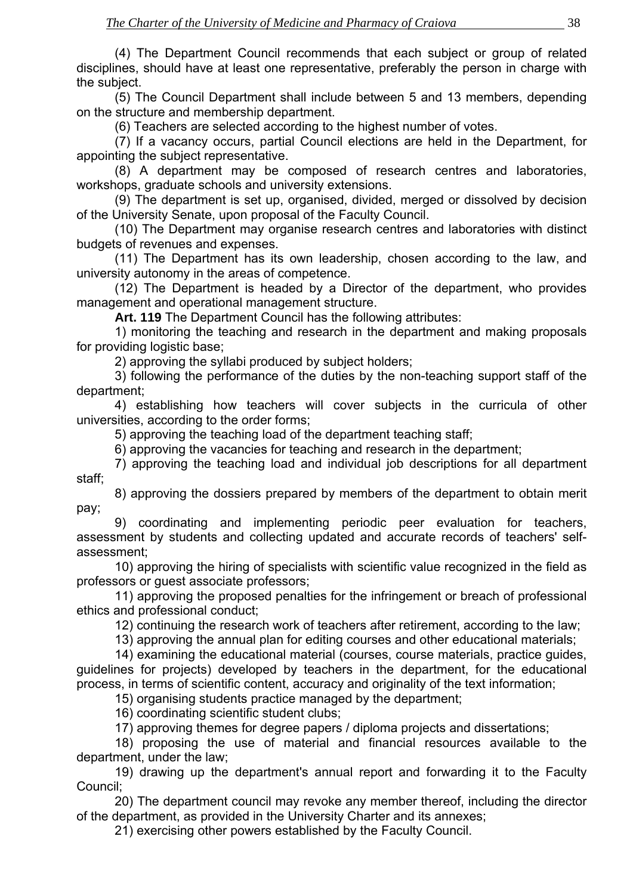(4) The Department Council recommends that each subject or group of related disciplines, should have at least one representative, preferably the person in charge with the subject.

 (5) The Council Department shall include between 5 and 13 members, depending on the structure and membership department.

(6) Teachers are selected according to the highest number of votes.

 (7) If a vacancy occurs, partial Council elections are held in the Department, for appointing the subject representative.

 (8) A department may be composed of research centres and laboratories, workshops, graduate schools and university extensions.

 (9) The department is set up, organised, divided, merged or dissolved by decision of the University Senate, upon proposal of the Faculty Council.

 (10) The Department may organise research centres and laboratories with distinct budgets of revenues and expenses.

 (11) The Department has its own leadership, chosen according to the law, and university autonomy in the areas of competence.

 (12) The Department is headed by a Director of the department, who provides management and operational management structure.

**Art. 119** The Department Council has the following attributes:

 1) monitoring the teaching and research in the department and making proposals for providing logistic base;

2) approving the syllabi produced by subject holders;

 3) following the performance of the duties by the non-teaching support staff of the department;

 4) establishing how teachers will cover subjects in the curricula of other universities, according to the order forms;

5) approving the teaching load of the department teaching staff;

6) approving the vacancies for teaching and research in the department;

 7) approving the teaching load and individual job descriptions for all department staff;

 8) approving the dossiers prepared by members of the department to obtain merit pay;

 9) coordinating and implementing periodic peer evaluation for teachers, assessment by students and collecting updated and accurate records of teachers' selfassessment;

 10) approving the hiring of specialists with scientific value recognized in the field as professors or guest associate professors;

 11) approving the proposed penalties for the infringement or breach of professional ethics and professional conduct;

12) continuing the research work of teachers after retirement, according to the law;

13) approving the annual plan for editing courses and other educational materials;

 14) examining the educational material (courses, course materials, practice guides, guidelines for projects) developed by teachers in the department, for the educational process, in terms of scientific content, accuracy and originality of the text information;

15) organising students practice managed by the department;

16) coordinating scientific student clubs;

17) approving themes for degree papers / diploma projects and dissertations;

 18) proposing the use of material and financial resources available to the department, under the law;

 19) drawing up the department's annual report and forwarding it to the Faculty Council;

 20) The department council may revoke any member thereof, including the director of the department, as provided in the University Charter and its annexes;

21) exercising other powers established by the Faculty Council.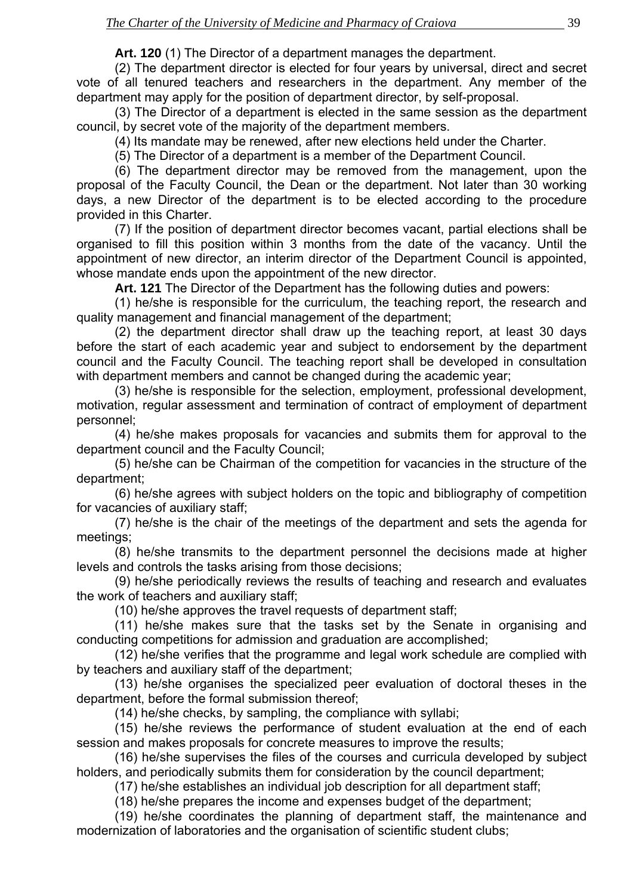**Art. 120** (1) The Director of a department manages the department.

(2) The department director is elected for four years by universal, direct and secret vote of all tenured teachers and researchers in the department. Any member of the department may apply for the position of department director, by self-proposal.

(3) The Director of a department is elected in the same session as the department council, by secret vote of the majority of the department members.

(4) Its mandate may be renewed, after new elections held under the Charter.

(5) The Director of a department is a member of the Department Council.

(6) The department director may be removed from the management, upon the proposal of the Faculty Council, the Dean or the department. Not later than 30 working days, a new Director of the department is to be elected according to the procedure provided in this Charter.

(7) If the position of department director becomes vacant, partial elections shall be organised to fill this position within 3 months from the date of the vacancy. Until the appointment of new director, an interim director of the Department Council is appointed, whose mandate ends upon the appointment of the new director.

**Art. 121** The Director of the Department has the following duties and powers:

(1) he/she is responsible for the curriculum, the teaching report, the research and quality management and financial management of the department;

(2) the department director shall draw up the teaching report, at least 30 days before the start of each academic year and subject to endorsement by the department council and the Faculty Council. The teaching report shall be developed in consultation with department members and cannot be changed during the academic year;

(3) he/she is responsible for the selection, employment, professional development, motivation, regular assessment and termination of contract of employment of department personnel;

(4) he/she makes proposals for vacancies and submits them for approval to the department council and the Faculty Council;

(5) he/she can be Chairman of the competition for vacancies in the structure of the department;

(6) he/she agrees with subject holders on the topic and bibliography of competition for vacancies of auxiliary staff;

(7) he/she is the chair of the meetings of the department and sets the agenda for meetings;

(8) he/she transmits to the department personnel the decisions made at higher levels and controls the tasks arising from those decisions;

(9) he/she periodically reviews the results of teaching and research and evaluates the work of teachers and auxiliary staff;

(10) he/she approves the travel requests of department staff;

(11) he/she makes sure that the tasks set by the Senate in organising and conducting competitions for admission and graduation are accomplished;

(12) he/she verifies that the programme and legal work schedule are complied with by teachers and auxiliary staff of the department;

(13) he/she organises the specialized peer evaluation of doctoral theses in the department, before the formal submission thereof;

(14) he/she checks, by sampling, the compliance with syllabi;

(15) he/she reviews the performance of student evaluation at the end of each session and makes proposals for concrete measures to improve the results;

(16) he/she supervises the files of the courses and curricula developed by subject holders, and periodically submits them for consideration by the council department;

(17) he/she establishes an individual job description for all department staff;

(18) he/she prepares the income and expenses budget of the department;

(19) he/she coordinates the planning of department staff, the maintenance and modernization of laboratories and the organisation of scientific student clubs;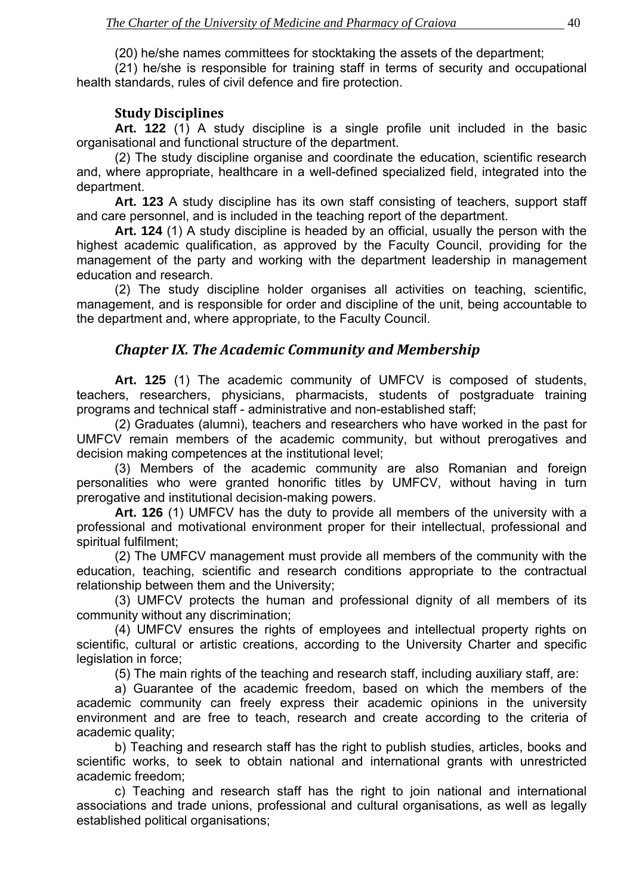(20) he/she names committees for stocktaking the assets of the department;

<span id="page-38-0"></span>(21) he/she is responsible for training staff in terms of security and occupational health standards, rules of civil defence and fire protection.

#### **Study Disciplines**

**Art. 122** (1) A study discipline is a single profile unit included in the basic organisational and functional structure of the department.

(2) The study discipline organise and coordinate the education, scientific research and, where appropriate, healthcare in a well-defined specialized field, integrated into the department.

**Art. 123** A study discipline has its own staff consisting of teachers, support staff and care personnel, and is included in the teaching report of the department.

**Art. 124** (1) A study discipline is headed by an official, usually the person with the highest academic qualification, as approved by the Faculty Council, providing for the management of the party and working with the department leadership in management education and research.

(2) The study discipline holder organises all activities on teaching, scientific, management, and is responsible for order and discipline of the unit, being accountable to the department and, where appropriate, to the Faculty Council.

## *Chapter IX. The Academic Community and Membership*

**Art. 125** (1) The academic community of UMFCV is composed of students, teachers, researchers, physicians, pharmacists, students of postgraduate training programs and technical staff - administrative and non-established staff;

(2) Graduates (alumni), teachers and researchers who have worked in the past for UMFCV remain members of the academic community, but without prerogatives and decision making competences at the institutional level;

(3) Members of the academic community are also Romanian and foreign personalities who were granted honorific titles by UMFCV, without having in turn prerogative and institutional decision-making powers.

**Art. 126** (1) UMFCV has the duty to provide all members of the university with a professional and motivational environment proper for their intellectual, professional and spiritual fulfilment;

(2) The UMFCV management must provide all members of the community with the education, teaching, scientific and research conditions appropriate to the contractual relationship between them and the University;

(3) UMFCV protects the human and professional dignity of all members of its community without any discrimination;

(4) UMFCV ensures the rights of employees and intellectual property rights on scientific, cultural or artistic creations, according to the University Charter and specific legislation in force;

(5) The main rights of the teaching and research staff, including auxiliary staff, are:

a) Guarantee of the academic freedom, based on which the members of the academic community can freely express their academic opinions in the university environment and are free to teach, research and create according to the criteria of academic quality;

b) Teaching and research staff has the right to publish studies, articles, books and scientific works, to seek to obtain national and international grants with unrestricted academic freedom;

c) Teaching and research staff has the right to join national and international associations and trade unions, professional and cultural organisations, as well as legally established political organisations;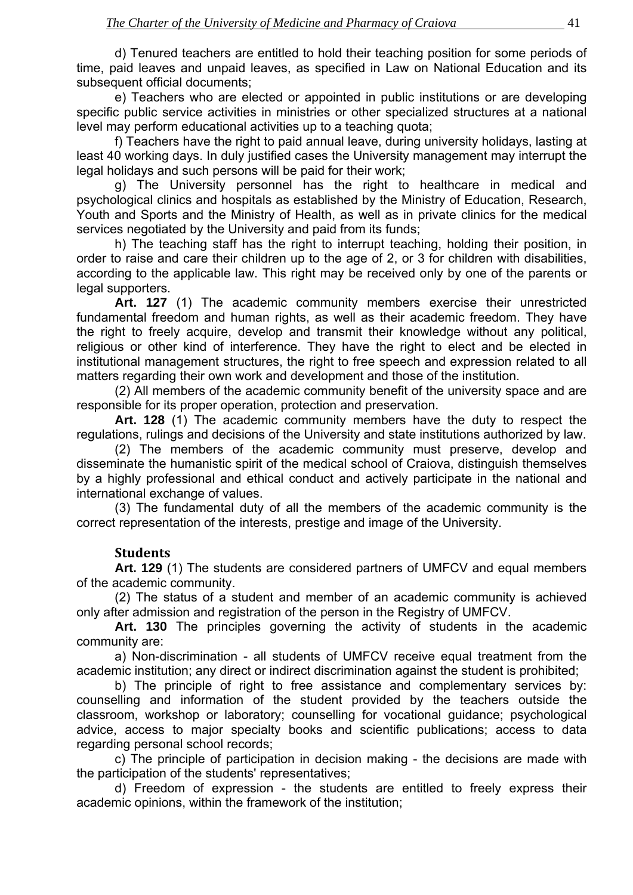<span id="page-39-0"></span>d) Tenured teachers are entitled to hold their teaching position for some periods of time, paid leaves and unpaid leaves, as specified in Law on National Education and its subsequent official documents;

e) Teachers who are elected or appointed in public institutions or are developing specific public service activities in ministries or other specialized structures at a national level may perform educational activities up to a teaching quota;

f) Teachers have the right to paid annual leave, during university holidays, lasting at least 40 working days. In duly justified cases the University management may interrupt the legal holidays and such persons will be paid for their work;

g) The University personnel has the right to healthcare in medical and psychological clinics and hospitals as established by the Ministry of Education, Research, Youth and Sports and the Ministry of Health, as well as in private clinics for the medical services negotiated by the University and paid from its funds:

h) The teaching staff has the right to interrupt teaching, holding their position, in order to raise and care their children up to the age of 2, or 3 for children with disabilities, according to the applicable law. This right may be received only by one of the parents or legal supporters.

**Art. 127** (1) The academic community members exercise their unrestricted fundamental freedom and human rights, as well as their academic freedom. They have the right to freely acquire, develop and transmit their knowledge without any political, religious or other kind of interference. They have the right to elect and be elected in institutional management structures, the right to free speech and expression related to all matters regarding their own work and development and those of the institution.

(2) All members of the academic community benefit of the university space and are responsible for its proper operation, protection and preservation.

**Art. 128** (1) The academic community members have the duty to respect the regulations, rulings and decisions of the University and state institutions authorized by law.

(2) The members of the academic community must preserve, develop and disseminate the humanistic spirit of the medical school of Craiova, distinguish themselves by a highly professional and ethical conduct and actively participate in the national and international exchange of values.

(3) The fundamental duty of all the members of the academic community is the correct representation of the interests, prestige and image of the University.

#### **Students**

Art. 129 (1) The students are considered partners of UMFCV and equal members of the academic community.

 (2) The status of a student and member of an academic community is achieved only after admission and registration of the person in the Registry of UMFCV.

 **Art. 130** The principles governing the activity of students in the academic community are:

 a) Non-discrimination - all students of UMFCV receive equal treatment from the academic institution; any direct or indirect discrimination against the student is prohibited;

 b) The principle of right to free assistance and complementary services by: counselling and information of the student provided by the teachers outside the classroom, workshop or laboratory; counselling for vocational guidance; psychological advice, access to major specialty books and scientific publications; access to data regarding personal school records;

 c) The principle of participation in decision making - the decisions are made with the participation of the students' representatives;

 d) Freedom of expression - the students are entitled to freely express their academic opinions, within the framework of the institution;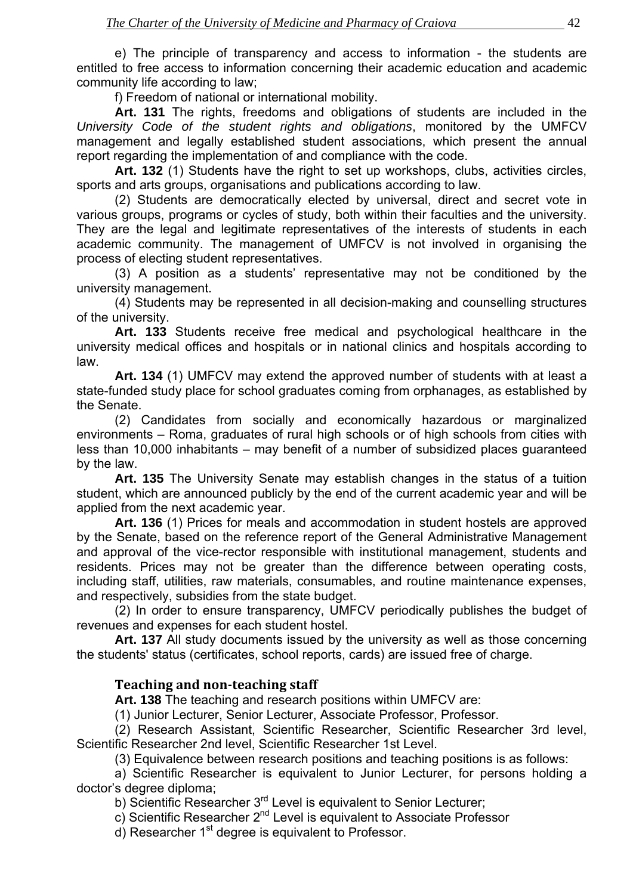<span id="page-40-0"></span> e) The principle of transparency and access to information - the students are entitled to free access to information concerning their academic education and academic community life according to law;

f) Freedom of national or international mobility.

**Art. 131** The rights, freedoms and obligations of students are included in the *University Code of the student rights and obligations*, monitored by the UMFCV management and legally established student associations, which present the annual report regarding the implementation of and compliance with the code.

**Art. 132** (1) Students have the right to set up workshops, clubs, activities circles, sports and arts groups, organisations and publications according to law.

 (2) Students are democratically elected by universal, direct and secret vote in various groups, programs or cycles of study, both within their faculties and the university. They are the legal and legitimate representatives of the interests of students in each academic community. The management of UMFCV is not involved in organising the process of electing student representatives.

 (3) A position as a students' representative may not be conditioned by the university management.

 (4) Students may be represented in all decision-making and counselling structures of the university.

 **Art. 133** Students receive free medical and psychological healthcare in the university medical offices and hospitals or in national clinics and hospitals according to law.

 **Art. 134** (1) UMFCV may extend the approved number of students with at least a state-funded study place for school graduates coming from orphanages, as established by the Senate.

 (2) Candidates from socially and economically hazardous or marginalized environments – Roma, graduates of rural high schools or of high schools from cities with less than 10,000 inhabitants – may benefit of a number of subsidized places guaranteed by the law.

 **Art. 135** The University Senate may establish changes in the status of a tuition student, which are announced publicly by the end of the current academic year and will be applied from the next academic year.

 **Art. 136** (1) Prices for meals and accommodation in student hostels are approved by the Senate, based on the reference report of the General Administrative Management and approval of the vice-rector responsible with institutional management, students and residents. Prices may not be greater than the difference between operating costs, including staff, utilities, raw materials, consumables, and routine maintenance expenses, and respectively, subsidies from the state budget.

 (2) In order to ensure transparency, UMFCV periodically publishes the budget of revenues and expenses for each student hostel.

 **Art. 137** All study documents issued by the university as well as those concerning the students' status (certificates, school reports, cards) are issued free of charge.

## **Teaching and nonteaching staff**

 **Art. 138** The teaching and research positions within UMFCV are:

(1) Junior Lecturer, Senior Lecturer, Associate Professor, Professor.

 (2) Research Assistant, Scientific Researcher, Scientific Researcher 3rd level, Scientific Researcher 2nd level, Scientific Researcher 1st Level.

(3) Equivalence between research positions and teaching positions is as follows:

 a) Scientific Researcher is equivalent to Junior Lecturer, for persons holding a doctor's degree diploma;

b) Scientific Researcher 3<sup>rd</sup> Level is equivalent to Senior Lecturer;

c) Scientific Researcher 2<sup>nd</sup> Level is equivalent to Associate Professor

 $\overrightarrow{d}$ ) Researcher 1<sup>st</sup> degree is equivalent to Professor.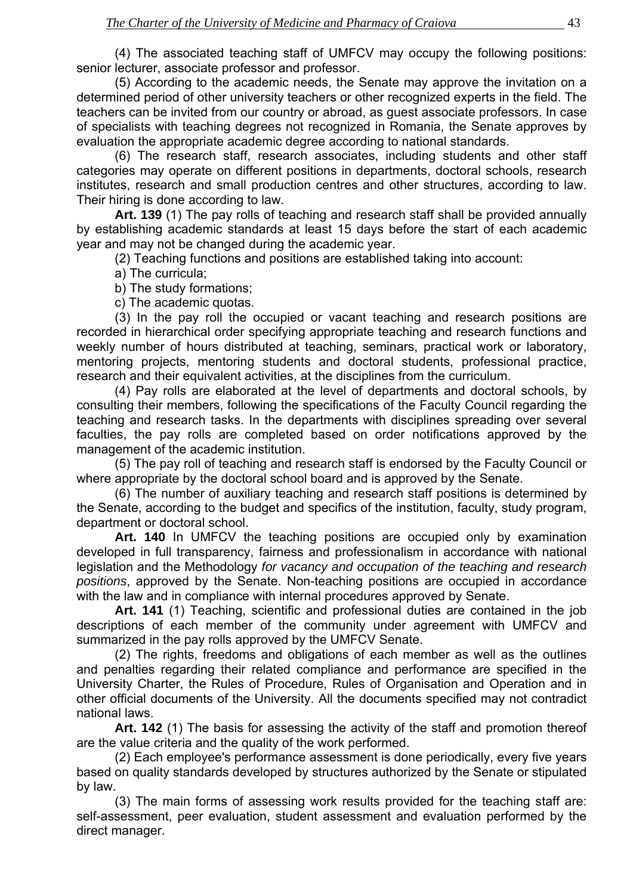(4) The associated teaching staff of UMFCV may occupy the following positions: senior lecturer, associate professor and professor.

 (5) According to the academic needs, the Senate may approve the invitation on a determined period of other university teachers or other recognized experts in the field. The teachers can be invited from our country or abroad, as guest associate professors. In case of specialists with teaching degrees not recognized in Romania, the Senate approves by evaluation the appropriate academic degree according to national standards.

 (6) The research staff, research associates, including students and other staff categories may operate on different positions in departments, doctoral schools, research institutes, research and small production centres and other structures, according to law. Their hiring is done according to law.

 **Art. 139** (1) The pay rolls of teaching and research staff shall be provided annually by establishing academic standards at least 15 days before the start of each academic year and may not be changed during the academic year.

(2) Teaching functions and positions are established taking into account:

a) The curricula;

b) The study formations;

c) The academic quotas.

 (3) In the pay roll the occupied or vacant teaching and research positions are recorded in hierarchical order specifying appropriate teaching and research functions and weekly number of hours distributed at teaching, seminars, practical work or laboratory, mentoring projects, mentoring students and doctoral students, professional practice, research and their equivalent activities, at the disciplines from the curriculum.

 (4) Pay rolls are elaborated at the level of departments and doctoral schools, by consulting their members, following the specifications of the Faculty Council regarding the teaching and research tasks. In the departments with disciplines spreading over several faculties, the pay rolls are completed based on order notifications approved by the management of the academic institution.

 (5) The pay roll of teaching and research staff is endorsed by the Faculty Council or where appropriate by the doctoral school board and is approved by the Senate.

 (6) The number of auxiliary teaching and research staff positions is determined by the Senate, according to the budget and specifics of the institution, faculty, study program, department or doctoral school.

**Art. 140** In UMFCV the teaching positions are occupied only by examination developed in full transparency, fairness and professionalism in accordance with national legislation and the Methodology *for vacancy and occupation of the teaching and research positions*, approved by the Senate. Non-teaching positions are occupied in accordance with the law and in compliance with internal procedures approved by Senate.

**Art. 141** (1) Teaching, scientific and professional duties are contained in the job descriptions of each member of the community under agreement with UMFCV and summarized in the pay rolls approved by the UMFCV Senate.

(2) The rights, freedoms and obligations of each member as well as the outlines and penalties regarding their related compliance and performance are specified in the University Charter, the Rules of Procedure, Rules of Organisation and Operation and in other official documents of the University. All the documents specified may not contradict national laws.

**Art. 142** (1) The basis for assessing the activity of the staff and promotion thereof are the value criteria and the quality of the work performed.

(2) Each employee's performance assessment is done periodically, every five years based on quality standards developed by structures authorized by the Senate or stipulated by law.

(3) The main forms of assessing work results provided for the teaching staff are: self-assessment, peer evaluation, student assessment and evaluation performed by the direct manager.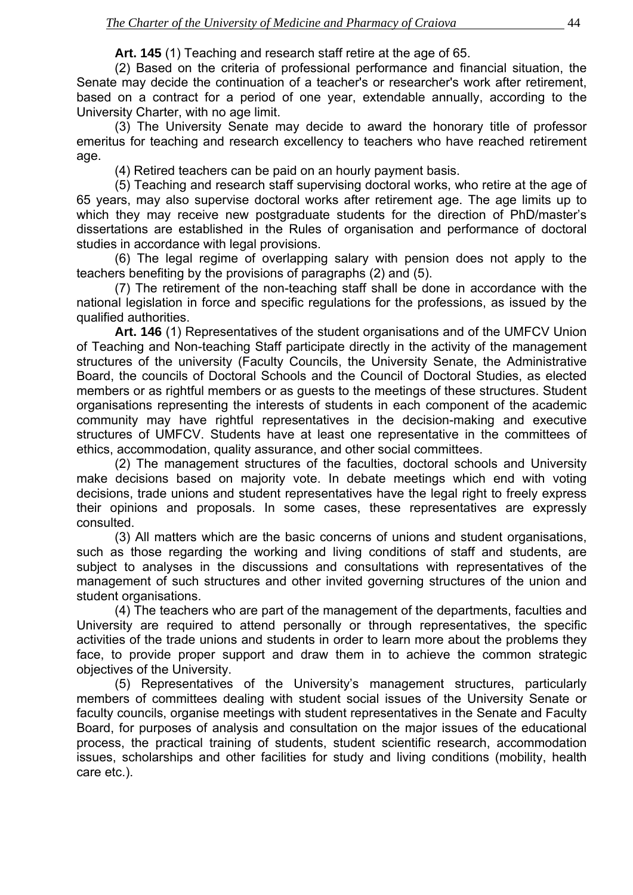**Art. 145** (1) Teaching and research staff retire at the age of 65.

 (2) Based on the criteria of professional performance and financial situation, the Senate may decide the continuation of a teacher's or researcher's work after retirement, based on a contract for a period of one year, extendable annually, according to the University Charter, with no age limit.

 (3) The University Senate may decide to award the honorary title of professor emeritus for teaching and research excellency to teachers who have reached retirement age.

(4) Retired teachers can be paid on an hourly payment basis.

 (5) Teaching and research staff supervising doctoral works, who retire at the age of 65 years, may also supervise doctoral works after retirement age. The age limits up to which they may receive new postgraduate students for the direction of PhD/master's dissertations are established in the Rules of organisation and performance of doctoral studies in accordance with legal provisions.

 (6) The legal regime of overlapping salary with pension does not apply to the teachers benefiting by the provisions of paragraphs (2) and (5).

 (7) The retirement of the non-teaching staff shall be done in accordance with the national legislation in force and specific regulations for the professions, as issued by the qualified authorities.

 **Art. 146** (1) Representatives of the student organisations and of the UMFCV Union of Teaching and Non-teaching Staff participate directly in the activity of the management structures of the university (Faculty Councils, the University Senate, the Administrative Board, the councils of Doctoral Schools and the Council of Doctoral Studies, as elected members or as rightful members or as guests to the meetings of these structures. Student organisations representing the interests of students in each component of the academic community may have rightful representatives in the decision-making and executive structures of UMFCV. Students have at least one representative in the committees of ethics, accommodation, quality assurance, and other social committees.

 (2) The management structures of the faculties, doctoral schools and University make decisions based on majority vote. In debate meetings which end with voting decisions, trade unions and student representatives have the legal right to freely express their opinions and proposals. In some cases, these representatives are expressly consulted.

 (3) All matters which are the basic concerns of unions and student organisations, such as those regarding the working and living conditions of staff and students, are subject to analyses in the discussions and consultations with representatives of the management of such structures and other invited governing structures of the union and student organisations.

 (4) The teachers who are part of the management of the departments, faculties and University are required to attend personally or through representatives, the specific activities of the trade unions and students in order to learn more about the problems they face, to provide proper support and draw them in to achieve the common strategic objectives of the University.

 (5) Representatives of the University's management structures, particularly members of committees dealing with student social issues of the University Senate or faculty councils, organise meetings with student representatives in the Senate and Faculty Board, for purposes of analysis and consultation on the major issues of the educational process, the practical training of students, student scientific research, accommodation issues, scholarships and other facilities for study and living conditions (mobility, health care etc.).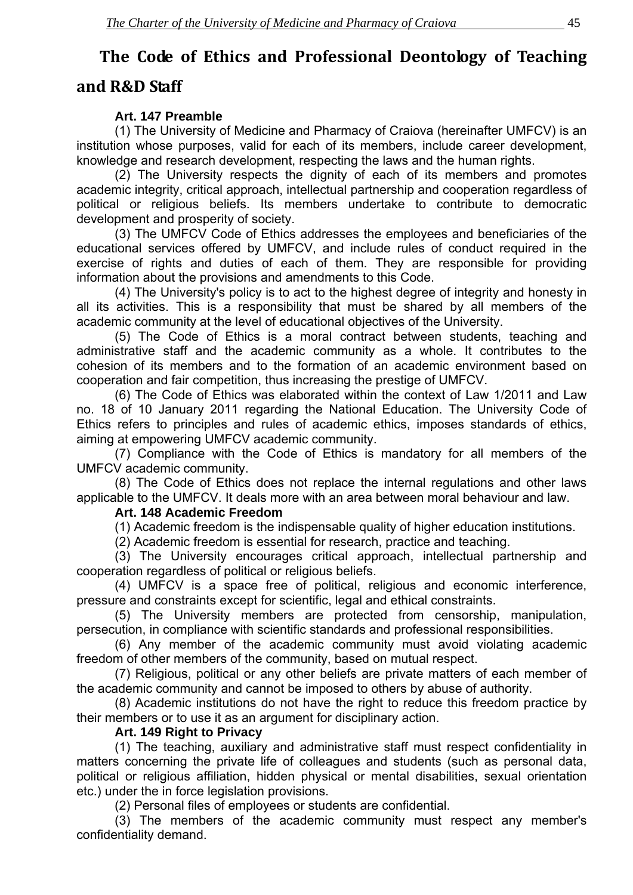## <span id="page-43-0"></span>**The Code of Ethics and Professional Deontology of Teaching**

## **and R&D Staff**

## **Art. 147 Preamble**

 (1) The University of Medicine and Pharmacy of Craiova (hereinafter UMFCV) is an institution whose purposes, valid for each of its members, include career development, knowledge and research development, respecting the laws and the human rights.

 (2) The University respects the dignity of each of its members and promotes academic integrity, critical approach, intellectual partnership and cooperation regardless of political or religious beliefs. Its members undertake to contribute to democratic development and prosperity of society.

 (3) The UMFCV Code of Ethics addresses the employees and beneficiaries of the educational services offered by UMFCV, and include rules of conduct required in the exercise of rights and duties of each of them. They are responsible for providing information about the provisions and amendments to this Code.

 (4) The University's policy is to act to the highest degree of integrity and honesty in all its activities. This is a responsibility that must be shared by all members of the academic community at the level of educational objectives of the University.

 (5) The Code of Ethics is a moral contract between students, teaching and administrative staff and the academic community as a whole. It contributes to the cohesion of its members and to the formation of an academic environment based on cooperation and fair competition, thus increasing the prestige of UMFCV.

 (6) The Code of Ethics was elaborated within the context of Law 1/2011 and Law no. 18 of 10 January 2011 regarding the National Education. The University Code of Ethics refers to principles and rules of academic ethics, imposes standards of ethics, aiming at empowering UMFCV academic community.

 (7) Compliance with the Code of Ethics is mandatory for all members of the UMFCV academic community.

 (8) The Code of Ethics does not replace the internal regulations and other laws applicable to the UMFCV. It deals more with an area between moral behaviour and law.

## **Art. 148 Academic Freedom**

(1) Academic freedom is the indispensable quality of higher education institutions.

(2) Academic freedom is essential for research, practice and teaching.

 (3) The University encourages critical approach, intellectual partnership and cooperation regardless of political or religious beliefs.

 (4) UMFCV is a space free of political, religious and economic interference, pressure and constraints except for scientific, legal and ethical constraints.

 (5) The University members are protected from censorship, manipulation, persecution, in compliance with scientific standards and professional responsibilities.

 (6) Any member of the academic community must avoid violating academic freedom of other members of the community, based on mutual respect.

 (7) Religious, political or any other beliefs are private matters of each member of the academic community and cannot be imposed to others by abuse of authority.

 (8) Academic institutions do not have the right to reduce this freedom practice by their members or to use it as an argument for disciplinary action.

## **Art. 149 Right to Privacy**

 (1) The teaching, auxiliary and administrative staff must respect confidentiality in matters concerning the private life of colleagues and students (such as personal data, political or religious affiliation, hidden physical or mental disabilities, sexual orientation etc.) under the in force legislation provisions.

(2) Personal files of employees or students are confidential.

 (3) The members of the academic community must respect any member's confidentiality demand.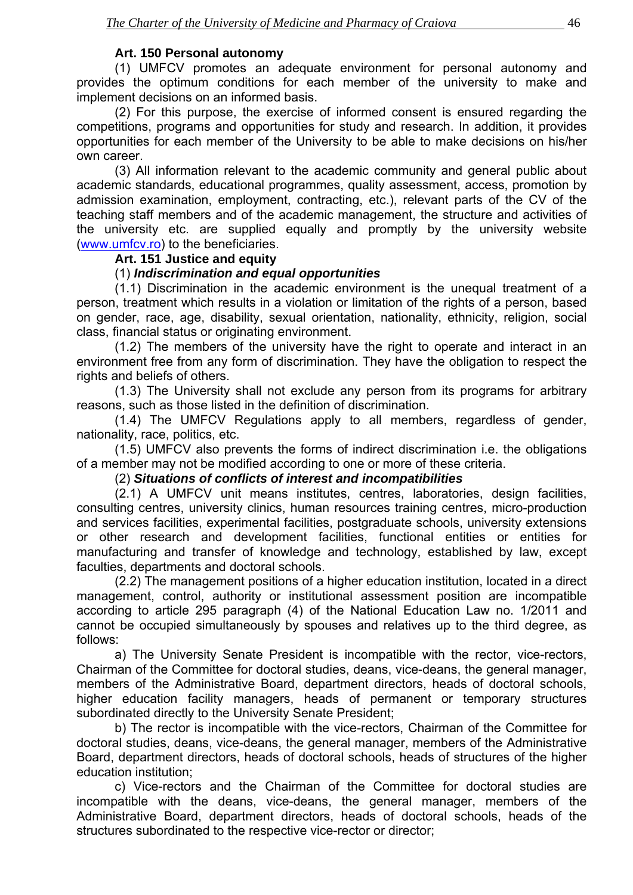#### **Art. 150 Personal autonomy**

 (1) UMFCV promotes an adequate environment for personal autonomy and provides the optimum conditions for each member of the university to make and implement decisions on an informed basis.

 (2) For this purpose, the exercise of informed consent is ensured regarding the competitions, programs and opportunities for study and research. In addition, it provides opportunities for each member of the University to be able to make decisions on his/her own career.

 (3) All information relevant to the academic community and general public about academic standards, educational programmes, quality assessment, access, promotion by admission examination, employment, contracting, etc.), relevant parts of the CV of the teaching staff members and of the academic management, the structure and activities of the university etc. are supplied equally and promptly by the university website ([www.umfcv.ro](http://www.umfcv.ro/)) to the beneficiaries.

#### **Art. 151 Justice and equity**

#### (1) *Indiscrimination and equal opportunities*

 (1.1) Discrimination in the academic environment is the unequal treatment of a person, treatment which results in a violation or limitation of the rights of a person, based on gender, race, age, disability, sexual orientation, nationality, ethnicity, religion, social class, financial status or originating environment.

 (1.2) The members of the university have the right to operate and interact in an environment free from any form of discrimination. They have the obligation to respect the rights and beliefs of others.

 (1.3) The University shall not exclude any person from its programs for arbitrary reasons, such as those listed in the definition of discrimination.

 (1.4) The UMFCV Regulations apply to all members, regardless of gender, nationality, race, politics, etc.

 (1.5) UMFCV also prevents the forms of indirect discrimination i.e. the obligations of a member may not be modified according to one or more of these criteria.

#### (2) *Situations of conflicts of interest and incompatibilities*

 (2.1) A UMFCV unit means institutes, centres, laboratories, design facilities, consulting centres, university clinics, human resources training centres, micro-production and services facilities, experimental facilities, postgraduate schools, university extensions or other research and development facilities, functional entities or entities for manufacturing and transfer of knowledge and technology, established by law, except faculties, departments and doctoral schools.

 (2.2) The management positions of a higher education institution, located in a direct management, control, authority or institutional assessment position are incompatible according to article 295 paragraph (4) of the National Education Law no. 1/2011 and cannot be occupied simultaneously by spouses and relatives up to the third degree, as follows:

 a) The University Senate President is incompatible with the rector, vice-rectors, Chairman of the Committee for doctoral studies, deans, vice-deans, the general manager, members of the Administrative Board, department directors, heads of doctoral schools, higher education facility managers, heads of permanent or temporary structures subordinated directly to the University Senate President;

 b) The rector is incompatible with the vice-rectors, Chairman of the Committee for doctoral studies, deans, vice-deans, the general manager, members of the Administrative Board, department directors, heads of doctoral schools, heads of structures of the higher education institution;

 c) Vice-rectors and the Chairman of the Committee for doctoral studies are incompatible with the deans, vice-deans, the general manager, members of the Administrative Board, department directors, heads of doctoral schools, heads of the structures subordinated to the respective vice-rector or director;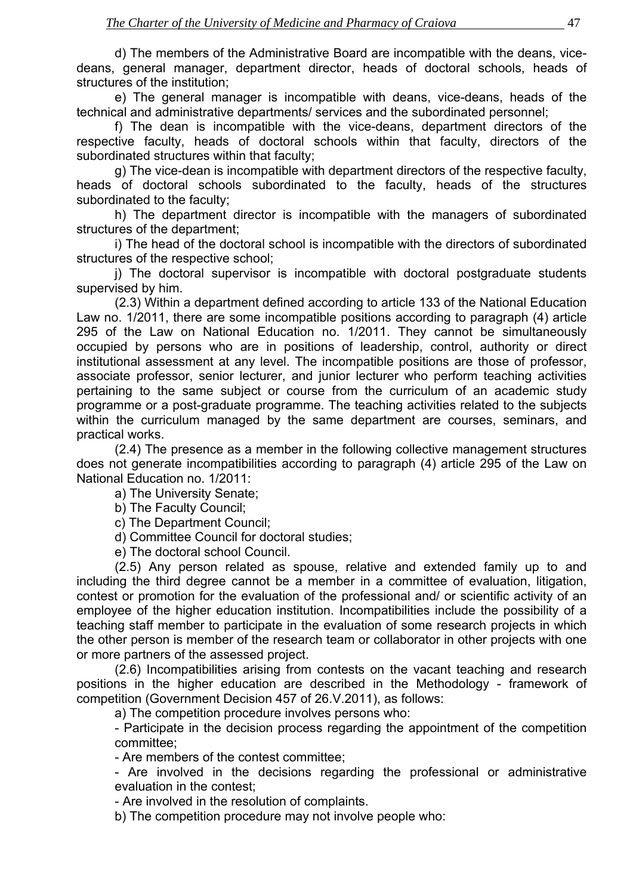d) The members of the Administrative Board are incompatible with the deans, vicedeans, general manager, department director, heads of doctoral schools, heads of structures of the institution;

 e) The general manager is incompatible with deans, vice-deans, heads of the technical and administrative departments/ services and the subordinated personnel;

 f) The dean is incompatible with the vice-deans, department directors of the respective faculty, heads of doctoral schools within that faculty, directors of the subordinated structures within that faculty;

 g) The vice-dean is incompatible with department directors of the respective faculty, heads of doctoral schools subordinated to the faculty, heads of the structures subordinated to the faculty;

 h) The department director is incompatible with the managers of subordinated structures of the department;

 i) The head of the doctoral school is incompatible with the directors of subordinated structures of the respective school;

 j) The doctoral supervisor is incompatible with doctoral postgraduate students supervised by him.

 (2.3) Within a department defined according to article 133 of the National Education Law no. 1/2011, there are some incompatible positions according to paragraph (4) article 295 of the Law on National Education no. 1/2011. They cannot be simultaneously occupied by persons who are in positions of leadership, control, authority or direct institutional assessment at any level. The incompatible positions are those of professor, associate professor, senior lecturer, and junior lecturer who perform teaching activities pertaining to the same subject or course from the curriculum of an academic study programme or a post-graduate programme. The teaching activities related to the subjects within the curriculum managed by the same department are courses, seminars, and practical works.

 (2.4) The presence as a member in the following collective management structures does not generate incompatibilities according to paragraph (4) article 295 of the Law on National Education no. 1/2011:

a) The University Senate;

b) The Faculty Council;

c) The Department Council;

d) Committee Council for doctoral studies;

e) The doctoral school Council.

 (2.5) Any person related as spouse, relative and extended family up to and including the third degree cannot be a member in a committee of evaluation, litigation, contest or promotion for the evaluation of the professional and/ or scientific activity of an employee of the higher education institution. Incompatibilities include the possibility of a teaching staff member to participate in the evaluation of some research projects in which the other person is member of the research team or collaborator in other projects with one or more partners of the assessed project.

 (2.6) Incompatibilities arising from contests on the vacant teaching and research positions in the higher education are described in the Methodology - framework of competition (Government Decision 457 of 26.V.2011), as follows:

a) The competition procedure involves persons who:

 - Participate in the decision process regarding the appointment of the competition committee;

- Are members of the contest committee;

 - Are involved in the decisions regarding the professional or administrative evaluation in the contest;

- Are involved in the resolution of complaints.

b) The competition procedure may not involve people who: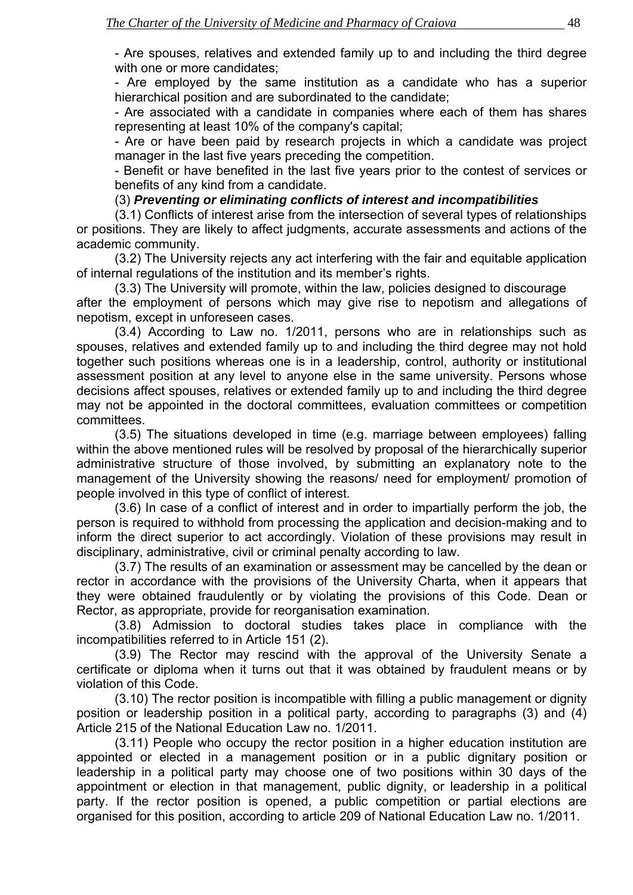- Are spouses, relatives and extended family up to and including the third degree with one or more candidates:

 - Are employed by the same institution as a candidate who has a superior hierarchical position and are subordinated to the candidate;

 - Are associated with a candidate in companies where each of them has shares representing at least 10% of the company's capital;

 - Are or have been paid by research projects in which a candidate was project manager in the last five years preceding the competition.

 - Benefit or have benefited in the last five years prior to the contest of services or benefits of any kind from a candidate.

#### (3) *Preventing or eliminating conflicts of interest and incompatibilities*

 (3.1) Conflicts of interest arise from the intersection of several types of relationships or positions. They are likely to affect judgments, accurate assessments and actions of the academic community.

 (3.2) The University rejects any act interfering with the fair and equitable application of internal regulations of the institution and its member's rights.

 (3.3) The University will promote, within the law, policies designed to discourage after the employment of persons which may give rise to nepotism and allegations of nepotism, except in unforeseen cases.

 (3.4) According to Law no. 1/2011, persons who are in relationships such as spouses, relatives and extended family up to and including the third degree may not hold together such positions whereas one is in a leadership, control, authority or institutional assessment position at any level to anyone else in the same university. Persons whose decisions affect spouses, relatives or extended family up to and including the third degree may not be appointed in the doctoral committees, evaluation committees or competition committees.

 (3.5) The situations developed in time (e.g. marriage between employees) falling within the above mentioned rules will be resolved by proposal of the hierarchically superior administrative structure of those involved, by submitting an explanatory note to the management of the University showing the reasons/ need for employment/ promotion of people involved in this type of conflict of interest.

 (3.6) In case of a conflict of interest and in order to impartially perform the job, the person is required to withhold from processing the application and decision-making and to inform the direct superior to act accordingly. Violation of these provisions may result in disciplinary, administrative, civil or criminal penalty according to law.

 (3.7) The results of an examination or assessment may be cancelled by the dean or rector in accordance with the provisions of the University Charta, when it appears that they were obtained fraudulently or by violating the provisions of this Code. Dean or Rector, as appropriate, provide for reorganisation examination.

 (3.8) Admission to doctoral studies takes place in compliance with the incompatibilities referred to in Article 151 (2).

 (3.9) The Rector may rescind with the approval of the University Senate a certificate or diploma when it turns out that it was obtained by fraudulent means or by violation of this Code.

 (3.10) The rector position is incompatible with filling a public management or dignity position or leadership position in a political party, according to paragraphs (3) and (4) Article 215 of the National Education Law no. 1/2011.

 (3.11) People who occupy the rector position in a higher education institution are appointed or elected in a management position or in a public dignitary position or leadership in a political party may choose one of two positions within 30 days of the appointment or election in that management, public dignity, or leadership in a political party. If the rector position is opened, a public competition or partial elections are organised for this position, according to article 209 of National Education Law no. 1/2011.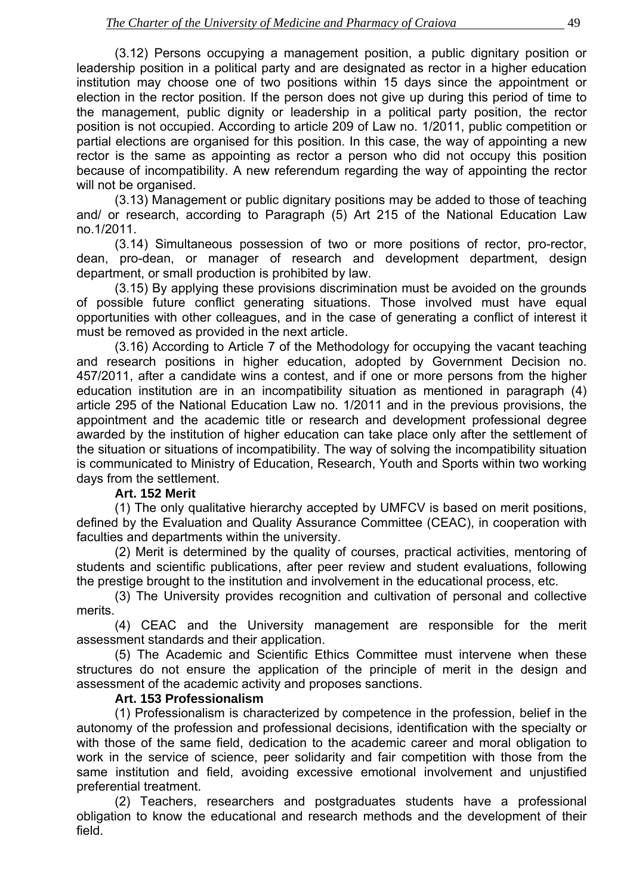(3.12) Persons occupying a management position, a public dignitary position or leadership position in a political party and are designated as rector in a higher education institution may choose one of two positions within 15 days since the appointment or election in the rector position. If the person does not give up during this period of time to the management, public dignity or leadership in a political party position, the rector position is not occupied. According to article 209 of Law no. 1/2011, public competition or partial elections are organised for this position. In this case, the way of appointing a new rector is the same as appointing as rector a person who did not occupy this position because of incompatibility. A new referendum regarding the way of appointing the rector will not be organised.

 (3.13) Management or public dignitary positions may be added to those of teaching and/ or research, according to Paragraph (5) Art 215 of the National Education Law no.1/2011.

 (3.14) Simultaneous possession of two or more positions of rector, pro-rector, dean, pro-dean, or manager of research and development department, design department, or small production is prohibited by law.

 (3.15) By applying these provisions discrimination must be avoided on the grounds of possible future conflict generating situations. Those involved must have equal opportunities with other colleagues, and in the case of generating a conflict of interest it must be removed as provided in the next article.

 (3.16) According to Article 7 of the Methodology for occupying the vacant teaching and research positions in higher education, adopted by Government Decision no. 457/2011, after a candidate wins a contest, and if one or more persons from the higher education institution are in an incompatibility situation as mentioned in paragraph (4) article 295 of the National Education Law no. 1/2011 and in the previous provisions, the appointment and the academic title or research and development professional degree awarded by the institution of higher education can take place only after the settlement of the situation or situations of incompatibility. The way of solving the incompatibility situation is communicated to Ministry of Education, Research, Youth and Sports within two working days from the settlement.

#### **Art. 152 Merit**

 (1) The only qualitative hierarchy accepted by UMFCV is based on merit positions, defined by the Evaluation and Quality Assurance Committee (CEAC), in cooperation with faculties and departments within the university.

 (2) Merit is determined by the quality of courses, practical activities, mentoring of students and scientific publications, after peer review and student evaluations, following the prestige brought to the institution and involvement in the educational process, etc.

 (3) The University provides recognition and cultivation of personal and collective merits.

 (4) CEAC and the University management are responsible for the merit assessment standards and their application.

 (5) The Academic and Scientific Ethics Committee must intervene when these structures do not ensure the application of the principle of merit in the design and assessment of the academic activity and proposes sanctions.

#### **Art. 153 Professionalism**

 (1) Professionalism is characterized by competence in the profession, belief in the autonomy of the profession and professional decisions, identification with the specialty or with those of the same field, dedication to the academic career and moral obligation to work in the service of science, peer solidarity and fair competition with those from the same institution and field, avoiding excessive emotional involvement and unjustified preferential treatment.

 (2) Teachers, researchers and postgraduates students have a professional obligation to know the educational and research methods and the development of their field.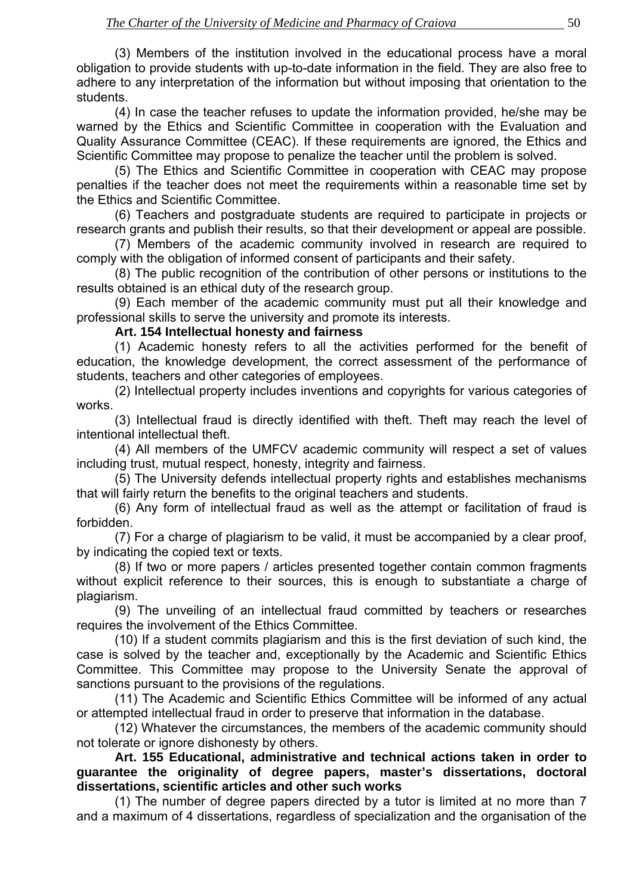(3) Members of the institution involved in the educational process have a moral obligation to provide students with up-to-date information in the field. They are also free to adhere to any interpretation of the information but without imposing that orientation to the students.

 (4) In case the teacher refuses to update the information provided, he/she may be warned by the Ethics and Scientific Committee in cooperation with the Evaluation and Quality Assurance Committee (CEAC). If these requirements are ignored, the Ethics and Scientific Committee may propose to penalize the teacher until the problem is solved.

 (5) The Ethics and Scientific Committee in cooperation with CEAC may propose penalties if the teacher does not meet the requirements within a reasonable time set by the Ethics and Scientific Committee.

 (6) Teachers and postgraduate students are required to participate in projects or research grants and publish their results, so that their development or appeal are possible.

 (7) Members of the academic community involved in research are required to comply with the obligation of informed consent of participants and their safety.

 (8) The public recognition of the contribution of other persons or institutions to the results obtained is an ethical duty of the research group.

 (9) Each member of the academic community must put all their knowledge and professional skills to serve the university and promote its interests.

#### **Art. 154 Intellectual honesty and fairness**

 (1) Academic honesty refers to all the activities performed for the benefit of education, the knowledge development, the correct assessment of the performance of students, teachers and other categories of employees.

 (2) Intellectual property includes inventions and copyrights for various categories of works.

 (3) Intellectual fraud is directly identified with theft. Theft may reach the level of intentional intellectual theft.

 (4) All members of the UMFCV academic community will respect a set of values including trust, mutual respect, honesty, integrity and fairness.

 (5) The University defends intellectual property rights and establishes mechanisms that will fairly return the benefits to the original teachers and students.

 (6) Any form of intellectual fraud as well as the attempt or facilitation of fraud is forbidden.

 (7) For a charge of plagiarism to be valid, it must be accompanied by a clear proof, by indicating the copied text or texts.

 (8) If two or more papers / articles presented together contain common fragments without explicit reference to their sources, this is enough to substantiate a charge of plagiarism.

 (9) The unveiling of an intellectual fraud committed by teachers or researches requires the involvement of the Ethics Committee.

 (10) If a student commits plagiarism and this is the first deviation of such kind, the case is solved by the teacher and, exceptionally by the Academic and Scientific Ethics Committee. This Committee may propose to the University Senate the approval of sanctions pursuant to the provisions of the regulations.

 (11) The Academic and Scientific Ethics Committee will be informed of any actual or attempted intellectual fraud in order to preserve that information in the database.

 (12) Whatever the circumstances, the members of the academic community should not tolerate or ignore dishonesty by others.

**Art. 155 Educational, administrative and technical actions taken in order to guarantee the originality of degree papers, master's dissertations, doctoral dissertations, scientific articles and other such works**

 (1) The number of degree papers directed by a tutor is limited at no more than 7 and a maximum of 4 dissertations, regardless of specialization and the organisation of the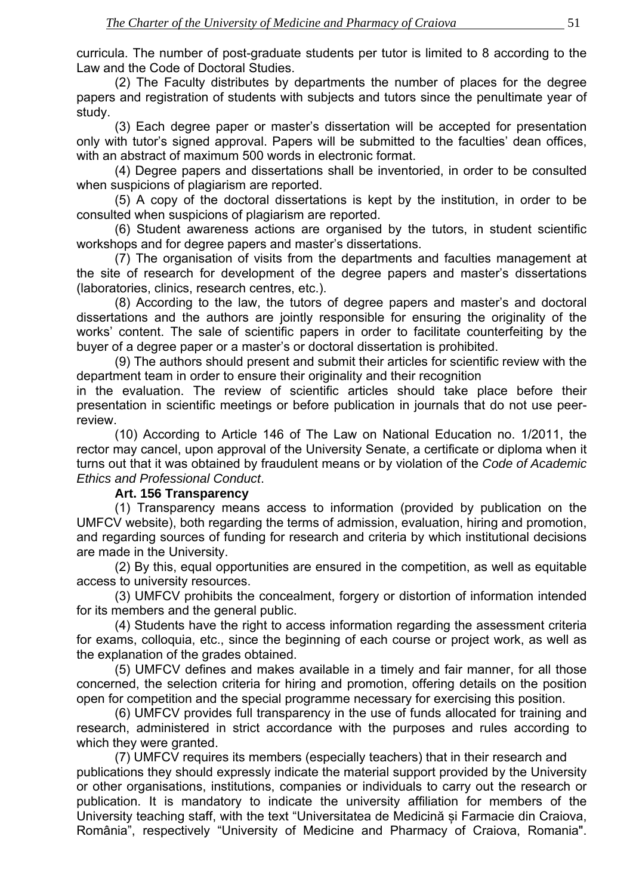curricula. The number of post-graduate students per tutor is limited to 8 according to the Law and the Code of Doctoral Studies.

 (2) The Faculty distributes by departments the number of places for the degree papers and registration of students with subjects and tutors since the penultimate year of study.

 (3) Each degree paper or master's dissertation will be accepted for presentation only with tutor's signed approval. Papers will be submitted to the faculties' dean offices, with an abstract of maximum 500 words in electronic format.

 (4) Degree papers and dissertations shall be inventoried, in order to be consulted when suspicions of plagiarism are reported.

 (5) A copy of the doctoral dissertations is kept by the institution, in order to be consulted when suspicions of plagiarism are reported.

 (6) Student awareness actions are organised by the tutors, in student scientific workshops and for degree papers and master's dissertations.

 (7) The organisation of visits from the departments and faculties management at the site of research for development of the degree papers and master's dissertations (laboratories, clinics, research centres, etc.).

 (8) According to the law, the tutors of degree papers and master's and doctoral dissertations and the authors are jointly responsible for ensuring the originality of the works' content. The sale of scientific papers in order to facilitate counterfeiting by the buyer of a degree paper or a master's or doctoral dissertation is prohibited.

 (9) The authors should present and submit their articles for scientific review with the department team in order to ensure their originality and their recognition

in the evaluation. The review of scientific articles should take place before their presentation in scientific meetings or before publication in journals that do not use peerreview.

 (10) According to Article 146 of The Law on National Education no. 1/2011, the rector may cancel, upon approval of the University Senate, a certificate or diploma when it turns out that it was obtained by fraudulent means or by violation of the *Code of Academic Ethics and Professional Conduct*.

#### **Art. 156 Transparency**

 (1) Transparency means access to information (provided by publication on the UMFCV website), both regarding the terms of admission, evaluation, hiring and promotion, and regarding sources of funding for research and criteria by which institutional decisions are made in the University.

 (2) By this, equal opportunities are ensured in the competition, as well as equitable access to university resources.

 (3) UMFCV prohibits the concealment, forgery or distortion of information intended for its members and the general public.

 (4) Students have the right to access information regarding the assessment criteria for exams, colloquia, etc., since the beginning of each course or project work, as well as the explanation of the grades obtained.

 (5) UMFCV defines and makes available in a timely and fair manner, for all those concerned, the selection criteria for hiring and promotion, offering details on the position open for competition and the special programme necessary for exercising this position.

 (6) UMFCV provides full transparency in the use of funds allocated for training and research, administered in strict accordance with the purposes and rules according to which they were granted.

 (7) UMFCV requires its members (especially teachers) that in their research and publications they should expressly indicate the material support provided by the University or other organisations, institutions, companies or individuals to carry out the research or publication. It is mandatory to indicate the university affiliation for members of the University teaching staff, with the text "Universitatea de Medicină și Farmacie din Craiova, România", respectively "University of Medicine and Pharmacy of Craiova, Romania".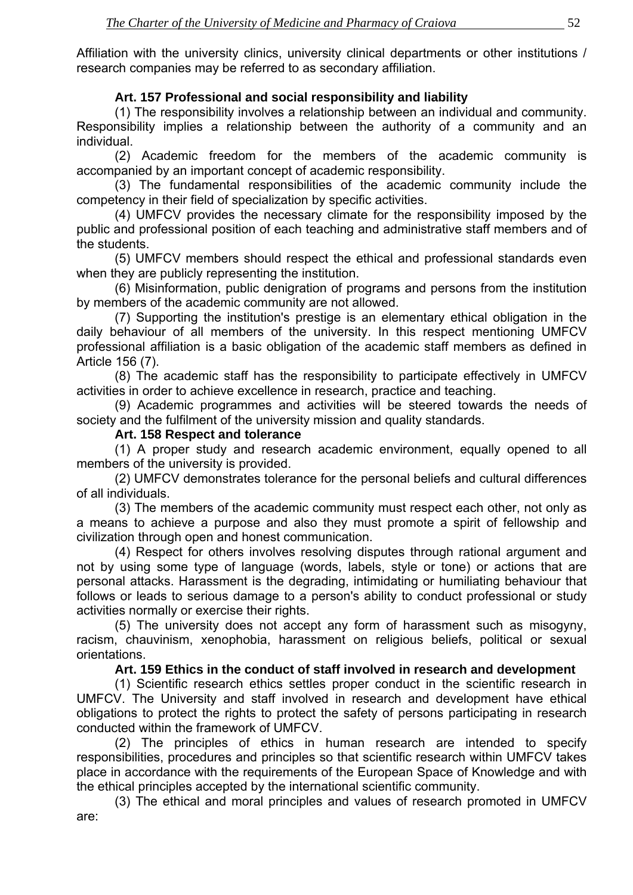Affiliation with the university clinics, university clinical departments or other institutions / research companies may be referred to as secondary affiliation.

## **Art. 157 Professional and social responsibility and liability**

 (1) The responsibility involves a relationship between an individual and community. Responsibility implies a relationship between the authority of a community and an individual.

 (2) Academic freedom for the members of the academic community is accompanied by an important concept of academic responsibility.

 (3) The fundamental responsibilities of the academic community include the competency in their field of specialization by specific activities.

 (4) UMFCV provides the necessary climate for the responsibility imposed by the public and professional position of each teaching and administrative staff members and of the students.

 (5) UMFCV members should respect the ethical and professional standards even when they are publicly representing the institution.

 (6) Misinformation, public denigration of programs and persons from the institution by members of the academic community are not allowed.

 (7) Supporting the institution's prestige is an elementary ethical obligation in the daily behaviour of all members of the university. In this respect mentioning UMFCV professional affiliation is a basic obligation of the academic staff members as defined in Article 156 (7).

 (8) The academic staff has the responsibility to participate effectively in UMFCV activities in order to achieve excellence in research, practice and teaching.

 (9) Academic programmes and activities will be steered towards the needs of society and the fulfilment of the university mission and quality standards.

#### **Art. 158 Respect and tolerance**

 (1) A proper study and research academic environment, equally opened to all members of the university is provided.

 (2) UMFCV demonstrates tolerance for the personal beliefs and cultural differences of all individuals.

 (3) The members of the academic community must respect each other, not only as a means to achieve a purpose and also they must promote a spirit of fellowship and civilization through open and honest communication.

 (4) Respect for others involves resolving disputes through rational argument and not by using some type of language (words, labels, style or tone) or actions that are personal attacks. Harassment is the degrading, intimidating or humiliating behaviour that follows or leads to serious damage to a person's ability to conduct professional or study activities normally or exercise their rights.

 (5) The university does not accept any form of harassment such as misogyny, racism, chauvinism, xenophobia, harassment on religious beliefs, political or sexual orientations.

#### **Art. 159 Ethics in the conduct of staff involved in research and development**

 (1) Scientific research ethics settles proper conduct in the scientific research in UMFCV. The University and staff involved in research and development have ethical obligations to protect the rights to protect the safety of persons participating in research conducted within the framework of UMFCV.

 (2) The principles of ethics in human research are intended to specify responsibilities, procedures and principles so that scientific research within UMFCV takes place in accordance with the requirements of the European Space of Knowledge and with the ethical principles accepted by the international scientific community.

 (3) The ethical and moral principles and values of research promoted in UMFCV are: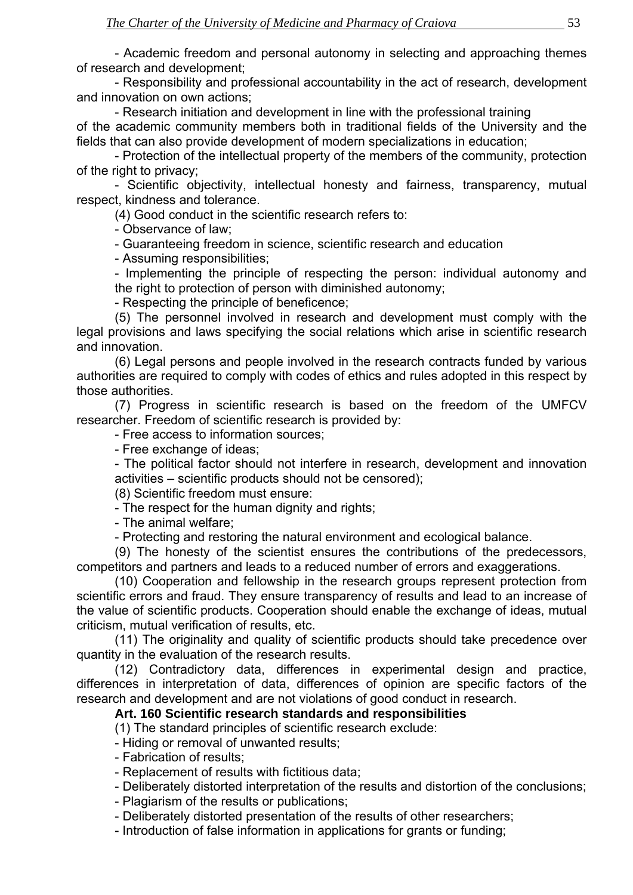- Academic freedom and personal autonomy in selecting and approaching themes of research and development;

 - Responsibility and professional accountability in the act of research, development and innovation on own actions;

 - Research initiation and development in line with the professional training of the academic community members both in traditional fields of the University and the fields that can also provide development of modern specializations in education;

 - Protection of the intellectual property of the members of the community, protection of the right to privacy;

 - Scientific objectivity, intellectual honesty and fairness, transparency, mutual respect, kindness and tolerance.

(4) Good conduct in the scientific research refers to:

- Observance of law;

- Guaranteeing freedom in science, scientific research and education

- Assuming responsibilities;

 - Implementing the principle of respecting the person: individual autonomy and the right to protection of person with diminished autonomy;

- Respecting the principle of beneficence;

 (5) The personnel involved in research and development must comply with the legal provisions and laws specifying the social relations which arise in scientific research and innovation.

 (6) Legal persons and people involved in the research contracts funded by various authorities are required to comply with codes of ethics and rules adopted in this respect by those authorities.

 (7) Progress in scientific research is based on the freedom of the UMFCV researcher. Freedom of scientific research is provided by:

- Free access to information sources;

- Free exchange of ideas;

 - The political factor should not interfere in research, development and innovation activities – scientific products should not be censored);

(8) Scientific freedom must ensure:

- The respect for the human dignity and rights;

- The animal welfare;

- Protecting and restoring the natural environment and ecological balance.

 (9) The honesty of the scientist ensures the contributions of the predecessors, competitors and partners and leads to a reduced number of errors and exaggerations.

 (10) Cooperation and fellowship in the research groups represent protection from scientific errors and fraud. They ensure transparency of results and lead to an increase of the value of scientific products. Cooperation should enable the exchange of ideas, mutual criticism, mutual verification of results, etc.

 (11) The originality and quality of scientific products should take precedence over quantity in the evaluation of the research results.

 (12) Contradictory data, differences in experimental design and practice, differences in interpretation of data, differences of opinion are specific factors of the research and development and are not violations of good conduct in research.

#### **Art. 160 Scientific research standards and responsibilities**

(1) The standard principles of scientific research exclude:

- Hiding or removal of unwanted results;

- Fabrication of results;

- Replacement of results with fictitious data;

- Deliberately distorted interpretation of the results and distortion of the conclusions;

- Plagiarism of the results or publications;

- Deliberately distorted presentation of the results of other researchers;

- Introduction of false information in applications for grants or funding;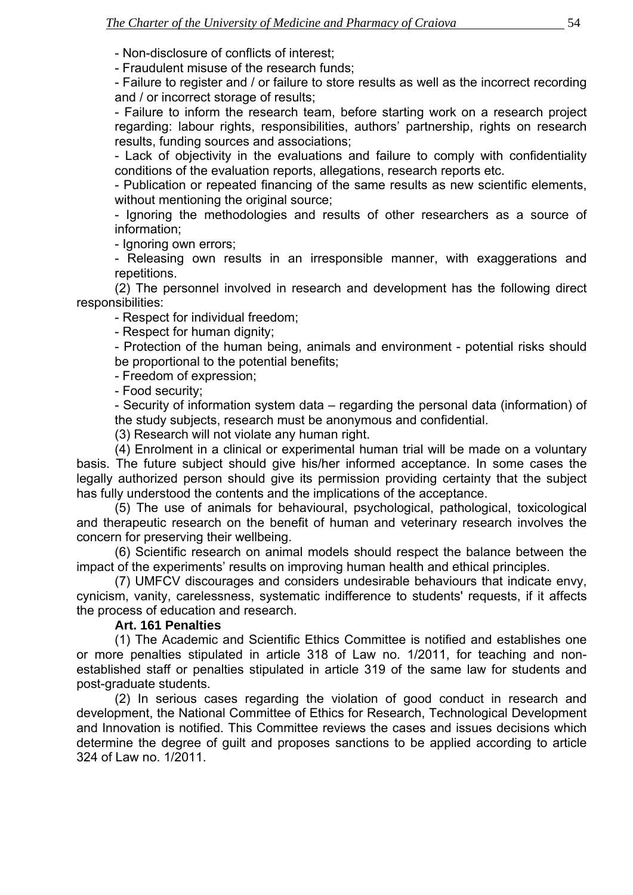- Non-disclosure of conflicts of interest;

- Fraudulent misuse of the research funds;

 - Failure to register and / or failure to store results as well as the incorrect recording and / or incorrect storage of results;

 - Failure to inform the research team, before starting work on a research project regarding: labour rights, responsibilities, authors' partnership, rights on research results, funding sources and associations;

 - Lack of objectivity in the evaluations and failure to comply with confidentiality conditions of the evaluation reports, allegations, research reports etc.

 - Publication or repeated financing of the same results as new scientific elements, without mentioning the original source;

 - Ignoring the methodologies and results of other researchers as a source of information;

- Ignoring own errors;

 - Releasing own results in an irresponsible manner, with exaggerations and repetitions.

 (2) The personnel involved in research and development has the following direct responsibilities:

- Respect for individual freedom;

- Respect for human dignity;

 - Protection of the human being, animals and environment - potential risks should be proportional to the potential benefits;

- Freedom of expression;

- Food security;

 - Security of information system data – regarding the personal data (information) of the study subjects, research must be anonymous and confidential.

(3) Research will not violate any human right.

 (4) Enrolment in a clinical or experimental human trial will be made on a voluntary basis. The future subject should give his/her informed acceptance. In some cases the legally authorized person should give its permission providing certainty that the subject has fully understood the contents and the implications of the acceptance.

 (5) The use of animals for behavioural, psychological, pathological, toxicological and therapeutic research on the benefit of human and veterinary research involves the concern for preserving their wellbeing.

 (6) Scientific research on animal models should respect the balance between the impact of the experiments' results on improving human health and ethical principles.

 (7) UMFCV discourages and considers undesirable behaviours that indicate envy, cynicism, vanity, carelessness, systematic indifference to students' requests, if it affects the process of education and research.

#### **Art. 161 Penalties**

 (1) The Academic and Scientific Ethics Committee is notified and establishes one or more penalties stipulated in article 318 of Law no. 1/2011, for teaching and nonestablished staff or penalties stipulated in article 319 of the same law for students and post-graduate students.

 (2) In serious cases regarding the violation of good conduct in research and development, the National Committee of Ethics for Research, Technological Development and Innovation is notified. This Committee reviews the cases and issues decisions which determine the degree of guilt and proposes sanctions to be applied according to article 324 of Law no. 1/2011.